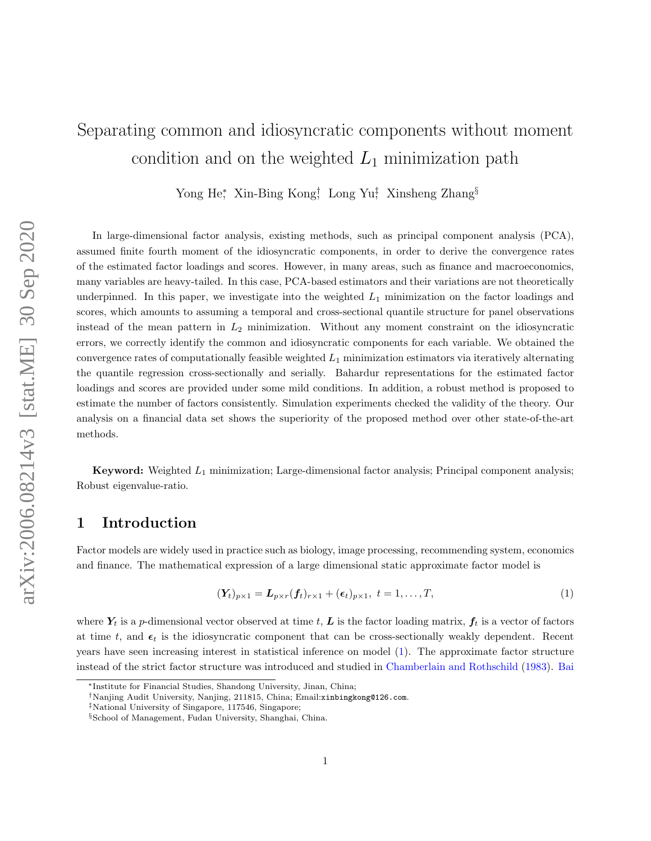# <span id="page-0-1"></span>Separating common and idiosyncratic components without moment condition and on the weighted  $L_1$  minimization path

Yong He<sup>\*</sup>, Xin-Bing Kong<sup>†</sup>, Long Yu<sup>‡</sup>, Xinsheng Zhang<sup>§</sup>

In large-dimensional factor analysis, existing methods, such as principal component analysis (PCA), assumed finite fourth moment of the idiosyncratic components, in order to derive the convergence rates of the estimated factor loadings and scores. However, in many areas, such as finance and macroeconomics, many variables are heavy-tailed. In this case, PCA-based estimators and their variations are not theoretically underpinned. In this paper, we investigate into the weighted  $L_1$  minimization on the factor loadings and scores, which amounts to assuming a temporal and cross-sectional quantile structure for panel observations instead of the mean pattern in  $L_2$  minimization. Without any moment constraint on the idiosyncratic errors, we correctly identify the common and idiosyncratic components for each variable. We obtained the convergence rates of computationally feasible weighted  $L_1$  minimization estimators via iteratively alternating the quantile regression cross-sectionally and serially. Bahardur representations for the estimated factor loadings and scores are provided under some mild conditions. In addition, a robust method is proposed to estimate the number of factors consistently. Simulation experiments checked the validity of the theory. Our analysis on a financial data set shows the superiority of the proposed method over other state-of-the-art methods.

**Keyword:** Weighted  $L_1$  minimization; Large-dimensional factor analysis; Principal component analysis; Robust eigenvalue-ratio.

### 1 Introduction

Factor models are widely used in practice such as biology, image processing, recommending system, economics and finance. The mathematical expression of a large dimensional static approximate factor model is

<span id="page-0-0"></span>
$$
(\mathbf{Y}_t)_{p \times 1} = \mathbf{L}_{p \times r}(\mathbf{f}_t)_{r \times 1} + (\epsilon_t)_{p \times 1}, \ t = 1, \dots, T,
$$
\n<sup>(1)</sup>

where  $Y_t$  is a p-dimensional vector observed at time t, L is the factor loading matrix,  $f_t$  is a vector of factors at time t, and  $\epsilon_t$  is the idiosyncratic component that can be cross-sectionally weakly dependent. Recent years have seen increasing interest in statistical inference on model [\(1\)](#page-0-0). The approximate factor structure instead of the strict factor structure was introduced and studied in [Chamberlain and Rothschild](#page-16-0) [\(1983\)](#page-16-0). [Bai](#page-16-1)

<sup>∗</sup>[Institute for Financial Studies, Shandong University, Jinan, China;](#page-16-1)

<sup>†</sup>[Nanjing Audit University, Nanjing, 211815, China; Email:](#page-16-1)xinbingkong@126.com.

<sup>‡</sup>[National University of Singapore, 117546, Singapore;](#page-16-1)

<sup>§</sup>[School of Management, Fudan University, Shanghai, China.](#page-16-1)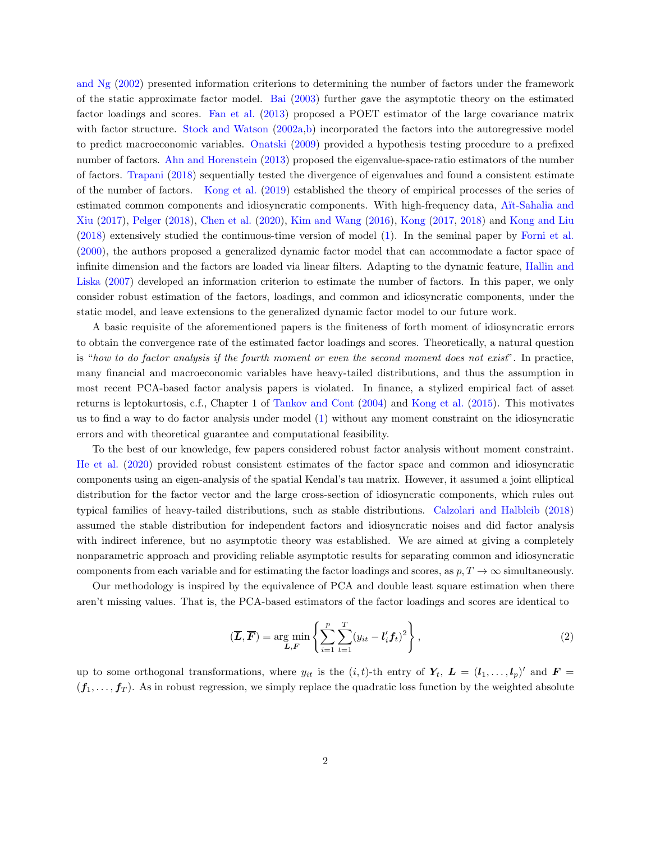[and Ng](#page-16-1) [\(2002\)](#page-16-1) presented information criterions to determining the number of factors under the framework of the static approximate factor model. [Bai](#page-16-2) [\(2003\)](#page-16-2) further gave the asymptotic theory on the estimated factor loadings and scores. [Fan et al.](#page-16-3) [\(2013\)](#page-16-3) proposed a POET estimator of the large covariance matrix with factor structure. [Stock and Watson](#page-17-0) [\(2002a,](#page-17-0)[b\)](#page-17-1) incorporated the factors into the autoregressive model to predict macroeconomic variables. [Onatski](#page-17-2) [\(2009\)](#page-17-2) provided a hypothesis testing procedure to a prefixed number of factors. [Ahn and Horenstein](#page-15-0) [\(2013\)](#page-15-0) proposed the eigenvalue-space-ratio estimators of the number of factors. [Trapani](#page-17-3) [\(2018\)](#page-17-3) sequentially tested the divergence of eigenvalues and found a consistent estimate of the number of factors. [Kong et al.](#page-17-4) [\(2019\)](#page-17-4) established the theory of empirical processes of the series of estimated common components and idiosyncratic components. With high-frequency data, Aït-Sahalia and [Xiu](#page-15-1) [\(2017\)](#page-15-1), [Pelger](#page-17-5) [\(2018\)](#page-17-5), [Chen et al.](#page-16-4) [\(2020\)](#page-16-4), [Kim and Wang](#page-16-5) [\(2016\)](#page-16-5), [Kong](#page-17-6) [\(2017,](#page-17-6) [2018\)](#page-17-7) and [Kong and Liu](#page-17-8) [\(2018\)](#page-17-8) extensively studied the continuous-time version of model [\(1\)](#page-0-0). In the seminal paper by [Forni et al.](#page-16-6) [\(2000\)](#page-16-6), the authors proposed a generalized dynamic factor model that can accommodate a factor space of infinite dimension and the factors are loaded via linear filters. Adapting to the dynamic feature, [Hallin and](#page-16-7) [Liska](#page-16-7) [\(2007\)](#page-16-7) developed an information criterion to estimate the number of factors. In this paper, we only consider robust estimation of the factors, loadings, and common and idiosyncratic components, under the static model, and leave extensions to the generalized dynamic factor model to our future work.

A basic requisite of the aforementioned papers is the finiteness of forth moment of idiosyncratic errors to obtain the convergence rate of the estimated factor loadings and scores. Theoretically, a natural question is "how to do factor analysis if the fourth moment or even the second moment does not exist". In practice, many financial and macroeconomic variables have heavy-tailed distributions, and thus the assumption in most recent PCA-based factor analysis papers is violated. In finance, a stylized empirical fact of asset returns is leptokurtosis, c.f., Chapter 1 of [Tankov and Cont](#page-17-9) [\(2004\)](#page-17-9) and [Kong et al.](#page-17-10) [\(2015\)](#page-17-10). This motivates us to find a way to do factor analysis under model [\(1\)](#page-0-0) without any moment constraint on the idiosyncratic errors and with theoretical guarantee and computational feasibility.

To the best of our knowledge, few papers considered robust factor analysis without moment constraint. [He et al.](#page-16-8) [\(2020\)](#page-16-8) provided robust consistent estimates of the factor space and common and idiosyncratic components using an eigen-analysis of the spatial Kendal's tau matrix. However, it assumed a joint elliptical distribution for the factor vector and the large cross-section of idiosyncratic components, which rules out typical families of heavy-tailed distributions, such as stable distributions. [Calzolari and Halbleib](#page-16-9) [\(2018\)](#page-16-9) assumed the stable distribution for independent factors and idiosyncratic noises and did factor analysis with indirect inference, but no asymptotic theory was established. We are aimed at giving a completely nonparametric approach and providing reliable asymptotic results for separating common and idiosyncratic components from each variable and for estimating the factor loadings and scores, as  $p, T \to \infty$  simultaneously.

Our methodology is inspired by the equivalence of PCA and double least square estimation when there aren't missing values. That is, the PCA-based estimators of the factor loadings and scores are identical to

<span id="page-1-0"></span>
$$
(\overline{L}, \overline{F}) = \underset{L, F}{\text{arg min}} \left\{ \sum_{i=1}^{p} \sum_{t=1}^{T} (y_{it} - l'_i f_t)^2 \right\},\tag{2}
$$

up to some orthogonal transformations, where  $y_{it}$  is the  $(i, t)$ -th entry of  $Y_t$ ,  $\boldsymbol{L} = (l_1, \ldots, l_p)'$  and  $\boldsymbol{F} =$  $(f_1, \ldots, f_T)$ . As in robust regression, we simply replace the quadratic loss function by the weighted absolute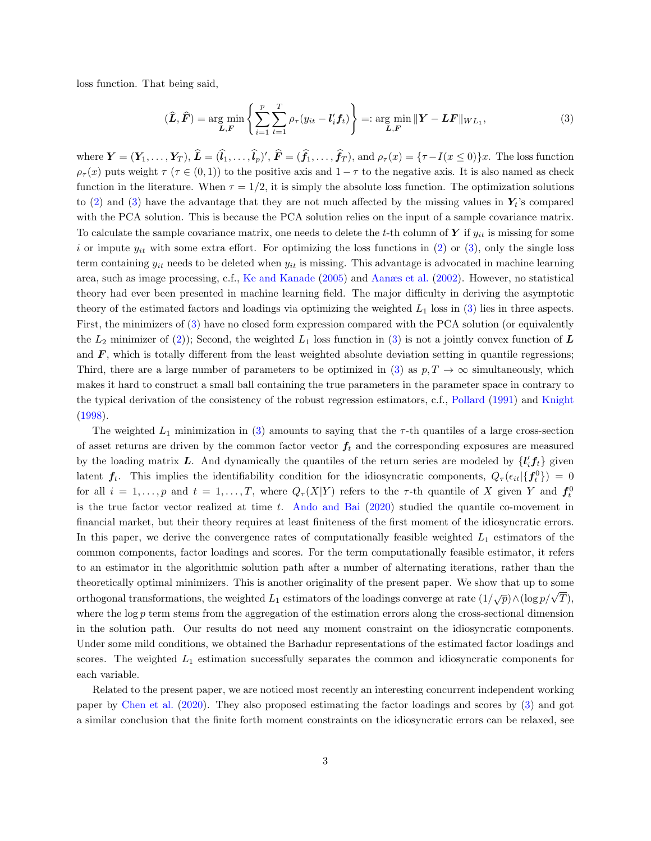loss function. That being said,

<span id="page-2-0"></span>
$$
(\widehat{\boldsymbol{L}}, \widehat{\boldsymbol{F}}) = \underset{\boldsymbol{L}, \boldsymbol{F}}{\arg \min} \left\{ \sum_{i=1}^{p} \sum_{t=1}^{T} \rho_{\tau}(y_{it} - \boldsymbol{l}'_{i} \boldsymbol{f}_{t}) \right\} =: \underset{\boldsymbol{L}, \boldsymbol{F}}{\arg \min} \|\boldsymbol{Y} - \boldsymbol{L}\boldsymbol{F}\|_{WL_{1}}, \tag{3}
$$

where  $\mathbf{Y} = (\mathbf{Y}_1, \ldots, \mathbf{Y}_T)$ ,  $\hat{\mathbf{L}} = (\hat{\mathbf{l}}_1, \ldots, \hat{\mathbf{l}}_p)'$ ,  $\hat{\mathbf{F}} = (\hat{\mathbf{f}}_1, \ldots, \hat{\mathbf{f}}_T)$ , and  $\rho_\tau(x) = {\tau - I(x \le 0)}x$ . The loss function  $\rho_{\tau}(x)$  puts weight  $\tau(\tau \in (0,1))$  to the positive axis and  $1-\tau$  to the negative axis. It is also named as check function in the literature. When  $\tau = 1/2$ , it is simply the absolute loss function. The optimization solutions to [\(2\)](#page-1-0) and [\(3\)](#page-2-0) have the advantage that they are not much affected by the missing values in  $Y_t$ 's compared with the PCA solution. This is because the PCA solution relies on the input of a sample covariance matrix. To calculate the sample covariance matrix, one needs to delete the t-th column of  $Y$  if  $y_{it}$  is missing for some i or impute  $y_{it}$  with some extra effort. For optimizing the loss functions in [\(2\)](#page-1-0) or [\(3\)](#page-2-0), only the single loss term containing  $y_{it}$  needs to be deleted when  $y_{it}$  is missing. This advantage is advocated in machine learning area, such as image processing, c.f., [Ke and Kanade](#page-16-10) [\(2005\)](#page-16-10) and [Aanæs et al.](#page-15-2) [\(2002\)](#page-15-2). However, no statistical theory had ever been presented in machine learning field. The major difficulty in deriving the asymptotic theory of the estimated factors and loadings via optimizing the weighted  $L_1$  loss in [\(3\)](#page-2-0) lies in three aspects. First, the minimizers of [\(3\)](#page-2-0) have no closed form expression compared with the PCA solution (or equivalently the  $L_2$  minimizer of [\(2\)](#page-1-0)); Second, the weighted  $L_1$  loss function in [\(3\)](#page-2-0) is not a jointly convex function of  $L$ and  $\bm{F}$ , which is totally different from the least weighted absolute deviation setting in quantile regressions; Third, there are a large number of parameters to be optimized in [\(3\)](#page-2-0) as  $p, T \to \infty$  simultaneously, which makes it hard to construct a small ball containing the true parameters in the parameter space in contrary to the typical derivation of the consistency of the robust regression estimators, c.f., [Pollard](#page-17-11) [\(1991\)](#page-17-11) and [Knight](#page-16-11) [\(1998\)](#page-16-11).

The weighted  $L_1$  minimization in [\(3\)](#page-2-0) amounts to saying that the  $\tau$ -th quantiles of a large cross-section of asset returns are driven by the common factor vector  $f_t$  and the corresponding exposures are measured by the loading matrix L. And dynamically the quantiles of the return series are modeled by  $\{l'_i f_t\}$  given latent  $f_t$ . This implies the identifiability condition for the idiosyncratic components,  $Q_{\tau}(\epsilon_{it}|\{f^0_t\}) = 0$ for all  $i = 1, \ldots, p$  and  $t = 1, \ldots, T$ , where  $Q_{\tau}(X|Y)$  refers to the  $\tau$ -th quantile of X given Y and  $f_t^0$ is the true factor vector realized at time  $t$ . [Ando and Bai](#page-16-12)  $(2020)$  studied the quantile co-movement in financial market, but their theory requires at least finiteness of the first moment of the idiosyncratic errors. In this paper, we derive the convergence rates of computationally feasible weighted  $L_1$  estimators of the common components, factor loadings and scores. For the term computationally feasible estimator, it refers to an estimator in the algorithmic solution path after a number of alternating iterations, rather than the theoretically optimal minimizers. This is another originality of the present paper. We show that up to some orthogonal transformations, the weighted  $L_1$  estimators of the loadings converge at rate  $(1/\sqrt{p}) \wedge (\log p/\sqrt{T})$ , where the  $\log p$  term stems from the aggregation of the estimation errors along the cross-sectional dimension in the solution path. Our results do not need any moment constraint on the idiosyncratic components. Under some mild conditions, we obtained the Barhadur representations of the estimated factor loadings and scores. The weighted  $L_1$  estimation successfully separates the common and idiosyncratic components for each variable.

Related to the present paper, we are noticed most recently an interesting concurrent independent working paper by [Chen et al.](#page-16-13) [\(2020\)](#page-16-13). They also proposed estimating the factor loadings and scores by [\(3\)](#page-2-0) and got a similar conclusion that the finite forth moment constraints on the idiosyncratic errors can be relaxed, see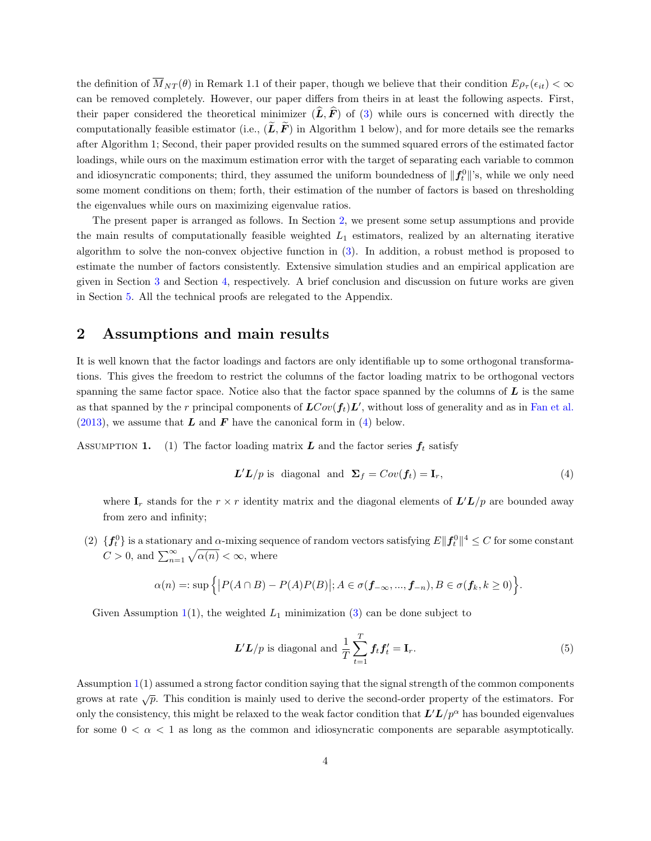the definition of  $\overline{M}_{NT}(\theta)$  in Remark 1.1 of their paper, though we believe that their condition  $E_{\rho_{\tau}}(\epsilon_{it}) < \infty$ can be removed completely. However, our paper differs from theirs in at least the following aspects. First, their paper considered the theoretical minimizer  $(\hat{L}, \hat{F})$  of [\(3\)](#page-2-0) while ours is concerned with directly the computationally feasible estimator (i.e.,  $(\tilde{L}, \tilde{F})$  in Algorithm 1 below), and for more details see the remarks after Algorithm 1; Second, their paper provided results on the summed squared errors of the estimated factor loadings, while ours on the maximum estimation error with the target of separating each variable to common and idiosyncratic components; third, they assumed the uniform boundedness of  $||f_t^0||$ 's, while we only need some moment conditions on them; forth, their estimation of the number of factors is based on thresholding the eigenvalues while ours on maximizing eigenvalue ratios.

The present paper is arranged as follows. In Section [2,](#page-3-0) we present some setup assumptions and provide the main results of computationally feasible weighted  $L_1$  estimators, realized by an alternating iterative algorithm to solve the non-convex objective function in [\(3\)](#page-2-0). In addition, a robust method is proposed to estimate the number of factors consistently. Extensive simulation studies and an empirical application are given in Section [3](#page-8-0) and Section [4,](#page-12-0) respectively. A brief conclusion and discussion on future works are given in Section [5.](#page-14-0) All the technical proofs are relegated to the Appendix.

#### <span id="page-3-0"></span>2 Assumptions and main results

It is well known that the factor loadings and factors are only identifiable up to some orthogonal transformations. This gives the freedom to restrict the columns of the factor loading matrix to be orthogonal vectors spanning the same factor space. Notice also that the factor space spanned by the columns of  $\bm{L}$  is the same as that spanned by the r principal components of  $LCov(\mathbf{f}_t)L'$ , without loss of generality and as in [Fan et al.](#page-16-3)  $(2013)$ , we assume that **L** and **F** have the canonical form in [\(4\)](#page-3-1) below.

ASSUMPTION 1. (1) The factor loading matrix  $L$  and the factor series  $f_t$  satisfy

<span id="page-3-1"></span>
$$
\mathbf{L}'\mathbf{L}/p \text{ is diagonal and } \mathbf{\Sigma}_f = Cov(\mathbf{f}_t) = \mathbf{I}_r,\tag{4}
$$

where  $\mathbf{I}_r$  stands for the  $r \times r$  identity matrix and the diagonal elements of  $\mathbf{L'L}/p$  are bounded away from zero and infinity;

(2)  $\{f_t^0\}$  is a stationary and  $\alpha$ -mixing sequence of random vectors satisfying  $E\|f_t^0\|^4 \leq C$  for some constant  $C > 0$ , and  $\sum_{n=1}^{\infty} \sqrt{\alpha(n)} < \infty$ , where

$$
\alpha(n)=:\sup\Big\{\big|P(A\cap B)-P(A)P(B)\big|;A\in\sigma(\boldsymbol{f}_{-\infty},...,\boldsymbol{f}_{-n}),B\in\sigma(\boldsymbol{f}_k,k\geq 0)\Big\}.
$$

Given Assumption [1\(](#page-0-1)1), the weighted  $L_1$  minimization [\(3\)](#page-2-0) can be done subject to

<span id="page-3-2"></span>
$$
\mathbf{L}'\mathbf{L}/p \text{ is diagonal and } \frac{1}{T} \sum_{t=1}^{T} \mathbf{f}_t \mathbf{f}_t' = \mathbf{I}_r. \tag{5}
$$

Assumption [1\(](#page-0-1)1) assumed a strong factor condition saying that the signal strength of the common components grows at rate  $\sqrt{p}$ . This condition is mainly used to derive the second-order property of the estimators. For only the consistency, this might be relaxed to the weak factor condition that  $L^{\prime}L/p^{\alpha}$  has bounded eigenvalues for some  $0 < \alpha < 1$  as long as the common and idiosyncratic components are separable asymptotically.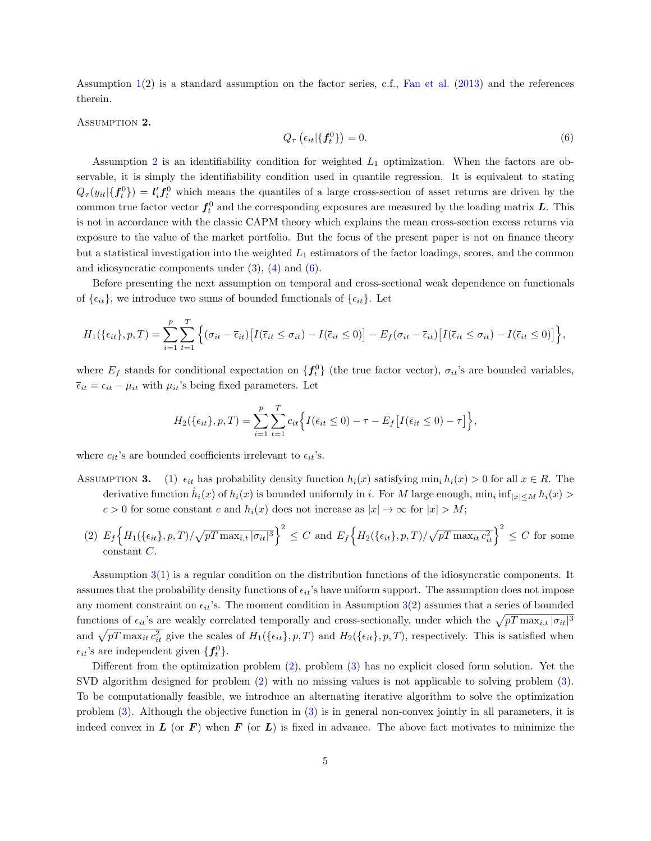Assumption  $1(2)$  $1(2)$  is a standard assumption on the factor series, c.f., [Fan et al.](#page-16-3) [\(2013\)](#page-16-3) and the references therein.

<span id="page-4-0"></span>ASSUMPTION 2.

<span id="page-4-1"></span>
$$
Q_{\tau}\left(\epsilon_{it}|\{\mathbf{f}_t^0\}\right) = 0.\tag{6}
$$

Assumption [2](#page-4-0) is an identifiability condition for weighted  $L_1$  optimization. When the factors are observable, it is simply the identifiability condition used in quantile regression. It is equivalent to stating  $Q_{\tau}(y_{it}|\{f_t^0\}) = l'_i f_t^0$  which means the quantiles of a large cross-section of asset returns are driven by the common true factor vector  $f_t^0$  and the corresponding exposures are measured by the loading matrix  $L$ . This is not in accordance with the classic CAPM theory which explains the mean cross-section excess returns via exposure to the value of the market portfolio. But the focus of the present paper is not on finance theory but a statistical investigation into the weighted  $L_1$  estimators of the factor loadings, scores, and the common and idiosyncratic components under  $(3)$ ,  $(4)$  and  $(6)$ .

Before presenting the next assumption on temporal and cross-sectional weak dependence on functionals of  $\{\epsilon_{it}\}\$ , we introduce two sums of bounded functionals of  $\{\epsilon_{it}\}\$ . Let

$$
H_1(\{\epsilon_{it}\}, p, T) = \sum_{i=1}^p \sum_{t=1}^T \Big\{ (\sigma_{it} - \overline{\epsilon}_{it}) \big[ I(\overline{\epsilon}_{it} \le \sigma_{it}) - I(\overline{\epsilon}_{it} \le 0) \big] - E_f(\sigma_{it} - \overline{\epsilon}_{it}) \big[ I(\overline{\epsilon}_{it} \le \sigma_{it}) - I(\overline{\epsilon}_{it} \le 0) \big] \Big\},
$$

where  $E_f$  stands for conditional expectation on  $\{f_t^0\}$  (the true factor vector),  $\sigma_{it}$ 's are bounded variables,  $\bar{\epsilon}_{it} = \epsilon_{it} - \mu_{it}$  with  $\mu_{it}$ 's being fixed parameters. Let

$$
H_2(\{\epsilon_{it}\}, p, T) = \sum_{i=1}^p \sum_{t=1}^T c_{it} \Big\{ I(\overline{\epsilon}_{it} \le 0) - \tau - E_f \big[ I(\overline{\epsilon}_{it} \le 0) - \tau \big] \Big\},
$$

where  $c_{it}$ 's are bounded coefficients irrelevant to  $\epsilon_{it}$ 's.

- ASSUMPTION 3. (1)  $\epsilon_{it}$  has probability density function  $h_i(x)$  satisfying min<sub>i</sub>  $h_i(x) > 0$  for all  $x \in R$ . The derivative function  $\dot{h}_i(x)$  of  $h_i(x)$  is bounded uniformly in i. For M large enough,  $\min_i \inf_{|x| \le M} h_i(x)$  $c > 0$  for some constant c and  $h_i(x)$  does not increase as  $|x| \to \infty$  for  $|x| > M$ ;
	- (2)  $E_f \Big\{ H_1(\{\epsilon_{it}\}, p, T) / \sqrt{pT \max_{i,t} |\sigma_{it}|^3} \Big\}^2 \leq C \text{ and } E_f \Big\{ H_2(\{\epsilon_{it}\}, p, T) / \sqrt{pT \max_{it} c_{it}^2} \Big\}^2 \leq C \text{ for some }$ constant C.

Assumption [3\(](#page-0-1)1) is a regular condition on the distribution functions of the idiosyncratic components. It assumes that the probability density functions of  $\epsilon_{it}$ 's have uniform support. The assumption does not impose any moment constraint on  $\epsilon_{it}$ 's. The moment condition in Assumption [3\(](#page-0-1)2) assumes that a series of bounded functions of  $\epsilon_{it}$ 's are weakly correlated temporally and cross-sectionally, under which the  $\sqrt{pT \max_{i,t} |\sigma_{it}|^3}$ and  $\sqrt{pT \max_{it} c_{it}^2}$  give the scales of  $H_1(\{\epsilon_{it}\}, p, T)$  and  $H_2(\{\epsilon_{it}\}, p, T)$ , respectively. This is satisfied when  $\epsilon_{it}$ 's are independent given  $\{f_t^0\}$ .

Different from the optimization problem [\(2\)](#page-1-0), problem [\(3\)](#page-2-0) has no explicit closed form solution. Yet the SVD algorithm designed for problem [\(2\)](#page-1-0) with no missing values is not applicable to solving problem [\(3\)](#page-2-0). To be computationally feasible, we introduce an alternating iterative algorithm to solve the optimization problem [\(3\)](#page-2-0). Although the objective function in [\(3\)](#page-2-0) is in general non-convex jointly in all parameters, it is indeed convex in  $\bm{L}$  (or  $\bm{F}$ ) when  $\bm{F}$  (or  $\bm{L}$ ) is fixed in advance. The above fact motivates to minimize the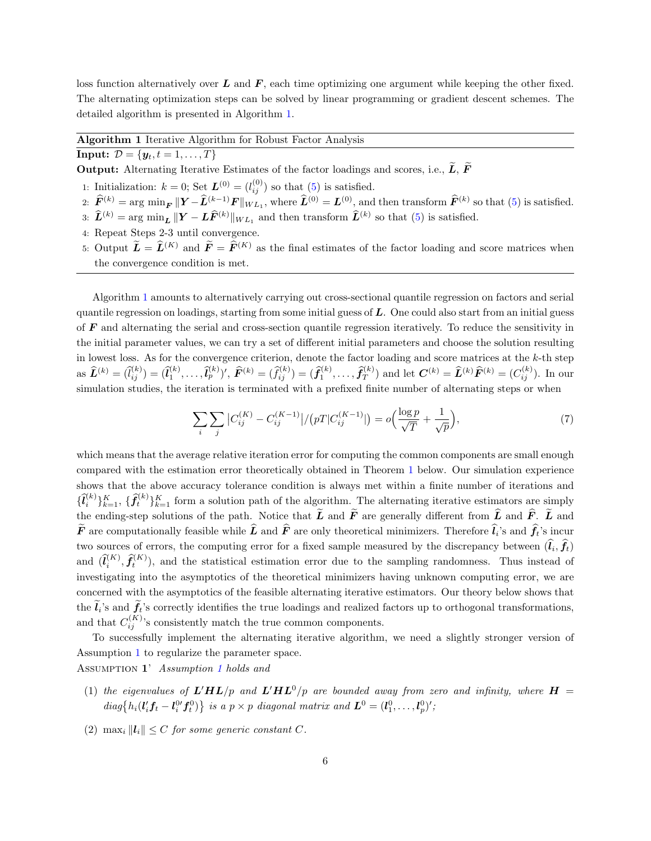loss function alternatively over  $L$  and  $F$ , each time optimizing one argument while keeping the other fixed. The alternating optimization steps can be solved by linear programming or gradient descent schemes. The detailed algorithm is presented in Algorithm [1.](#page-5-0)

#### <span id="page-5-0"></span>Algorithm 1 Iterative Algorithm for Robust Factor Analysis

#### **Input:**  $D = \{y_t, t = 1, ..., T\}$

**Output:** Alternating Iterative Estimates of the factor loadings and scores, i.e.,  $\widetilde{L}$ ,  $\widetilde{F}$ 

- 1: Initialization:  $k = 0$ ; Set  $\mathbf{L}^{(0)} = (l_{ij}^{(0)})$  so that [\(5\)](#page-3-2) is satisfied.
- 2:  $\widehat{F}^{(k)} = \arg \min_{F} ||Y \widehat{L}^{(k-1)}F||_{WL_1}$ , where  $\widehat{L}^{(0)} = L^{(0)}$ , and then transform  $\widehat{F}^{(k)}$  so that [\(5\)](#page-3-2) is satisfied. 3:  $\widehat{L}^{(k)} = \arg \min_{L} ||Y - L\widehat{F}^{(k)}||_{WL_1}$  and then transform  $\widehat{L}^{(k)}$  so that [\(5\)](#page-3-2) is satisfied.
- 4: Repeat Steps 2-3 until convergence.
- 5: Output  $\widetilde{L} = \widehat{L}^{(K)}$  and  $\widetilde{F} = \widehat{F}^{(K)}$  as the final estimates of the factor loading and score matrices when the convergence condition is met.

Algorithm [1](#page-5-0) amounts to alternatively carrying out cross-sectional quantile regression on factors and serial quantile regression on loadings, starting from some initial guess of  $L$ . One could also start from an initial guess of  $\bf{F}$  and alternating the serial and cross-section quantile regression iteratively. To reduce the sensitivity in the initial parameter values, we can try a set of different initial parameters and choose the solution resulting in lowest loss. As for the convergence criterion, denote the factor loading and score matrices at the  $k$ -th step as  $\hat{\mathbf{L}}^{(k)} = (\hat{l}_{ij}^{(k)}) = (\hat{l}_{1}^{(k)}, \dots, \hat{l}_{p}^{(k)})'$ ,  $\hat{F}^{(k)} = (\hat{f}_{ij}^{(k)}) = (\hat{f}_{1}^{(k)}, \dots, \hat{f}_{T}^{(k)})$  and let  $\mathbf{C}^{(k)} = \hat{\mathbf{L}}^{(k)} \hat{F}^{(k)} = (C_{ij}^{(k)})$ . In our simulation studies, the iteration is terminated with a prefixed finite number of alternating steps or when

$$
\sum_{i} \sum_{j} |C_{ij}^{(K)} - C_{ij}^{(K-1)}| / (pT|C_{ij}^{(K-1)}|) = o\left(\frac{\log p}{\sqrt{T}} + \frac{1}{\sqrt{p}}\right),\tag{7}
$$

which means that the average relative iteration error for computing the common components are small enough compared with the estimation error theoretically obtained in Theorem [1](#page-6-0) below. Our simulation experience shows that the above accuracy tolerance condition is always met within a finite number of iterations and  $\{\widehat{l}_{i}^{(k)}\}_{k=1}^{K}$ ,  $\{\widehat{f}_{t}^{(k)}\}_{k=1}^{K}$  form a solution path of the algorithm. The alternating iterative estimators are simply the ending-step solutions of the path. Notice that  $\widetilde{L}$  and  $\widetilde{F}$  are generally different from  $\widehat{L}$  and  $\widehat{F}$ .  $\widetilde{L}$  and **F** are computationally feasible while **L** and **F** are only theoretical minimizers. Therefore  $l_i$ 's and  $f_t$ 's incur two sources of errors, the computing error for a fixed sample measured by the discrepancy between  $(l_i, f_t)$ and  $(\hat{l}_i^{(K)}, \hat{f}_t^{(K)})$ , and the statistical estimation error due to the sampling randomness. Thus instead of investigating into the asymptotics of the theoretical minimizers having unknown computing error, we are concerned with the asymptotics of the feasible alternating iterative estimators. Our theory below shows that the  $l_i$ 's and  $f_t$ 's correctly identifies the true loadings and realized factors up to orthogonal transformations, and that  $C_{ij}^{(K)}$ 's consistently match the true common components.

To successfully implement the alternating iterative algorithm, we need a slightly stronger version of Assumption [1](#page-0-1) to regularize the parameter space.

Assumption 1' Assumption [1](#page-0-1) holds and

- (1) the eigenvalues of  $L'HL/p$  and  $L'HL^0/p$  are bounded away from zero and infinity, where  $H =$  $diag\{h_i(l'_i f_t - l_i^{0\prime} f_t^{0})\}\$ is a  $p \times p$  diagonal matrix and  $\mathbf{L}^0 = (l_1^0, \ldots, l_p^0)'$ ;
- (2) max<sub>i</sub>  $||\mathbf{l}_i|| \leq C$  for some generic constant C.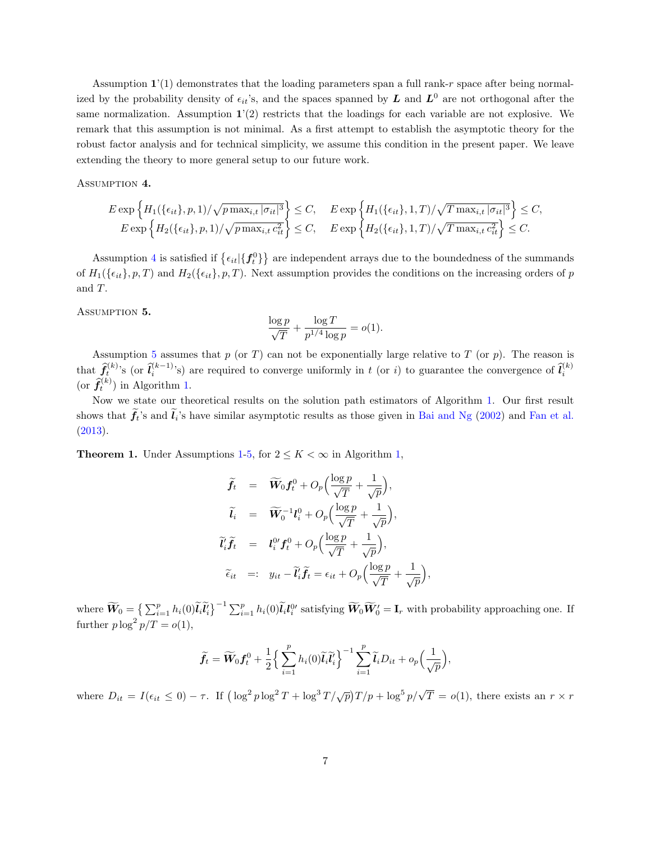Assumption  $\mathbf{1}'(1)$  demonstrates that the loading parameters span a full rank-r space after being normalized by the probability density of  $\epsilon_{it}$ 's, and the spaces spanned by L and  $L^0$  are not orthogonal after the same normalization. Assumption  $1'(2)$  restricts that the loadings for each variable are not explosive. We remark that this assumption is not minimal. As a first attempt to establish the asymptotic theory for the robust factor analysis and for technical simplicity, we assume this condition in the present paper. We leave extending the theory to more general setup to our future work.

<span id="page-6-1"></span>ASSUMPTION 4.

$$
E \exp\left\{H_1(\{\epsilon_{it}\}, p, 1)/\sqrt{p \max_{i,t} |\sigma_{it}|^3}\right\} \le C, \quad E \exp\left\{H_1(\{\epsilon_{it}\}, 1, T)/\sqrt{T \max_{i,t} |\sigma_{it}|^3}\right\} \le C,
$$
  
\n
$$
E \exp\left\{H_2(\{\epsilon_{it}\}, p, 1)/\sqrt{p \max_{i,t} c_{it}^2}\right\} \le C, \quad E \exp\left\{H_2(\{\epsilon_{it}\}, 1, T)/\sqrt{T \max_{i,t} c_{it}^2}\right\} \le C.
$$

Assumption [4](#page-6-1) is satisfied if  $\{\epsilon_{it}|\{f^0_t\}\}\$  are independent arrays due to the boundedness of the summands of  $H_1(\{\epsilon_{it}\}, p, T)$  and  $H_2(\{\epsilon_{it}\}, p, T)$ . Next assumption provides the conditions on the increasing orders of p and T.

<span id="page-6-2"></span>ASSUMPTION 5.

$$
\frac{\log p}{\sqrt{T}} + \frac{\log T}{p^{1/4} \log p} = o(1).
$$

Assumption [5](#page-6-2) assumes that  $p$  (or  $T$ ) can not be exponentially large relative to  $T$  (or  $p$ ). The reason is that  $\hat{f}_i^{(k)}$ 's (or  $\hat{l}_i^{(k-1)}$ 's) are required to converge uniformly in t (or i) to guarantee the convergence of  $\hat{l}_i^{(k)}$ (or  $\hat{f}_t^{(k)}$ ) in Algorithm [1.](#page-5-0)

Now we state our theoretical results on the solution path estimators of Algorithm [1.](#page-5-0) Our first result shows that  $f_t$ 's and  $l_i$ 's have similar asymptotic results as those given in [Bai and Ng](#page-16-1) [\(2002\)](#page-16-1) and [Fan et al.](#page-16-3) [\(2013\)](#page-16-3).

<span id="page-6-0"></span>**Theorem 1.** Under Assumptions [1-](#page-0-1)[5,](#page-6-2) for  $2 \leq K < \infty$  in Algorithm [1,](#page-5-0)

$$
\widetilde{f}_t = \widetilde{W}_0 f_t^0 + O_p \Big( \frac{\log p}{\sqrt{T}} + \frac{1}{\sqrt{p}} \Big),
$$
\n
$$
\widetilde{l}_i = \widetilde{W}_0^{-1} l_i^0 + O_p \Big( \frac{\log p}{\sqrt{T}} + \frac{1}{\sqrt{p}} \Big),
$$
\n
$$
\widetilde{l}_i' \widetilde{f}_t = l_i^0 f_t^0 + O_p \Big( \frac{\log p}{\sqrt{T}} + \frac{1}{\sqrt{p}} \Big),
$$
\n
$$
\widetilde{\epsilon}_{it} =: y_{it} - \widetilde{l}_i' \widetilde{f}_t = \epsilon_{it} + O_p \Big( \frac{\log p}{\sqrt{T}} + \frac{1}{\sqrt{p}} \Big)
$$

where  $\widetilde{W}_0 = \left\{ \sum_{i=1}^p h_i(0) \widetilde{l}_i \widetilde{l}'_i \right\}^{-1} \sum_{i=1}^p h_i(0) \widetilde{l}_i l_i^{0}$  satisfying  $\widetilde{W}_0 \widetilde{W}'_0 = \mathbf{I}_r$  with probability approaching one. If further  $p \log^2 p/T = o(1)$ ,

,

$$
\widetilde{f}_t = \widetilde{W}_0 f_t^0 + \frac{1}{2} \Big\{ \sum_{i=1}^p h_i(0) \widetilde{I}_i \widetilde{I}'_i \Big\}^{-1} \sum_{i=1}^p \widetilde{I}_i D_{it} + o_p\Big(\frac{1}{\sqrt{p}}\Big),
$$

where  $D_{it} = I(\epsilon_{it} \leq 0) - \tau$ . If  $\left(\log^2 p \log^2 T + \log^3 T/\sqrt{p}\right)T/p + \log^5 p/\sqrt{T} = o(1)$ , there exists an  $r \times r$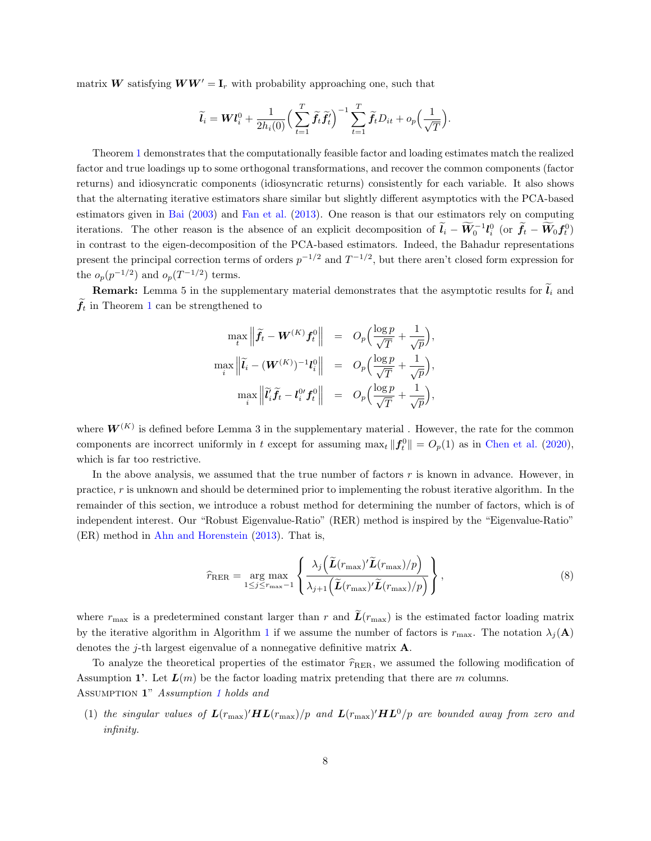matrix W satisfying  $WW' = I_r$  with probability approaching one, such that

$$
\widetilde{l}_i = \boldsymbol{W}\boldsymbol{l}_i^0 + \frac{1}{2h_i(0)} \Big(\sum_{t=1}^T \widetilde{\boldsymbol{f}}_t \widetilde{\boldsymbol{f}}_t^t\Big)^{-1} \sum_{t=1}^T \widetilde{\boldsymbol{f}}_t D_{it} + o_p\Big(\frac{1}{\sqrt{T}}\Big).
$$

Theorem [1](#page-6-0) demonstrates that the computationally feasible factor and loading estimates match the realized factor and true loadings up to some orthogonal transformations, and recover the common components (factor returns) and idiosyncratic components (idiosyncratic returns) consistently for each variable. It also shows that the alternating iterative estimators share similar but slightly different asymptotics with the PCA-based estimators given in [Bai](#page-16-2) [\(2003\)](#page-16-2) and [Fan et al.](#page-16-3) [\(2013\)](#page-16-3). One reason is that our estimators rely on computing iterations. The other reason is the absence of an explicit decomposition of  $\tilde{l}_i - \widetilde{W}_0^{-1} l_i^0$  (or  $\tilde{f}_t - \widetilde{W}_0 f_t^0$ ) in contrast to the eigen-decomposition of the PCA-based estimators. Indeed, the Bahadur representations present the principal correction terms of orders  $p^{-1/2}$  and  $T^{-1/2}$ , but there aren't closed form expression for the  $o_p(p^{-1/2})$  and  $o_p(T^{-1/2})$  terms.

**Remark:** Lemma 5 in the supplementary material demonstrates that the asymptotic results for  $\tilde{l}_i$  and  $f_t$  in Theorem [1](#page-6-0) can be strengthened to

$$
\max_{t} \left\| \widetilde{f}_{t} - \mathbf{W}^{(K)} f_{t}^{0} \right\| = O_{p} \left( \frac{\log p}{\sqrt{T}} + \frac{1}{\sqrt{p}} \right),
$$
  

$$
\max_{i} \left\| \widetilde{l}_{i} - (\mathbf{W}^{(K)})^{-1} l_{i}^{0} \right\| = O_{p} \left( \frac{\log p}{\sqrt{T}} + \frac{1}{\sqrt{p}} \right),
$$
  

$$
\max_{i} \left\| \widetilde{l}_{i}^{i} \widetilde{f}_{t} - l_{i}^{0 \prime} f_{t}^{0} \right\| = O_{p} \left( \frac{\log p}{\sqrt{T}} + \frac{1}{\sqrt{p}} \right),
$$

where  $W^{(K)}$  is defined before Lemma 3 in the supplementary material. However, the rate for the common components are incorrect uniformly in t except for assuming  $\max_t ||f_t^0|| = O_p(1)$  as in [Chen et al.](#page-16-13) [\(2020\)](#page-16-13), which is far too restrictive.

In the above analysis, we assumed that the true number of factors  $r$  is known in advance. However, in practice, r is unknown and should be determined prior to implementing the robust iterative algorithm. In the remainder of this section, we introduce a robust method for determining the number of factors, which is of independent interest. Our "Robust Eigenvalue-Ratio" (RER) method is inspired by the "Eigenvalue-Ratio" (ER) method in [Ahn and Horenstein](#page-15-0) [\(2013\)](#page-15-0). That is,

<span id="page-7-0"></span>
$$
\widehat{r}_{\text{RER}} = \underset{1 \le j \le r_{\text{max}}-1}{\arg \max} \left\{ \frac{\lambda_j \left( \widetilde{L}(r_{\text{max}})' \widetilde{L}(r_{\text{max}})/p \right)}{\lambda_{j+1} \left( \widetilde{L}(r_{\text{max}})' \widetilde{L}(r_{\text{max}})/p \right)} \right\},\tag{8}
$$

where  $r_{\text{max}}$  is a predetermined constant larger than r and  $\tilde{L}(r_{\text{max}})$  is the estimated factor loading matrix by the iterative algorithm in Algorithm [1](#page-5-0) if we assume the number of factors is  $r_{\text{max}}$ . The notation  $\lambda_i(\mathbf{A})$ denotes the *j*-th largest eigenvalue of a nonnegative definitive matrix  $\mathbf{A}$ .

To analyze the theoretical properties of the estimator  $\hat{r}_{\text{RER}}$ , we assumed the following modification of Assumption 1'. Let  $L(m)$  be the factor loading matrix pretending that there are m columns. ASSUMPTION [1](#page-0-1)" Assumption 1 holds and

(1) the singular values of  $L(r_{\rm max})' H L(r_{\rm max})/p$  and  $L(r_{\rm max})' H L^0/p$  are bounded away from zero and infinity.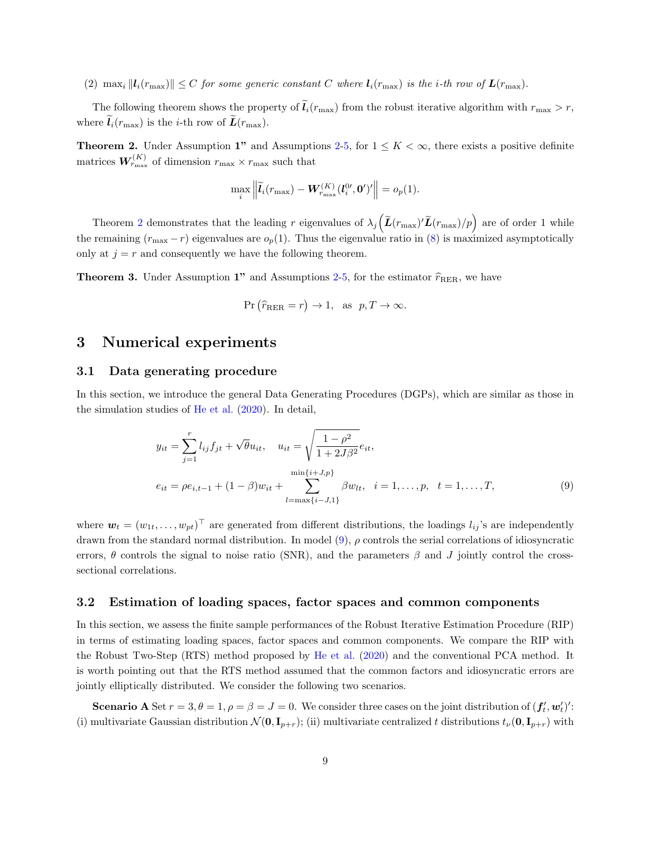(2)  $\max_i ||l_i(r_{\text{max}})|| \leq C$  for some generic constant C where  $l_i(r_{\text{max}})$  is the *i*-th row of  $L(r_{\text{max}})$ .

The following theorem shows the property of  $\tilde{l}_i(r_{\text{max}})$  from the robust iterative algorithm with  $r_{\text{max}} > r$ , where  $\tilde{l}_i(r_{\text{max}})$  is the *i*-th row of  $\tilde{L}(r_{\text{max}})$ .

<span id="page-8-1"></span>**Theorem [2](#page-4-0).** Under Assumption 1" and Assumptions 2[-5,](#page-6-2) for  $1 \leq K < \infty$ , there exists a positive definite matrices  $W_{r_{\text{max}}}^{(K)}$  of dimension  $r_{\text{max}} \times r_{\text{max}}$  such that

$$
\max_{i} \left\| \widetilde{\boldsymbol{l}}_i(r_{\max}) - \boldsymbol{W}_{r_{\max}}^{(K)}(\boldsymbol{l}_i^{0\prime},\boldsymbol{0}^\prime)^\prime \right\| = o_p(1).
$$

Theorem [2](#page-8-1) demonstrates that the leading r eigenvalues of  $\lambda_j\left(\tilde{L}(r_{\text{max}})'\tilde{L}(r_{\text{max}})/p\right)$  are of order 1 while the remaining  $(r_{\text{max}} - r)$  eigenvalues are  $o_p(1)$ . Thus the eigenvalue ratio in [\(8\)](#page-7-0) is maximized asymptotically only at  $j = r$  and consequently we have the following theorem.

**Theorem 3.** Under Assumption 1" and Assumptions [2](#page-4-0)[-5,](#page-6-2) for the estimator  $\hat{r}_{RER}$ , we have

<span id="page-8-2"></span>
$$
\Pr\left(\widehat{r}_{\text{RER}} = r\right) \to 1, \text{ as } p, T \to \infty.
$$

#### <span id="page-8-0"></span>3 Numerical experiments

#### 3.1 Data generating procedure

In this section, we introduce the general Data Generating Procedures (DGPs), which are similar as those in the simulation studies of [He et al.](#page-16-8) [\(2020\)](#page-16-8). In detail,

$$
y_{it} = \sum_{j=1}^{r} l_{ij} f_{jt} + \sqrt{\theta} u_{it}, \quad u_{it} = \sqrt{\frac{1 - \rho^2}{1 + 2J\beta^2}} e_{it},
$$

$$
e_{it} = \rho e_{i,t-1} + (1 - \beta) w_{it} + \sum_{l=\max\{i-J,1\}}^{\min\{i+J,p\}} \beta w_{lt}, \quad i = 1, \dots, p, \quad t = 1, \dots, T,
$$
(9)

where  $\mathbf{w}_t = (w_{1t}, \ldots, w_{pt})^\top$  are generated from different distributions, the loadings  $l_{ij}$ 's are independently drawn from the standard normal distribution. In model  $(9)$ ,  $\rho$  controls the serial correlations of idiosyncratic errors,  $\theta$  controls the signal to noise ratio (SNR), and the parameters  $\beta$  and J jointly control the crosssectional correlations.

#### <span id="page-8-3"></span>3.2 Estimation of loading spaces, factor spaces and common components

In this section, we assess the finite sample performances of the Robust Iterative Estimation Procedure (RIP) in terms of estimating loading spaces, factor spaces and common components. We compare the RIP with the Robust Two-Step (RTS) method proposed by [He et al.](#page-16-8) [\(2020\)](#page-16-8) and the conventional PCA method. It is worth pointing out that the RTS method assumed that the common factors and idiosyncratic errors are jointly elliptically distributed. We consider the following two scenarios.

**Scenario A** Set  $r = 3, \theta = 1, \rho = \beta = J = 0$ . We consider three cases on the joint distribution of  $(f'_t, w'_t)'$ : (i) multivariate Gaussian distribution  $\mathcal{N}(\mathbf{0}, \mathbf{I}_{p+r})$ ; (ii) multivariate centralized t distributions  $t_{\nu}(\mathbf{0}, \mathbf{I}_{p+r})$  with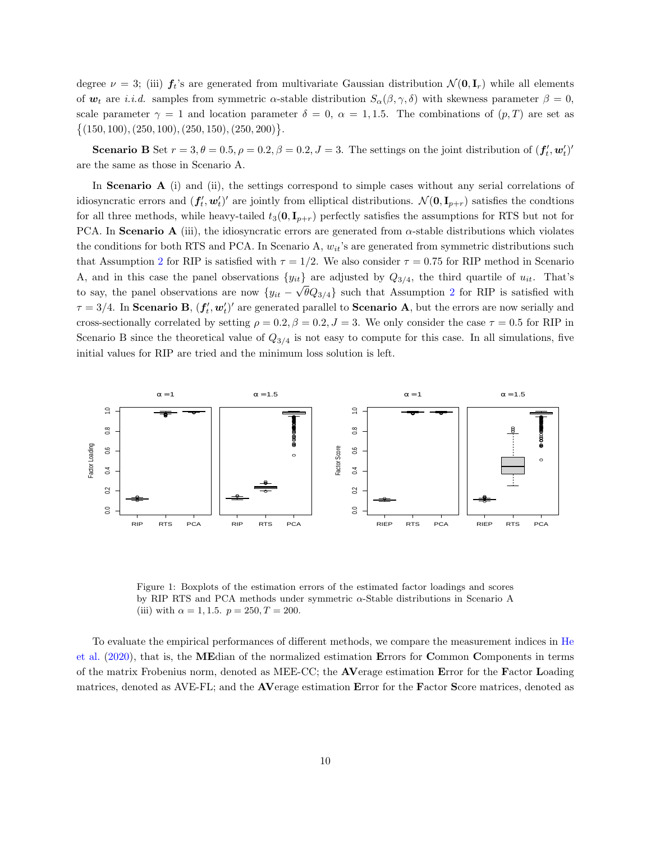degree  $\nu = 3$ ; (iii)  $f_t$ 's are generated from multivariate Gaussian distribution  $\mathcal{N}(\mathbf{0}, \mathbf{I}_r)$  while all elements of  $\mathbf{w}_t$  are *i.i.d.* samples from symmetric  $\alpha$ -stable distribution  $S_{\alpha}(\beta, \gamma, \delta)$  with skewness parameter  $\beta = 0$ , scale parameter  $\gamma = 1$  and location parameter  $\delta = 0$ ,  $\alpha = 1, 1.5$ . The combinations of  $(p, T)$  are set as  $\{(150, 100), (250, 100), (250, 150), (250, 200)\}.$ 

**Scenario B** Set  $r = 3, \theta = 0.5, \rho = 0.2, \beta = 0.2, J = 3$ . The settings on the joint distribution of  $(f'_t, w'_t)'$ are the same as those in Scenario A.

In **Scenario A** (i) and (ii), the settings correspond to simple cases without any serial correlations of idiosyncratic errors and  $(f'_t, w'_t)'$  are jointly from elliptical distributions.  $\mathcal{N}(\mathbf{0}, \mathbf{I}_{p+r})$  satisfies the condtions for all three methods, while heavy-tailed  $t_3(0, I_{p+r})$  perfectly satisfies the assumptions for RTS but not for PCA. In Scenario A (iii), the idiosyncratic errors are generated from  $\alpha$ -stable distributions which violates the conditions for both RTS and PCA. In Scenario A,  $w_{it}$ 's are generated from symmetric distributions such that Assumption [2](#page-4-0) for RIP is satisfied with  $\tau = 1/2$ . We also consider  $\tau = 0.75$  for RIP method in Scenario A, and in this case the panel observations  $\{y_{it}\}\$  are adjusted by  $Q_{3/4}$ , the third quartile of  $u_{it}$ . That's to say, the panel observations are now  ${y_{it} - \sqrt{\theta}Q_{3/4}}$  such that Assumption [2](#page-4-0) for RIP is satisfied with  $\tau = 3/4$ . In Scenario B,  $(f'_t, w'_t)'$  are generated parallel to Scenario A, but the errors are now serially and cross-sectionally correlated by setting  $\rho = 0.2$ ,  $\beta = 0.2$ ,  $J = 3$ . We only consider the case  $\tau = 0.5$  for RIP in Scenario B since the theoretical value of  $Q_{3/4}$  is not easy to compute for this case. In all simulations, five initial values for RIP are tried and the minimum loss solution is left.

<span id="page-9-0"></span>

Figure 1: Boxplots of the estimation errors of the estimated factor loadings and scores by RIP RTS and PCA methods under symmetric α-Stable distributions in Scenario A (iii) with  $\alpha = 1, 1.5$ .  $p = 250, T = 200$ .

To evaluate the empirical performances of different methods, we compare the measurement indices in [He](#page-16-8) [et al.](#page-16-8) [\(2020\)](#page-16-8), that is, the MEdian of the normalized estimation Errors for Common Components in terms of the matrix Frobenius norm, denoted as MEE-CC; the AVerage estimation Error for the Factor Loading matrices, denoted as AVE-FL; and the AVerage estimation Error for the Factor Score matrices, denoted as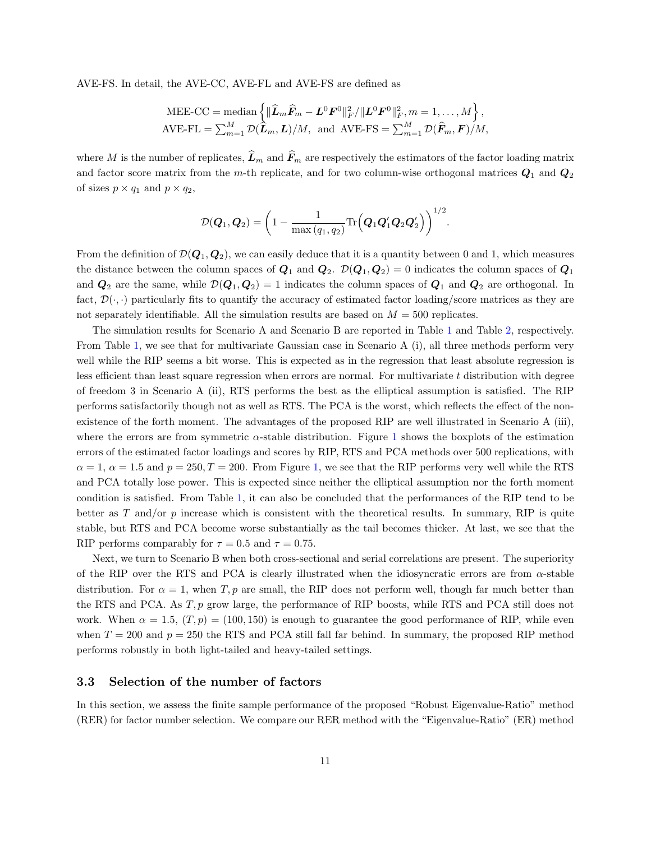AVE-FS. In detail, the AVE-CC, AVE-FL and AVE-FS are defined as

$$
\text{MEE-CC} = \text{median}\left\{ \|\widehat{\mathbf{L}}_m\widehat{\mathbf{F}}_m - \mathbf{L}^0\mathbf{F}^0\|_F^2 / \|\mathbf{L}^0\mathbf{F}^0\|_F^2, m = 1, ..., M \right\},
$$
  
AVE-FL =  $\sum_{m=1}^M \mathcal{D}(\widehat{\mathbf{L}}_m, \mathbf{L})/M$ , and AVE-FS =  $\sum_{m=1}^M \mathcal{D}(\widehat{\mathbf{F}}_m, \mathbf{F})/M$ ,

where M is the number of replicates,  $\widehat{L}_m$  and  $\widehat{F}_m$  are respectively the estimators of the factor loading matrix and factor score matrix from the m-th replicate, and for two column-wise orthogonal matrices  $Q_1$  and  $Q_2$ of sizes  $p \times q_1$  and  $p \times q_2$ ,

$$
\mathcal{D}(\boldsymbol{Q}_1,\boldsymbol{Q}_2)=\bigg(1-\frac{1}{\max\left(q_1,q_2\right)}\text{Tr}\Big(\boldsymbol{Q}_1\boldsymbol{Q}_1'\boldsymbol{Q}_2\boldsymbol{Q}_2'\Big)\bigg)^{1/2}.
$$

From the definition of  $\mathcal{D}(\mathbf{Q}_1, \mathbf{Q}_2)$ , we can easily deduce that it is a quantity between 0 and 1, which measures the distance between the column spaces of  $Q_1$  and  $Q_2$ .  $\mathcal{D}(Q_1, Q_2) = 0$  indicates the column spaces of  $Q_1$ and  $Q_2$  are the same, while  $\mathcal{D}(Q_1, Q_2) = 1$  indicates the column spaces of  $Q_1$  and  $Q_2$  are orthogonal. In fact,  $\mathcal{D}(\cdot,\cdot)$  particularly fits to quantify the accuracy of estimated factor loading/score matrices as they are not separately identifiable. All the simulation results are based on  $M = 500$  replicates.

The simulation results for Scenario A and Scenario B are reported in Table [1](#page-11-0) and Table [2,](#page-12-1) respectively. From Table [1,](#page-11-0) we see that for multivariate Gaussian case in Scenario A (i), all three methods perform very well while the RIP seems a bit worse. This is expected as in the regression that least absolute regression is less efficient than least square regression when errors are normal. For multivariate t distribution with degree of freedom 3 in Scenario A (ii), RTS performs the best as the elliptical assumption is satisfied. The RIP performs satisfactorily though not as well as RTS. The PCA is the worst, which reflects the effect of the nonexistence of the forth moment. The advantages of the proposed RIP are well illustrated in Scenario A (iii), where the errors are from symmetric  $\alpha$ -stable distribution. Figure [1](#page-9-0) shows the boxplots of the estimation errors of the estimated factor loadings and scores by RIP, RTS and PCA methods over 500 replications, with  $\alpha = 1, \alpha = 1.5$  $\alpha = 1, \alpha = 1.5$  $\alpha = 1, \alpha = 1.5$  and  $p = 250, T = 200$ . From Figure 1, we see that the RIP performs very well while the RTS and PCA totally lose power. This is expected since neither the elliptical assumption nor the forth moment condition is satisfied. From Table [1,](#page-11-0) it can also be concluded that the performances of the RIP tend to be better as  $T$  and/or  $p$  increase which is consistent with the theoretical results. In summary, RIP is quite stable, but RTS and PCA become worse substantially as the tail becomes thicker. At last, we see that the RIP performs comparably for  $\tau = 0.5$  and  $\tau = 0.75$ .

Next, we turn to Scenario B when both cross-sectional and serial correlations are present. The superiority of the RIP over the RTS and PCA is clearly illustrated when the idiosyncratic errors are from  $\alpha$ -stable distribution. For  $\alpha = 1$ , when T, p are small, the RIP does not perform well, though far much better than the RTS and PCA. As  $T, p$  grow large, the performance of RIP boosts, while RTS and PCA still does not work. When  $\alpha = 1.5$ ,  $(T, p) = (100, 150)$  is enough to guarantee the good performance of RIP, while even when  $T = 200$  and  $p = 250$  the RTS and PCA still fall far behind. In summary, the proposed RIP method performs robustly in both light-tailed and heavy-tailed settings.

#### 3.3 Selection of the number of factors

In this section, we assess the finite sample performance of the proposed "Robust Eigenvalue-Ratio" method (RER) for factor number selection. We compare our RER method with the "Eigenvalue-Ratio" (ER) method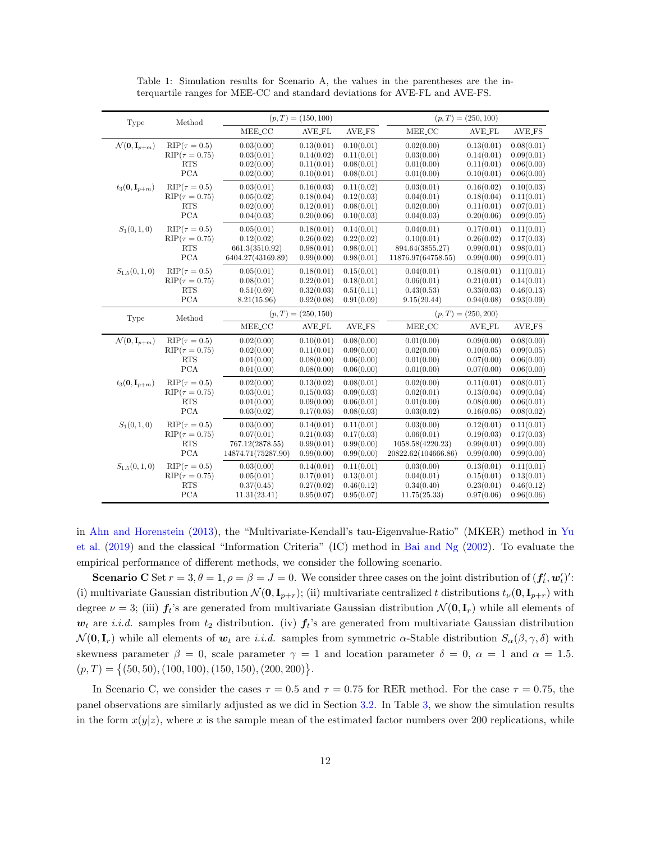<span id="page-11-0"></span>

| Type                                        | Method                 | $(p, T) = (150, 100)$                                       |               |               | $(p, T) = (250, 100)$                                                         |               |               |  |
|---------------------------------------------|------------------------|-------------------------------------------------------------|---------------|---------------|-------------------------------------------------------------------------------|---------------|---------------|--|
|                                             |                        | MEE_CC                                                      | <b>AVE_FL</b> | <b>AVE_FS</b> | MEE_CC                                                                        | <b>AVE_FL</b> | <b>AVE_FS</b> |  |
| $\mathcal{N}(\mathbf{0}, \mathbf{I}_{p+m})$ | $RIP(\tau=0.5)$        | 0.03(0.00)                                                  | 0.13(0.01)    | 0.10(0.01)    | 0.02(0.00)                                                                    | 0.13(0.01)    | 0.08(0.01)    |  |
|                                             | $RIP(\tau = 0.75)$     | 0.03(0.01)                                                  | 0.14(0.02)    | 0.11(0.01)    | 0.03(0.00)                                                                    | 0.14(0.01)    | 0.09(0.01)    |  |
|                                             | <b>RTS</b>             | 0.02(0.00)                                                  | 0.11(0.01)    | 0.08(0.01)    | 0.01(0.00)                                                                    | 0.11(0.01)    | 0.06(0.00)    |  |
|                                             | <b>PCA</b>             | 0.02(0.00)                                                  | 0.10(0.01)    | 0.08(0.01)    | 0.01(0.00)                                                                    | 0.10(0.01)    | 0.06(0.00)    |  |
| $t_3(0, \mathbf{I}_{p+m})$                  | $RIP(\tau=0.5)$        | 0.03(0.01)                                                  | 0.16(0.03)    | 0.11(0.02)    | 0.03(0.01)                                                                    | 0.16(0.02)    | 0.10(0.03)    |  |
|                                             | $RIP(\tau = 0.75)$     | 0.05(0.02)                                                  | 0.18(0.04)    | 0.12(0.03)    | 0.04(0.01)                                                                    | 0.18(0.04)    | 0.11(0.01)    |  |
|                                             | <b>RTS</b>             | 0.02(0.00)                                                  | 0.12(0.01)    | 0.08(0.01)    | 0.02(0.00)                                                                    | 0.11(0.01)    | 0.07(0.01)    |  |
|                                             | <b>PCA</b>             | 0.04(0.03)                                                  | 0.20(0.06)    | 0.10(0.03)    | 0.04(0.03)                                                                    | 0.20(0.06)    | 0.09(0.05)    |  |
| $S_1(0,1,0)$                                | $\text{RIP}(\tau=0.5)$ | 0.05(0.01)                                                  | 0.18(0.01)    | 0.14(0.01)    | 0.04(0.01)                                                                    | 0.17(0.01)    | 0.11(0.01)    |  |
|                                             | $RIP(\tau = 0.75)$     | 0.12(0.02)                                                  | 0.26(0.02)    | 0.22(0.02)    | 0.10(0.01)                                                                    | 0.26(0.02)    | 0.17(0.03)    |  |
|                                             | <b>RTS</b>             | 661.3(3510.92)                                              | 0.98(0.01)    | 0.98(0.01)    | 894.64(3855.27)                                                               | 0.99(0.01)    | 0.98(0.01)    |  |
|                                             | <b>PCA</b>             | 6404.27(43169.89)                                           | 0.99(0.00)    | 0.98(0.01)    | 11876.97(64758.55)                                                            | 0.99(0.00)    | 0.99(0.01)    |  |
| $S_{1.5}(0,1,0)$                            | $RIP(\tau=0.5)$        | 0.05(0.01)                                                  | 0.18(0.01)    | 0.15(0.01)    | 0.04(0.01)                                                                    | 0.18(0.01)    | 0.11(0.01)    |  |
|                                             | $RIP(\tau=0.75)$       | 0.08(0.01)                                                  | 0.22(0.01)    | 0.18(0.01)    | 0.06(0.01)                                                                    | 0.21(0.01)    | 0.14(0.01)    |  |
|                                             | <b>RTS</b>             | 0.51(0.69)                                                  | 0.32(0.03)    | 0.51(0.11)    | 0.43(0.53)                                                                    | 0.33(0.03)    | 0.46(0.13)    |  |
|                                             | <b>PCA</b>             | 8.21(15.96)                                                 | 0.92(0.08)    | 0.91(0.09)    | 9.15(20.44)                                                                   | 0.94(0.08)    | 0.93(0.09)    |  |
| Type                                        | Method                 | $(p, T) = (250, 150)$<br>MEE <sub>CC</sub><br><b>AVE_FL</b> |               | <b>AVE_FS</b> | $(p, T) = (250, 200)$<br>MEE <sub>-CC</sub><br><b>AVE_FS</b><br><b>AVE_FL</b> |               |               |  |
| $\mathcal{N}(\mathbf{0}, \mathbf{I}_{p+m})$ | $RIP(\tau=0.5)$        | 0.02(0.00)                                                  | 0.10(0.01)    | 0.08(0.00)    | 0.01(0.00)                                                                    | 0.09(0.00)    | 0.08(0.00)    |  |
|                                             | $RIP(\tau=0.75)$       | 0.02(0.00)                                                  | 0.11(0.01)    | 0.09(0.00)    | 0.02(0.00)                                                                    | 0.10(0.05)    | 0.09(0.05)    |  |
|                                             | <b>RTS</b>             | 0.01(0.00)                                                  | 0.08(0.00)    | 0.06(0.00)    | 0.01(0.00)                                                                    | 0.07(0.00)    | 0.06(0.00)    |  |
|                                             | <b>PCA</b>             | 0.01(0.00)                                                  | 0.08(0.00)    | 0.06(0.00)    | 0.01(0.00)                                                                    | 0.07(0.00)    | 0.06(0.00)    |  |
| $t_3(0,\mathbf{I}_{p+m})$                   | $RIP(\tau=0.5)$        | 0.02(0.00)                                                  | 0.13(0.02)    | 0.08(0.01)    | 0.02(0.00)                                                                    | 0.11(0.01)    | 0.08(0.01)    |  |
|                                             | $RIP(\tau=0.75)$       | 0.03(0.01)                                                  | 0.15(0.03)    | 0.09(0.03)    | 0.02(0.01)                                                                    | 0.13(0.04)    | 0.09(0.04)    |  |
|                                             | RTS                    | 0.01(0.00)                                                  | 0.09(0.00)    | 0.06(0.01)    | 0.01(0.00)                                                                    | 0.08(0.00)    | 0.06(0.01)    |  |
|                                             | <b>PCA</b>             | 0.03(0.02)                                                  | 0.17(0.05)    | 0.08(0.03)    | 0.03(0.02)                                                                    | 0.16(0.05)    | 0.08(0.02)    |  |
| $S_1(0,1,0)$                                | $\text{RIP}(\tau=0.5)$ | 0.03(0.00)                                                  | 0.14(0.01)    | 0.11(0.01)    | 0.03(0.00)                                                                    | 0.12(0.01)    | 0.11(0.01)    |  |
|                                             | $RIP(\tau=0.75)$       | 0.07(0.01)                                                  | 0.21(0.03)    | 0.17(0.03)    | 0.06(0.01)                                                                    | 0.19(0.03)    | 0.17(0.03)    |  |
|                                             | <b>RTS</b>             | 767.12(2878.55)                                             | 0.99(0.01)    | 0.99(0.00)    | 1058.58(4220.23)                                                              | 0.99(0.01)    | 0.99(0.00)    |  |
|                                             | <b>PCA</b>             | 14874.71(75287.90)                                          | 0.99(0.00)    | 0.99(0.00)    | 20822.62(104666.86)                                                           | 0.99(0.00)    | 0.99(0.00)    |  |
| $S_{1.5}(0,1,0)$                            | $RIP(\tau=0.5)$        | 0.03(0.00)                                                  | 0.14(0.01)    | 0.11(0.01)    | 0.03(0.00)                                                                    | 0.13(0.01)    | 0.11(0.01)    |  |
|                                             | $RIP(\tau=0.75)$       | 0.05(0.01)                                                  | 0.17(0.01)    | 0.13(0.01)    | 0.04(0.01)                                                                    | 0.15(0.01)    | 0.13(0.01)    |  |
|                                             | <b>RTS</b>             | 0.37(0.45)                                                  | 0.27(0.02)    | 0.46(0.12)    | 0.34(0.40)                                                                    | 0.23(0.01)    | 0.46(0.12)    |  |
|                                             | PCA                    | 11.31(23.41)                                                | 0.95(0.07)    | 0.95(0.07)    | 11.75(25.33)                                                                  | 0.97(0.06)    | 0.96(0.06)    |  |

Table 1: Simulation results for Scenario A, the values in the parentheses are the interquartile ranges for MEE-CC and standard deviations for AVE-FL and AVE-FS.

in [Ahn and Horenstein](#page-15-0) [\(2013\)](#page-15-0), the "Multivariate-Kendall's tau-Eigenvalue-Ratio" (MKER) method in [Yu](#page-17-12) [et al.](#page-17-12) [\(2019\)](#page-17-12) and the classical "Information Criteria" (IC) method in [Bai and Ng](#page-16-1) [\(2002\)](#page-16-1). To evaluate the empirical performance of different methods, we consider the following scenario.

**Scenario C** Set  $r = 3, \theta = 1, \rho = \beta = J = 0$ . We consider three cases on the joint distribution of  $(f'_t, w'_t)'$ : (i) multivariate Gaussian distribution  $\mathcal{N}(\mathbf{0}, \mathbf{I}_{p+r})$ ; (ii) multivariate centralized t distributions  $t_{\nu}(\mathbf{0}, \mathbf{I}_{p+r})$  with degree  $\nu = 3$ ; (iii)  $f_t$ 's are generated from multivariate Gaussian distribution  $\mathcal{N}(\mathbf{0}, \mathbf{I}_r)$  while all elements of  $w_t$  are i.i.d. samples from  $t_2$  distribution. (iv)  $f_t$ 's are generated from multivariate Gaussian distribution  $\mathcal{N}(\mathbf{0}, \mathbf{I}_r)$  while all elements of  $\mathbf{w}_t$  are i.i.d. samples from symmetric  $\alpha$ -Stable distribution  $S_{\alpha}(\beta, \gamma, \delta)$  with skewness parameter  $\beta = 0$ , scale parameter  $\gamma = 1$  and location parameter  $\delta = 0$ ,  $\alpha = 1$  and  $\alpha = 1.5$ .  $(p, T) = \{(50, 50), (100, 100), (150, 150), (200, 200)\}.$ 

In Scenario C, we consider the cases  $\tau = 0.5$  and  $\tau = 0.75$  for RER method. For the case  $\tau = 0.75$ , the panel observations are similarly adjusted as we did in Section [3.2.](#page-8-3) In Table [3,](#page-13-0) we show the simulation results in the form  $x(y|z)$ , where x is the sample mean of the estimated factor numbers over 200 replications, while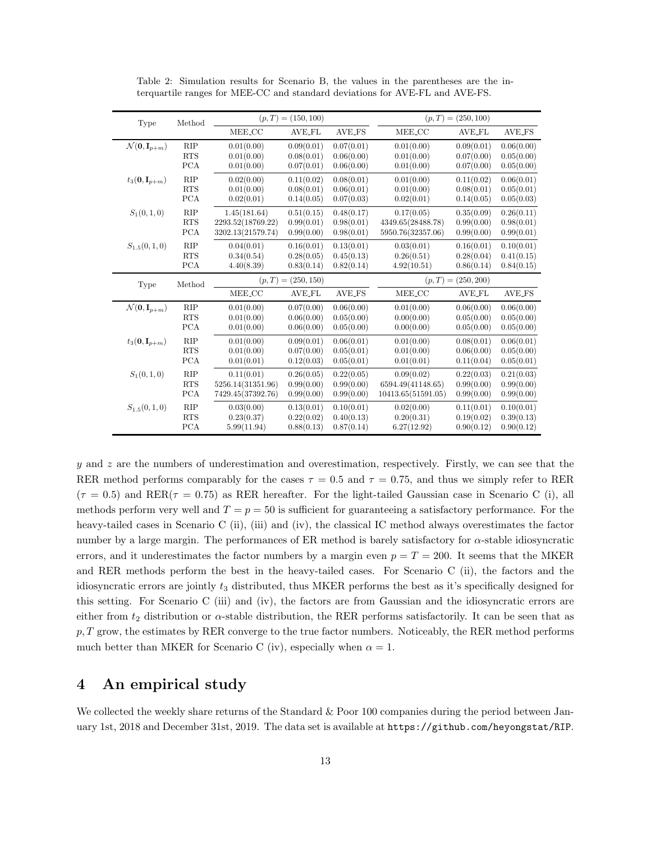<span id="page-12-1"></span>

| Type                                        | Method     |                       | $(p, T) = (150, 100)$    |               | $(p, T) = (250, 100)$ |               |               |  |
|---------------------------------------------|------------|-----------------------|--------------------------|---------------|-----------------------|---------------|---------------|--|
|                                             |            | MEE_CC                | AVE_FL                   | AVE_FS        | MEE_CC                | <b>AVE_FL</b> | AVE_FS        |  |
| $\mathcal{N}(\mathbf{0}, \mathbf{I}_{p+m})$ | RIP        | 0.01(0.00)            | 0.09(0.01)<br>0.07(0.01) |               | 0.01(0.00)            | 0.09(0.01)    | 0.06(0.00)    |  |
|                                             | <b>RTS</b> | 0.01(0.00)            | 0.08(0.01)               | 0.06(0.00)    | 0.01(0.00)            | 0.07(0.00)    | 0.05(0.00)    |  |
|                                             | <b>PCA</b> | 0.01(0.00)            | 0.07(0.01)               | 0.06(0.00)    | 0.01(0.00)            | 0.07(0.00)    | 0.05(0.00)    |  |
| $t_3(0, \mathbf{I}_{p+m})$                  | RIP        | 0.02(0.00)            | 0.11(0.02)               | 0.08(0.01)    | 0.01(0.00)            | 0.11(0.02)    | 0.06(0.01)    |  |
|                                             | <b>RTS</b> | 0.01(0.00)            | 0.08(0.01)               | 0.06(0.01)    | 0.01(0.00)            | 0.08(0.01)    | 0.05(0.01)    |  |
|                                             | <b>PCA</b> | 0.02(0.01)            | 0.14(0.05)               | 0.07(0.03)    | 0.02(0.01)            | 0.14(0.05)    | 0.05(0.03)    |  |
| $S_1(0,1,0)$                                | $\rm RIP$  | 1.45(181.64)          | 0.51(0.15)               | 0.48(0.17)    | 0.17(0.05)            | 0.35(0.09)    | 0.26(0.11)    |  |
|                                             | <b>RTS</b> | 2293.52(18769.22)     | 0.99(0.01)               | 0.98(0.01)    | 4349.65(28488.78)     | 0.99(0.00)    | 0.98(0.01)    |  |
|                                             | <b>PCA</b> | 3202.13(21579.74)     | 0.99(0.00)               | 0.98(0.01)    | 5950.76(32357.06)     | 0.99(0.00)    | 0.99(0.01)    |  |
| $S_{1.5}(0,1,0)$                            | $\rm RIP$  | 0.04(0.01)            | 0.16(0.01)               | 0.13(0.01)    | 0.03(0.01)            | 0.16(0.01)    | 0.10(0.01)    |  |
|                                             | <b>RTS</b> | 0.34(0.54)            | 0.28(0.05)               | 0.45(0.13)    | 0.26(0.51)            | 0.28(0.04)    | 0.41(0.15)    |  |
|                                             | <b>PCA</b> | 4.40(8.39)            | 0.83(0.14)               | 0.82(0.14)    | 4.92(10.51)           | 0.86(0.14)    | 0.84(0.15)    |  |
| Type                                        | Method     | $(p, T) = (250, 150)$ |                          |               | $(p, T) = (250, 200)$ |               |               |  |
|                                             |            | MEE_CC                | <b>AVE_FL</b>            | <b>AVE_FS</b> | MEE_CC                | <b>AVE_FL</b> | <b>AVE_FS</b> |  |
| $\mathcal{N}(\mathbf{0}, \mathbf{I}_{p+m})$ | $\rm RIP$  | 0.01(0.00)            | 0.07(0.00)               | 0.06(0.00)    | 0.01(0.00)            | 0.06(0.00)    | 0.06(0.00)    |  |
|                                             | <b>RTS</b> | 0.01(0.00)            | 0.06(0.00)               | 0.05(0.00)    | 0.00(0.00)            | 0.05(0.00)    | 0.05(0.00)    |  |
|                                             | <b>PCA</b> | 0.01(0.00)            | 0.06(0.00)               | 0.05(0.00)    | 0.00(0.00)            | 0.05(0.00)    | 0.05(0.00)    |  |
| $t_3(0,\mathbf{I}_{p+m})$                   | <b>RIP</b> | 0.01(0.00)            | 0.09(0.01)               | 0.06(0.01)    | 0.01(0.00)            | 0.08(0.01)    | 0.06(0.01)    |  |
|                                             | <b>RTS</b> | 0.01(0.00)            | 0.07(0.00)               | 0.05(0.01)    | 0.01(0.00)            | 0.06(0.00)    | 0.05(0.00)    |  |
|                                             | <b>PCA</b> | 0.01(0.01)            | 0.12(0.03)               | 0.05(0.01)    | 0.01(0.01)            | 0.11(0.04)    | 0.05(0.01)    |  |
| $S_1(0,1,0)$                                | $\rm RIP$  | 0.11(0.01)            | 0.26(0.05)               | 0.22(0.05)    | 0.09(0.02)            | 0.22(0.03)    | 0.21(0.03)    |  |
|                                             | <b>RTS</b> | 5256.14(31351.96)     | 0.99(0.00)               | 0.99(0.00)    | 6594.49(41148.65)     | 0.99(0.00)    | 0.99(0.00)    |  |
|                                             | <b>PCA</b> | 7429.45(37392.76)     | 0.99(0.00)               | 0.99(0.00)    | 10413.65(51591.05)    | 0.99(0.00)    | 0.99(0.00)    |  |
| $S_{1.5}(0,1,0)$                            | <b>RIP</b> | 0.03(0.00)            | 0.13(0.01)               | 0.10(0.01)    | 0.02(0.00)            | 0.11(0.01)    | 0.10(0.01)    |  |
|                                             | <b>RTS</b> | 0.23(0.37)            | 0.22(0.02)               | 0.40(0.13)    | 0.20(0.31)            | 0.19(0.02)    | 0.39(0.13)    |  |
|                                             | <b>PCA</b> | 5.99(11.94)           | 0.88(0.13)               | 0.87(0.14)    | 6.27(12.92)           | 0.90(0.12)    | 0.90(0.12)    |  |

Table 2: Simulation results for Scenario B, the values in the parentheses are the interquartile ranges for MEE-CC and standard deviations for AVE-FL and AVE-FS.

y and z are the numbers of underestimation and overestimation, respectively. Firstly, we can see that the RER method performs comparably for the cases  $\tau = 0.5$  and  $\tau = 0.75$ , and thus we simply refer to RER  $(\tau = 0.5)$  and RER( $\tau = 0.75$ ) as RER hereafter. For the light-tailed Gaussian case in Scenario C (i), all methods perform very well and  $T = p = 50$  is sufficient for guaranteeing a satisfactory performance. For the heavy-tailed cases in Scenario C (ii), (iii) and (iv), the classical IC method always overestimates the factor number by a large margin. The performances of ER method is barely satisfactory for  $\alpha$ -stable idiosyncratic errors, and it underestimates the factor numbers by a margin even  $p = T = 200$ . It seems that the MKER and RER methods perform the best in the heavy-tailed cases. For Scenario C (ii), the factors and the idiosyncratic errors are jointly  $t_3$  distributed, thus MKER performs the best as it's specifically designed for this setting. For Scenario C (iii) and (iv), the factors are from Gaussian and the idiosyncratic errors are either from  $t_2$  distribution or  $\alpha$ -stable distribution, the RER performs satisfactorily. It can be seen that as  $p, T$  grow, the estimates by RER converge to the true factor numbers. Noticeably, the RER method performs much better than MKER for Scenario C (iv), especially when  $\alpha = 1$ .

#### <span id="page-12-0"></span>4 An empirical study

We collected the weekly share returns of the Standard & Poor 100 companies during the period between January 1st, 2018 and December 31st, 2019. The data set is available at https://github.com/heyongstat/RIP.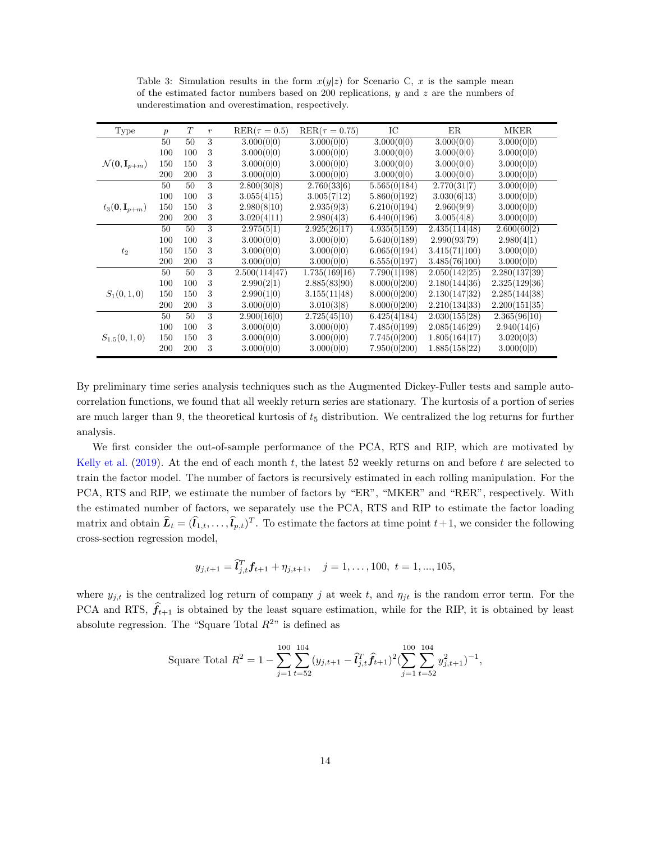<span id="page-13-0"></span>

| Type                                        | $\boldsymbol{p}$ | T   | $\boldsymbol{r}$ | $RER(\tau=0.5)$ | $RER(\tau = 0.75)$ | IC           | ER            | MKER          |
|---------------------------------------------|------------------|-----|------------------|-----------------|--------------------|--------------|---------------|---------------|
|                                             | 50               | 50  | 3                | 3.000(0 0)      | 3.000(0 0)         | 3.000(0 0)   | 3.000(0 0)    | 3.000(0 0)    |
|                                             | 100              | 100 | 3                | 3.000(0 0)      | 3.000(0 0)         | 3.000(0 0)   | 3.000(0 0)    | 3.000(0 0)    |
| $\mathcal{N}(\mathbf{0}, \mathbf{I}_{p+m})$ | 150              | 150 | 3                | 3.000(0 0)      | 3.000(0 0)         | 3.000(0 0)   | 3.000(0 0)    | 3.000(0 0)    |
|                                             | <b>200</b>       | 200 | 3                | 3.000(0 0)      | 3.000(0 0)         | 3.000(0 0)   | 3.000(0 0)    | 3.000(0 0)    |
|                                             | 50               | 50  | 3                | 2.800(30 8)     | 2.760(33 6)        | 5.565(0 184) | 2.770(31 7)   | 3.000(0 0)    |
|                                             | 100              | 100 | 3                | 3.055(4 15)     | 3.005(7 12)        | 5.860(0 192) | 3.030(6 13)   | 3.000(0 0)    |
| $t_3(0, \mathbf{I}_{p+m})$                  | 150              | 150 | 3                | 2.980(8 10)     | 2.935(9 3)         | 6.210(0 194) | 2.960(9 9)    | 3.000(0 0)    |
|                                             | 200              | 200 | 3                | 3.020(4 11)     | 2.980(4 3)         | 6.440(0 196) | 3.005(4 8)    | 3.000(0 0)    |
|                                             | 50               | 50  | 3                | 2.975(5 1)      | 2.925(26 17)       | 4.935(5 159) | 2.435(114 48) | 2.600(60 2)   |
|                                             | 100              | 100 | 3                | 3.000(0 0)      | 3.000(0 0)         | 5.640(0 189) | 2.990(93 79)  | 2.980(4 1)    |
| $t_2$                                       | 150              | 150 | 3                | 3.000(0 0)      | 3.000(0 0)         | 6.065(0 194) | 3.415(71 100) | 3.000(0 0)    |
|                                             | 200              | 200 | 3                | 3.000(0 0)      | 3.000(0 0)         | 6.555(0 197) | 3.485(76 100) | 3.000(0 0)    |
|                                             | 50               | 50  | 3                | 2.500(114 47)   | 1.735(169 16)      | 7.790(1 198) | 2.050(142 25) | 2.280(137 39) |
|                                             | 100              | 100 | 3                | 2.990(2 1)      | 2.885(83 90)       | 8.000(0 200) | 2.180(144 36) | 2.325(129 36) |
| $S_1(0,1,0)$                                | 150              | 150 | 3                | 2.990(1 0)      | 3.155(11 48)       | 8.000(0 200) | 2.130(147 32) | 2.285(144 38) |
|                                             | 200              | 200 | 3                | 3.000(0 0)      | 3.010(3 8)         | 8.000(0 200) | 2.210(134 33) | 2.200(151 35) |
|                                             | 50               | 50  | 3                | 2.900(16 0)     | 2.725(45 10)       | 6.425(4 184) | 2.030(155 28) | 2.365(96 10)  |
|                                             | 100              | 100 | 3                | 3.000(0 0)      | 3.000(0 0)         | 7.485(0 199) | 2.085(146 29) | 2.940(14 6)   |
| $S_{1.5}(0,1,0)$                            | 150              | 150 | 3                | 3.000(0 0)      | 3.000(0 0)         | 7.745(0 200) | 1.805(164 17) | 3.020(0 3)    |
|                                             | 200              | 200 | 3                | 3.000(0 0)      | 3.000(0 0)         | 7.950(0 200) | 1.885(158 22) | 3.000(0 0)    |

Table 3: Simulation results in the form  $x(y|z)$  for Scenario C, x is the sample mean of the estimated factor numbers based on  $200$  replications, y and z are the numbers of underestimation and overestimation, respectively.

By preliminary time series analysis techniques such as the Augmented Dickey-Fuller tests and sample autocorrelation functions, we found that all weekly return series are stationary. The kurtosis of a portion of series are much larger than 9, the theoretical kurtosis of  $t_5$  distribution. We centralized the log returns for further analysis.

We first consider the out-of-sample performance of the PCA, RTS and RIP, which are motivated by [Kelly et al.](#page-16-14) [\(2019\)](#page-16-14). At the end of each month t, the latest 52 weekly returns on and before t are selected to train the factor model. The number of factors is recursively estimated in each rolling manipulation. For the PCA, RTS and RIP, we estimate the number of factors by "ER", "MKER" and "RER", respectively. With the estimated number of factors, we separately use the PCA, RTS and RIP to estimate the factor loading matrix and obtain  $\hat{\bm{L}}_t = (\hat{l}_{1,t}, \dots, \hat{l}_{p,t})^T$ . To estimate the factors at time point  $t+1$ , we consider the following cross-section regression model,

$$
y_{j,t+1} = \hat{\mathbf{l}}_{j,t}^T \mathbf{f}_{t+1} + \eta_{j,t+1}, \quad j = 1, \ldots, 100, \ t = 1, \ldots, 105,
$$

where  $y_{j,t}$  is the centralized log return of company j at week t, and  $\eta_{jt}$  is the random error term. For the PCA and RTS,  $\hat{f}_{t+1}$  is obtained by the least square estimation, while for the RIP, it is obtained by least absolute regression. The "Square Total  $R^{2n}$  is defined as

Square Total 
$$
R^2 = 1 - \sum_{j=1}^{100} \sum_{t=52}^{104} (y_{j,t+1} - \hat{t}_{j,t}^T \hat{f}_{t+1})^2 (\sum_{j=1}^{100} \sum_{t=52}^{104} y_{j,t+1}^2)^{-1}
$$
,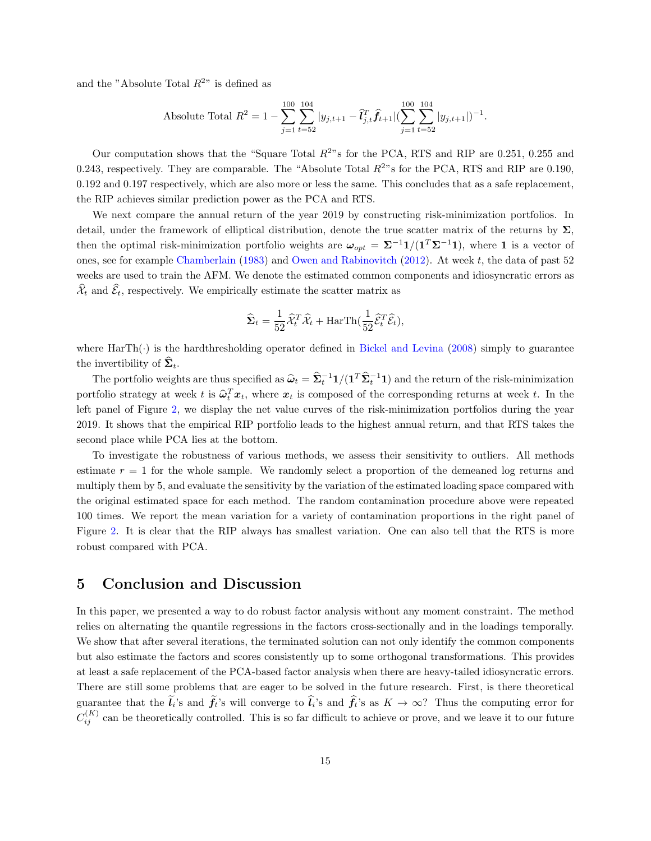and the "Absolute Total  $R^{2n}$  is defined as

Absolute Total 
$$
R^2 = 1 - \sum_{j=1}^{100} \sum_{t=52}^{104} |y_{j,t+1} - \hat{l}_{j,t}^T \hat{f}_{t+1}| (\sum_{j=1}^{100} \sum_{t=52}^{104} |y_{j,t+1}|)^{-1}
$$
.

Our computation shows that the "Square Total  $R^{2}$ " s for the PCA, RTS and RIP are 0.251, 0.255 and 0.243, respectively. They are comparable. The "Absolute Total  $R^{2}$ " s for the PCA, RTS and RIP are 0.190, 0.192 and 0.197 respectively, which are also more or less the same. This concludes that as a safe replacement, the RIP achieves similar prediction power as the PCA and RTS.

We next compare the annual return of the year 2019 by constructing risk-minimization portfolios. In detail, under the framework of elliptical distribution, denote the true scatter matrix of the returns by  $\Sigma$ . then the optimal risk-minimization portfolio weights are  $\omega_{opt} = \Sigma^{-1}1/(1^T\Sigma^{-1}1)$ , where 1 is a vector of ones, see for example [Chamberlain](#page-16-15) [\(1983\)](#page-16-15) and [Owen and Rabinovitch](#page-17-13) [\(2012\)](#page-17-13). At week t, the data of past 52 weeks are used to train the AFM. We denote the estimated common components and idiosyncratic errors as  $\widehat{\mathcal{X}}_t$  and  $\widehat{\mathcal{E}}_t,$  respectively. We empirically estimate the scatter matrix as

$$
\widehat{\mathbf{\Sigma}}_t = \frac{1}{52} \widehat{\mathcal{X}}_t^T \widehat{\mathcal{X}}_t + \text{HarTh}(\frac{1}{52} \widehat{\mathcal{E}}_t^T \widehat{\mathcal{E}}_t),
$$

where  $\text{HarTh}(\cdot)$  is the hardthresholding operator defined in [Bickel and Levina](#page-16-16) [\(2008\)](#page-16-16) simply to guarantee the invertibility of  $\Sigma_t$ .

The portfolio weights are thus specified as  $\hat{\omega}_t = \hat{\Sigma}_t^{-1} 1/(1^T \hat{\Sigma}_t^{-1} 1)$  and the return of the risk-minimization portfolio strategy at week t is  $\hat{\omega}_t^T x_t$ , where  $x_t$  is composed of the corresponding returns at week t. In the left panel of Figure [2,](#page-15-3) we display the net value curves of the risk-minimization portfolios during the year 2019. It shows that the empirical RIP portfolio leads to the highest annual return, and that RTS takes the second place while PCA lies at the bottom.

To investigate the robustness of various methods, we assess their sensitivity to outliers. All methods estimate  $r = 1$  for the whole sample. We randomly select a proportion of the demeaned log returns and multiply them by 5, and evaluate the sensitivity by the variation of the estimated loading space compared with the original estimated space for each method. The random contamination procedure above were repeated 100 times. We report the mean variation for a variety of contamination proportions in the right panel of Figure [2.](#page-15-3) It is clear that the RIP always has smallest variation. One can also tell that the RTS is more robust compared with PCA.

#### <span id="page-14-0"></span>5 Conclusion and Discussion

In this paper, we presented a way to do robust factor analysis without any moment constraint. The method relies on alternating the quantile regressions in the factors cross-sectionally and in the loadings temporally. We show that after several iterations, the terminated solution can not only identify the common components but also estimate the factors and scores consistently up to some orthogonal transformations. This provides at least a safe replacement of the PCA-based factor analysis when there are heavy-tailed idiosyncratic errors. There are still some problems that are eager to be solved in the future research. First, is there theoretical guarantee that the  $l_i$ 's and  $f_t$ 's will converge to  $l_i$ 's and  $f_t$ 's as  $K \to \infty$ ? Thus the computing error for  $C_{ij}^{(K)}$  can be theoretically controlled. This is so far difficult to achieve or prove, and we leave it to our future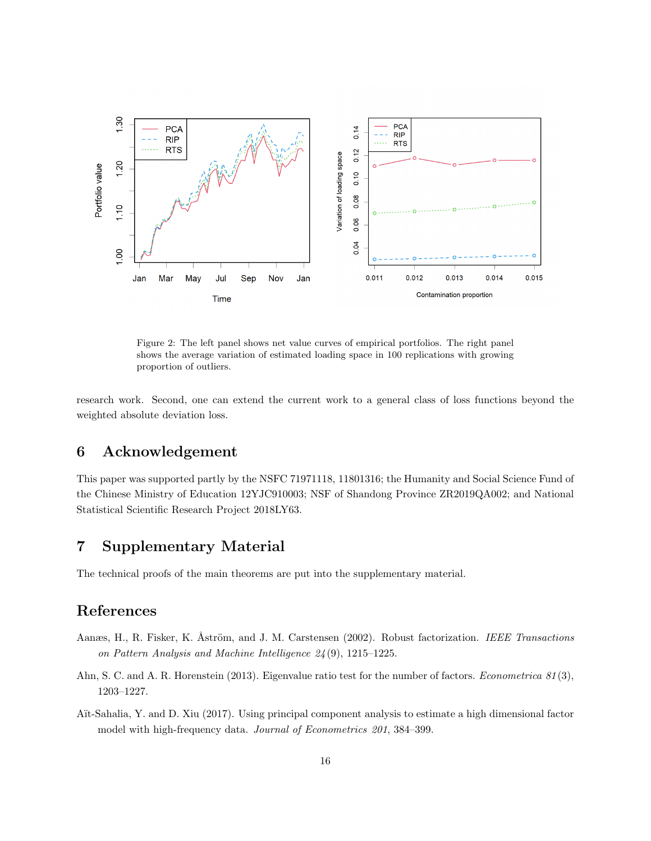<span id="page-15-3"></span>

Figure 2: The left panel shows net value curves of empirical portfolios. The right panel shows the average variation of estimated loading space in 100 replications with growing proportion of outliers.

research work. Second, one can extend the current work to a general class of loss functions beyond the weighted absolute deviation loss.

### 6 Acknowledgement

This paper was supported partly by the NSFC 71971118, 11801316; the Humanity and Social Science Fund of the Chinese Ministry of Education 12YJC910003; NSF of Shandong Province ZR2019QA002; and National Statistical Scientific Research Project 2018LY63.

### 7 Supplementary Material

The technical proofs of the main theorems are put into the supplementary material.

### References

- <span id="page-15-2"></span>Aanæs, H., R. Fisker, K. Åström, and J. M. Carstensen (2002). Robust factorization. IEEE Transactions on Pattern Analysis and Machine Intelligence 24 (9), 1215–1225.
- <span id="page-15-0"></span>Ahn, S. C. and A. R. Horenstein (2013). Eigenvalue ratio test for the number of factors. *Econometrica* 81(3), 1203–1227.
- <span id="page-15-1"></span>Aït-Sahalia, Y. and D. Xiu (2017). Using principal component analysis to estimate a high dimensional factor model with high-frequency data. Journal of Econometrics 201, 384–399.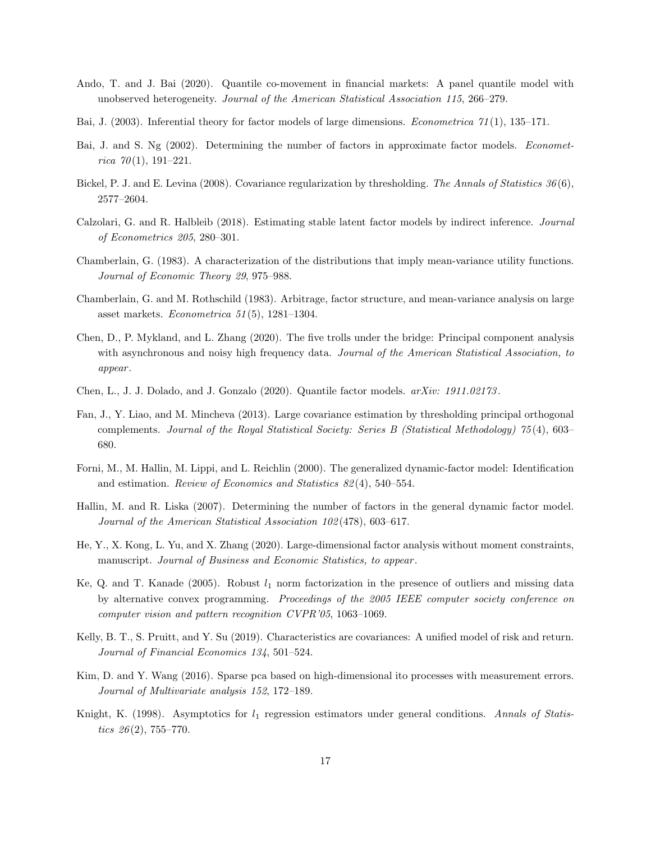- <span id="page-16-12"></span>Ando, T. and J. Bai (2020). Quantile co-movement in financial markets: A panel quantile model with unobserved heterogeneity. Journal of the American Statistical Association 115, 266–279.
- <span id="page-16-2"></span>Bai, J. (2003). Inferential theory for factor models of large dimensions. Econometrica 71 (1), 135–171.
- <span id="page-16-1"></span>Bai, J. and S. Ng (2002). Determining the number of factors in approximate factor models. *Economet*rica  $70(1)$ , 191-221.
- <span id="page-16-16"></span>Bickel, P. J. and E. Levina (2008). Covariance regularization by thresholding. The Annals of Statistics 36(6), 2577–2604.
- <span id="page-16-9"></span>Calzolari, G. and R. Halbleib (2018). Estimating stable latent factor models by indirect inference. Journal of Econometrics 205, 280–301.
- <span id="page-16-15"></span>Chamberlain, G. (1983). A characterization of the distributions that imply mean-variance utility functions. Journal of Economic Theory 29, 975–988.
- <span id="page-16-0"></span>Chamberlain, G. and M. Rothschild (1983). Arbitrage, factor structure, and mean-variance analysis on large asset markets. Econometrica  $51(5)$ , 1281–1304.
- <span id="page-16-4"></span>Chen, D., P. Mykland, and L. Zhang (2020). The five trolls under the bridge: Principal component analysis with asynchronous and noisy high frequency data. Journal of the American Statistical Association, to appear .
- <span id="page-16-13"></span>Chen, L., J. J. Dolado, and J. Gonzalo (2020). Quantile factor models. arXiv: 1911.02173 .
- <span id="page-16-3"></span>Fan, J., Y. Liao, and M. Mincheva (2013). Large covariance estimation by thresholding principal orthogonal complements. Journal of the Royal Statistical Society: Series B (Statistical Methodology) 75 (4), 603– 680.
- <span id="page-16-6"></span>Forni, M., M. Hallin, M. Lippi, and L. Reichlin (2000). The generalized dynamic-factor model: Identification and estimation. Review of Economics and Statistics 82 (4), 540–554.
- <span id="page-16-7"></span>Hallin, M. and R. Liska (2007). Determining the number of factors in the general dynamic factor model. Journal of the American Statistical Association 102 (478), 603–617.
- <span id="page-16-8"></span>He, Y., X. Kong, L. Yu, and X. Zhang (2020). Large-dimensional factor analysis without moment constraints, manuscript. Journal of Business and Economic Statistics, to appear.
- <span id="page-16-10"></span>Ke, Q. and T. Kanade (2005). Robust  $l_1$  norm factorization in the presence of outliers and missing data by alternative convex programming. Proceedings of the 2005 IEEE computer society conference on computer vision and pattern recognition CVPR'05, 1063–1069.
- <span id="page-16-14"></span>Kelly, B. T., S. Pruitt, and Y. Su (2019). Characteristics are covariances: A unified model of risk and return. Journal of Financial Economics 134, 501–524.
- <span id="page-16-5"></span>Kim, D. and Y. Wang (2016). Sparse pca based on high-dimensional ito processes with measurement errors. Journal of Multivariate analysis 152, 172–189.
- <span id="page-16-11"></span>Knight, K. (1998). Asymptotics for  $l_1$  regression estimators under general conditions. Annals of Statistics  $26(2)$ , 755–770.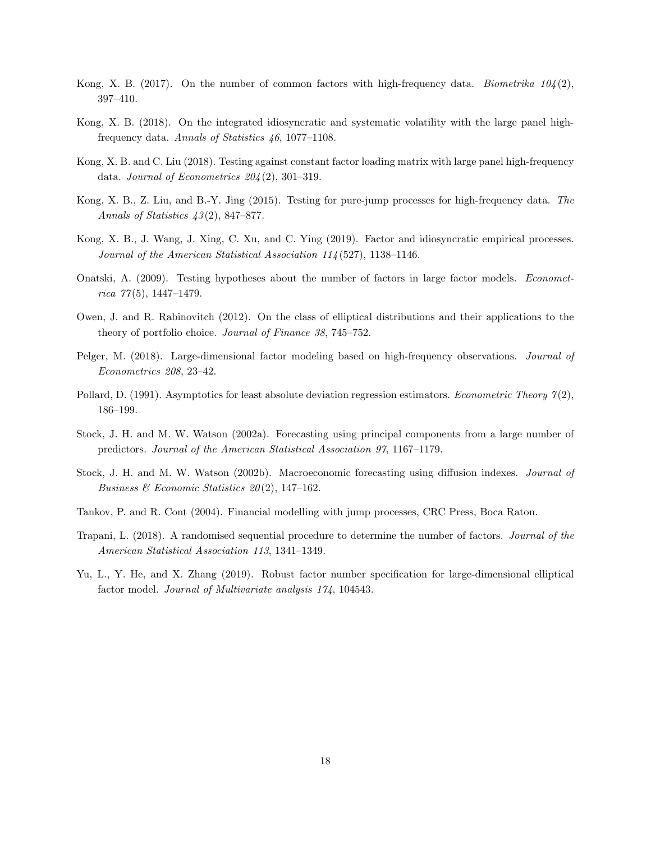- <span id="page-17-6"></span>Kong, X. B. (2017). On the number of common factors with high-frequency data. Biometrika  $104(2)$ , 397–410.
- <span id="page-17-7"></span>Kong, X. B. (2018). On the integrated idiosyncratic and systematic volatility with the large panel highfrequency data. Annals of Statistics 46, 1077–1108.
- <span id="page-17-8"></span>Kong, X. B. and C. Liu (2018). Testing against constant factor loading matrix with large panel high-frequency data. Journal of Econometrics  $204(2)$ , 301-319.
- <span id="page-17-10"></span>Kong, X. B., Z. Liu, and B.-Y. Jing (2015). Testing for pure-jump processes for high-frequency data. The Annals of Statistics 43 (2), 847–877.
- <span id="page-17-4"></span>Kong, X. B., J. Wang, J. Xing, C. Xu, and C. Ying (2019). Factor and idiosyncratic empirical processes. Journal of the American Statistical Association 114 (527), 1138–1146.
- <span id="page-17-2"></span>Onatski, A. (2009). Testing hypotheses about the number of factors in large factor models. Economet $rica 77(5), 1447-1479.$
- <span id="page-17-13"></span>Owen, J. and R. Rabinovitch (2012). On the class of elliptical distributions and their applications to the theory of portfolio choice. Journal of Finance 38, 745–752.
- <span id="page-17-5"></span>Pelger, M. (2018). Large-dimensional factor modeling based on high-frequency observations. Journal of Econometrics 208, 23–42.
- <span id="page-17-11"></span>Pollard, D. (1991). Asymptotics for least absolute deviation regression estimators. Econometric Theory  $\gamma(2)$ , 186–199.
- <span id="page-17-0"></span>Stock, J. H. and M. W. Watson (2002a). Forecasting using principal components from a large number of predictors. Journal of the American Statistical Association 97, 1167–1179.
- <span id="page-17-1"></span>Stock, J. H. and M. W. Watson (2002b). Macroeconomic forecasting using diffusion indexes. Journal of Business & Economic Statistics  $20(2)$ , 147-162.
- <span id="page-17-9"></span>Tankov, P. and R. Cont (2004). Financial modelling with jump processes, CRC Press, Boca Raton.
- <span id="page-17-3"></span>Trapani, L. (2018). A randomised sequential procedure to determine the number of factors. Journal of the American Statistical Association 113, 1341–1349.
- <span id="page-17-12"></span>Yu, L., Y. He, and X. Zhang (2019). Robust factor number specification for large-dimensional elliptical factor model. Journal of Multivariate analysis 174, 104543.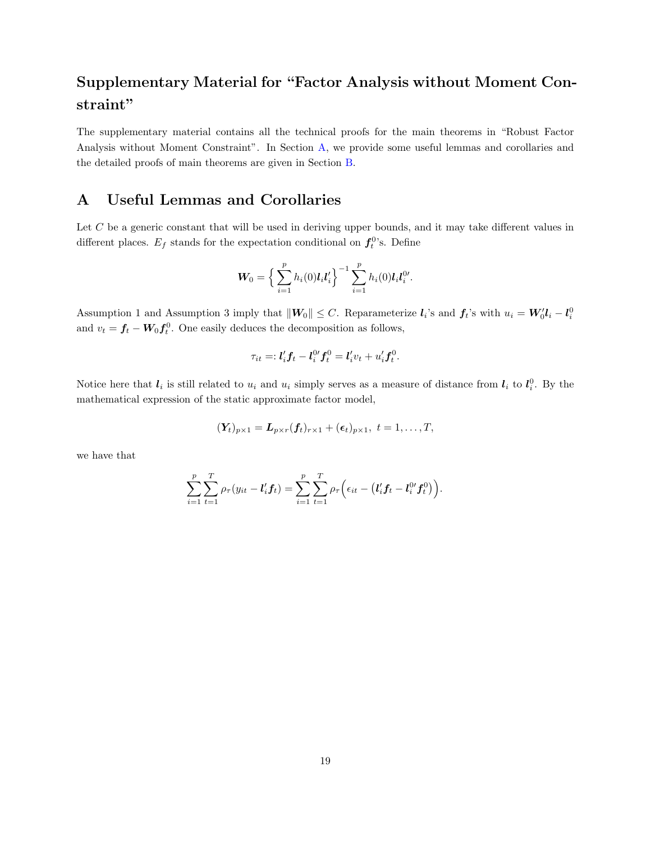## Supplementary Material for "Factor Analysis without Moment Constraint"

The supplementary material contains all the technical proofs for the main theorems in "Robust Factor Analysis without Moment Constraint". In Section [A,](#page-18-0) we provide some useful lemmas and corollaries and the detailed proofs of main theorems are given in Section [B.](#page-32-0)

### <span id="page-18-0"></span>A Useful Lemmas and Corollaries

Let C be a generic constant that will be used in deriving upper bounds, and it may take different values in different places.  $E_f$  stands for the expectation conditional on  $f_t^0$ 's. Define

$$
\boldsymbol{W}_0 = \left\{ \sum_{i=1}^p h_i(0) \boldsymbol{l}_i \boldsymbol{l}'_i \right\}^{-1} \sum_{i=1}^p h_i(0) \boldsymbol{l}_i \boldsymbol{l}^{0 \prime}_i.
$$

Assumption 1 and Assumption 3 imply that  $||W_0|| \leq C$ . Reparameterize  $l_i$ 's and  $f_i$ 's with  $u_i = W'_0 l_i - l_i^0$ and  $v_t = f_t - W_0 f_t^0$ . One easily deduces the decomposition as follows,

$$
\tau_{it} =: \mathbf{l}'_i \mathbf{f}_t - \mathbf{l}^{0\prime}_i \mathbf{f}^0_t = \mathbf{l}'_i v_t + u'_i \mathbf{f}^0_t.
$$

Notice here that  $l_i$  is still related to  $u_i$  and  $u_i$  simply serves as a measure of distance from  $l_i$  to  $l_i^0$ . By the mathematical expression of the static approximate factor model,

$$
(\boldsymbol{Y}_t)_{p\times 1} = \boldsymbol{L}_{p\times r}(\boldsymbol{f}_t)_{r\times 1} + (\boldsymbol{\epsilon}_t)_{p\times 1}, t = 1,\ldots,T,
$$

we have that

$$
\sum_{i=1}^p \sum_{t=1}^T \rho_{\tau}(y_{it} - \mathbf{l}'_i \mathbf{f}_t) = \sum_{i=1}^p \sum_{t=1}^T \rho_{\tau} \left( \epsilon_{it} - (\mathbf{l}'_i \mathbf{f}_t - \mathbf{l}^{0 \prime}_i \mathbf{f}^0_t) \right).
$$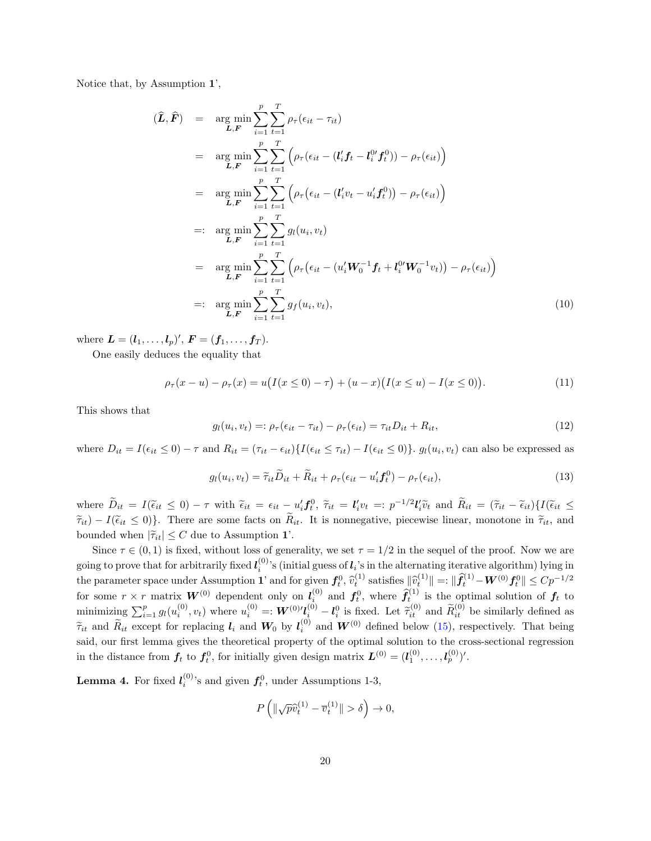Notice that, by Assumption 1',

$$
\begin{split}\n(\hat{L}, \hat{F}) &= \arg \min_{\mathbf{L}, \mathbf{F}} \sum_{i=1}^{p} \sum_{t=1}^{T} \rho_{\tau}(\epsilon_{it} - \tau_{it}) \\
&= \arg \min_{\mathbf{L}, \mathbf{F}} \sum_{i=1}^{p} \sum_{t=1}^{T} \left( \rho_{\tau}(\epsilon_{it} - (l'_{i}f_{t} - l_{i}^{0}f_{t}^{0})) - \rho_{\tau}(\epsilon_{it}) \right) \\
&= \arg \min_{\mathbf{L}, \mathbf{F}} \sum_{i=1}^{p} \sum_{t=1}^{T} \left( \rho_{\tau}(\epsilon_{it} - (l'_{i}v_{t} - u'_{i}f_{t}^{0})) - \rho_{\tau}(\epsilon_{it}) \right) \\
&=: \arg \min_{\mathbf{L}, \mathbf{F}} \sum_{i=1}^{p} \sum_{t=1}^{T} g_{i}(u_{i}, v_{t}) \\
&= \arg \min_{\mathbf{L}, \mathbf{F}} \sum_{i=1}^{p} \sum_{t=1}^{T} \left( \rho_{\tau}(\epsilon_{it} - (u'_{i}W_{0}^{-1}f_{t} + l_{i}^{0}W_{0}^{-1}v_{t})) - \rho_{\tau}(\epsilon_{it}) \right) \\
&=: \arg \min_{\mathbf{L}, \mathbf{F}} \sum_{i=1}^{p} \sum_{t=1}^{T} g_{f}(u_{i}, v_{t}),\n\end{split} \tag{10}
$$

where  $\bm{L} = (\bm{l}_1, \ldots, \bm{l}_p)', \ \bm{F} = (\bm{f}_1, \ldots, \bm{f}_T).$ 

One easily deduces the equality that

$$
\rho_{\tau}(x - u) - \rho_{\tau}(x) = u(I(x \le 0) - \tau) + (u - x)(I(x \le u) - I(x \le 0)).
$$
\n(11)

This shows that

$$
g_l(u_i, v_t) =: \rho_\tau(\epsilon_{it} - \tau_{it}) - \rho_\tau(\epsilon_{it}) = \tau_{it} D_{it} + R_{it}, \qquad (12)
$$

where  $D_{it} = I(\epsilon_{it} \leq 0) - \tau$  and  $R_{it} = (\tau_{it} - \epsilon_{it})\{I(\epsilon_{it} \leq \tau_{it}) - I(\epsilon_{it} \leq 0)\}\$ .  $g_l(u_i, v_t)$  can also be expressed as

<span id="page-19-0"></span>
$$
g_l(u_i, v_t) = \tilde{\tau}_{it}\tilde{D}_{it} + \tilde{R}_{it} + \rho_\tau(\epsilon_{it} - u_i' \mathbf{f}_t^0) - \rho_\tau(\epsilon_{it}),
$$
\n(13)

where  $\widetilde{D}_{it} = I(\widetilde{\epsilon}_{it} \leq 0) - \tau$  with  $\widetilde{\epsilon}_{it} = \epsilon_{it} - u_i' f_v^0$ ,  $\widetilde{\tau}_{it} = l_i' v_t =: p^{-1/2} l_i' \widetilde{v}_t$  and  $\widetilde{R}_{it} = (\widetilde{\tau}_{it} - \widetilde{\epsilon}_{it}) \{I(\widetilde{\epsilon}_{it} \leq \widetilde{\epsilon}_{it} \leq 0)\}\$  $\tilde{\tau}_{it}$ ) −  $I(\tilde{\epsilon}_{it} \leq 0)$ . There are some facts on  $\tilde{R}_{it}$ . It is nonnegative, piecewise linear, monotone in  $\tilde{\tau}_{it}$ , and bounded when  $|\tilde{\tau}_{it}| \leq C$  due to Assumption 1'.

Since  $\tau \in (0, 1)$  is fixed, without loss of generality, we set  $\tau = 1/2$  in the sequel of the proof. Now we are going to prove that for arbitrarily fixed  $\bm{l}^{(0)}_i$ 's (initial guess of  $\bm{l}_i$ 's in the alternating iterative algorithm) lying in the parameter space under Assumption 1' and for given  $f_t^0$ ,  $\hat{v}_t^{(1)}$  satisfies  $\|\hat{v}_t^{(1)}\| =: \|\hat{f}_t^{(1)} - \hat{W}^{(0)} f_t^0\| \le C p^{-1/2}$ the parameter space under Assumption 1' and for given  $f_t^0$ ,  $\hat{v}_t^{(1)}$  satisfies  $\|\hat{v}_t^{(1)}\| =: \|f_t^{(1)} - \mathbf{W}^{(0)} f_t^0\| \le Cp^{-1/2}$ <br>for some  $r \times r$  matrix  $\mathbf{W}^{(0)}$  dependent only on  $l_i^{(0)}$  and  $f_t^0$ , where  $\hat{$ minimizing  $\sum_{i=1}^p g_l(u_i^{(0)}, v_t)$  where  $u_i^{(0)} =: \mathbf{W}^{(0)} \prime \mathbf{l}_i^{(0)} - \mathbf{l}_i^0$  is fixed. Let  $\tilde{\tau}_{it}^{(0)}$  and  $\tilde{R}_{it}^{(0)}$  be similarly defined as  $\widetilde{\tau}_{it}$  and  $\widetilde{R}_{it}$  except for replacing  $l_i$  and  $W^0$  by  $l_i^{(0)}$  and  $W^{(0)}$  defined below [\(15\)](#page-20-0), respectively. That being said, our first lemma gives the theoretical property of the optimal solution to the cross-sectional regression in the distance from  $f_t$  to  $f_t^0$ , for initially given design matrix  $L^{(0)} = (l_1^{(0)}, \ldots, l_p^{(0)})'$ .

<span id="page-19-1"></span>**Lemma 4.** For fixed  $l_i^{(0)}$ 's and given  $f_t^0$ , under Assumptions 1-3,

$$
P\left(\|\sqrt{p}\widehat{v}_t^{(1)} - \overline{v}_t^{(1)}\| > \delta\right) \to 0,
$$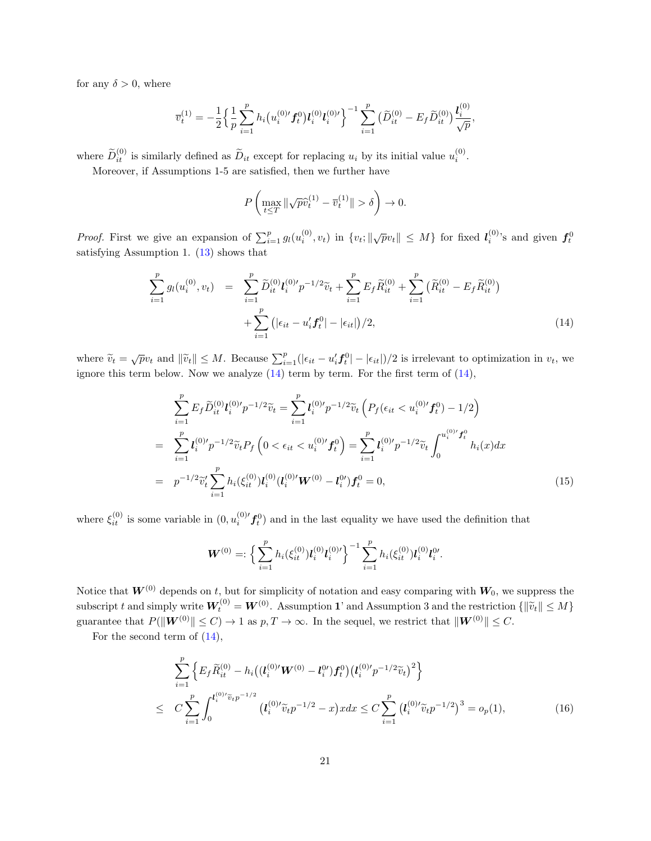for any  $\delta > 0$ , where

$$
\overline{v}_t^{(1)} = -\frac{1}{2} \Big\{ \frac{1}{p} \sum_{i=1}^p h_i \big( u_i^{(0)\prime} f_t^0 \big) l_i^{(0)} l_i^{(0)\prime} \Big\}^{-1} \sum_{i=1}^p \big( \widetilde{D}_{it}^{(0)} - E_f \widetilde{D}_{it}^{(0)} \big) \frac{l_i^{(0)}}{\sqrt{p}}
$$

where  $\tilde{D}_{it}^{(0)}$  is similarly defined as  $\tilde{D}_{it}$  except for replacing  $u_i$  by its initial value  $u_i^{(0)}$ .

Moreover, if Assumptions 1-5 are satisfied, then we further have

$$
P\left(\max_{t\leq T} \|\sqrt{p}\widehat{v}_t^{(1)} - \overline{v}_t^{(1)}\| > \delta\right) \to 0.
$$

*Proof.* First we give an expansion of  $\sum_{i=1}^p g_l(u_i^{(0)}, v_t)$  in  $\{v_t; \|\sqrt{p}v_t\| \leq M\}$  for fixed  $l_i^{(0)}$ 's and given  $f_t^0$ satisfying Assumption 1. [\(13\)](#page-19-0) shows that

<span id="page-20-1"></span>
$$
\sum_{i=1}^{p} g_l(u_i^{(0)}, v_t) = \sum_{i=1}^{p} \widetilde{D}_{it}^{(0)} l_i^{(0)} p^{-1/2} \widetilde{v}_t + \sum_{i=1}^{p} E_f \widetilde{R}_{it}^{(0)} + \sum_{i=1}^{p} (\widetilde{R}_{it}^{(0)} - E_f \widetilde{R}_{it}^{(0)}) + \sum_{i=1}^{p} (|\epsilon_{it} - u_i' f_t^0| - |\epsilon_{it}|)/2,
$$
\n(14)

,

where  $\widetilde{v}_t = \sqrt{p}v_t$  and  $\|\widetilde{v}_t\| \leq M$ . Because  $\sum_{i=1}^p (|\epsilon_{it} - u_i' \mathbf{f}_t^0| - |\epsilon_{it}|)/2$  is irrelevant to optimization in  $v_t$ , we ignore this term below. Now we analyze  $(14)$  term by term. For the first term of  $(14)$ ,

<span id="page-20-0"></span>
$$
\sum_{i=1}^{p} E_f \widetilde{D}_{it}^{(0)} l_i^{(0)} p^{-1/2} \widetilde{v}_t = \sum_{i=1}^{p} l_i^{(0)} p^{-1/2} \widetilde{v}_t \left( P_f(\epsilon_{it} < u_i^{(0)} f_t^0) - 1/2 \right)
$$
\n
$$
= \sum_{i=1}^{p} l_i^{(0)} p^{-1/2} \widetilde{v}_t P_f \left( 0 < \epsilon_{it} < u_i^{(0)} f_t^0 \right) = \sum_{i=1}^{p} l_i^{(0)} p^{-1/2} \widetilde{v}_t \int_0^{u_i^{(0)} f_t^0} h_i(x) dx
$$
\n
$$
= p^{-1/2} \widetilde{v}_t' \sum_{i=1}^{p} h_i(\xi_{it}^{(0)}) l_i^{(0)} (l_i^{(0)} W^{(0)} - l_i^{0'}) f_t^0 = 0,
$$
\n(15)

where  $\xi_{it}^{(0)}$  is some variable in  $(0, u_i^{(0)'} f_t^0)$  and in the last equality we have used the definition that

$$
\boldsymbol{W}^{(0)} =: \Big\{\sum_{i=1}^p h_i(\xi_{it}^{(0)}) \boldsymbol{l}_i^{(0)} \boldsymbol{l}_i^{(0)\prime}\Big\}^{-1} \sum_{i=1}^p h_i(\xi_{it}^{(0)}) \boldsymbol{l}_i^{(0)} \boldsymbol{l}_i^{0\prime}.
$$

Notice that  $W^{(0)}$  depends on t, but for simplicity of notation and easy comparing with  $W_0$ , we suppress the subscript t and simply write  $W_t^{(0)} = W^{(0)}$ . Assumption 1' and Assumption 3 and the restriction  $\{\|\tilde{v}_t\| \leq M\}$ guarantee that  $P(||W^{(0)}|| \leq C) \rightarrow 1$  as  $p, T \rightarrow \infty$ . In the sequel, we restrict that  $||W^{(0)}|| \leq C$ .

For the second term of [\(14\)](#page-20-1),

<span id="page-20-2"></span>
$$
\sum_{i=1}^{p} \left\{ E_f \widetilde{R}_{it}^{(0)} - h_i \big( (l_i^{(0)'} \mathbf{W}^{(0)} - l_i^{0'} ) f_t^0 \big) \big( l_i^{(0)'} p^{-1/2} \widetilde{v}_t \big)^2 \right\} \n\leq C \sum_{i=1}^{p} \int_0^{l_i^{(0)'} \widetilde{v}_t p^{-1/2}} \big( l_i^{(0)'} \widetilde{v}_t p^{-1/2} - x \big) x dx \leq C \sum_{i=1}^{p} \big( l_i^{(0)'} \widetilde{v}_t p^{-1/2} \big)^3 = o_p(1),
$$
\n(16)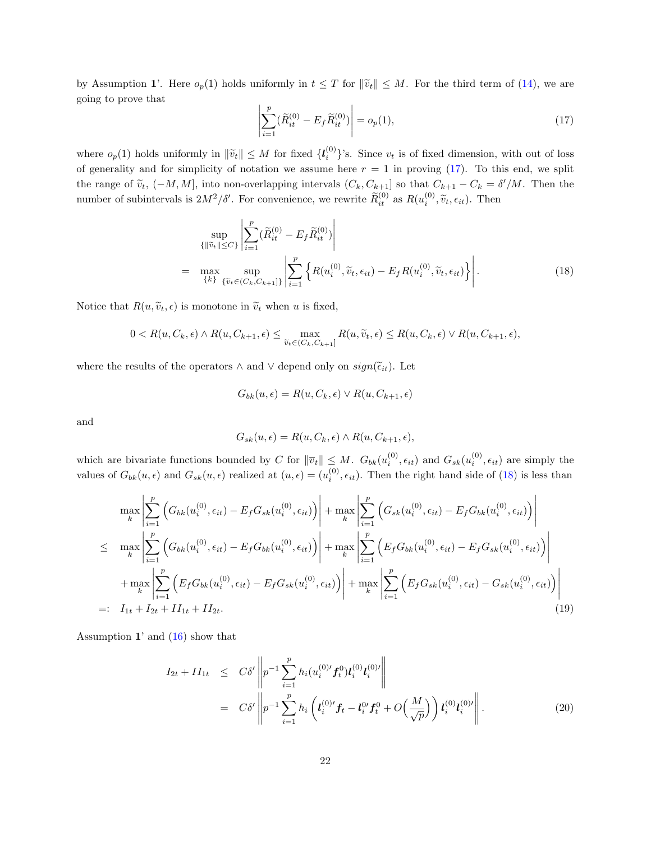by Assumption 1'. Here  $o_p(1)$  holds uniformly in  $t \leq T$  for  $\|\tilde{v}_t\| \leq M$ . For the third term of [\(14\)](#page-20-1), we are going to prove that

<span id="page-21-0"></span>
$$
\left| \sum_{i=1}^{p} (\widetilde{R}_{it}^{(0)} - E_f \widetilde{R}_{it}^{(0)}) \right| = o_p(1),\tag{17}
$$

where  $o_p(1)$  holds uniformly in  $\|\tilde{v}_t\| \leq M$  for fixed  $\{l_i^{(0)}\}$ 's. Since  $v_t$  is of fixed dimension, with out of loss of generality and for simplicity of notation we assume here  $r = 1$  in proving [\(17\)](#page-21-0). To this end, we split the range of  $\tilde{v}_t$ ,  $(-M, M]$ , into non-overlapping intervals  $(C_k, C_{k+1}]$  so that  $C_{k+1} - C_k = \delta'/M$ . Then the number of subintervals is  $2M^2/\delta'$ . For convenience, we rewrite  $\widetilde{R}_{it}^{(0)}$  as  $R(u_i^{(0)}, \widetilde{v}_t, \epsilon_{it})$ . Then

<span id="page-21-1"></span>
$$
\sup_{\{\|\widetilde{v}_t\| \le C\}} \left| \sum_{i=1}^p (\widetilde{R}_{it}^{(0)} - E_f \widetilde{R}_{it}^{(0)}) \right|
$$
\n
$$
= \max_{\{k\}} \sup_{\{\widetilde{v}_t \in (C_k, C_{k+1}]\}} \left| \sum_{i=1}^p \left\{ R(u_i^{(0)}, \widetilde{v}_t, \epsilon_{it}) - E_f R(u_i^{(0)}, \widetilde{v}_t, \epsilon_{it}) \right\} \right|.
$$
\n(18)

Notice that  $R(u, \tilde{v}_t, \epsilon)$  is monotone in  $\tilde{v}_t$  when u is fixed,

$$
0 < R(u, C_k, \epsilon) \wedge R(u, C_{k+1}, \epsilon) \leq \max_{\widetilde{v}_t \in (C_k, C_{k+1}]} R(u, \widetilde{v}_t, \epsilon) \leq R(u, C_k, \epsilon) \vee R(u, C_{k+1}, \epsilon),
$$

where the results of the operators  $\wedge$  and  $\vee$  depend only on  $sign(\widetilde{\epsilon}_{it})$ . Let

$$
G_{bk}(u,\epsilon) = R(u,C_k,\epsilon) \vee R(u,C_{k+1},\epsilon)
$$

and

$$
G_{sk}(u,\epsilon) = R(u,C_k,\epsilon) \wedge R(u,C_{k+1},\epsilon),
$$

which are bivariate functions bounded by C for  $\|\overline{v}_t\| \leq M$ .  $G_{bk}(u_i^{(0)}, \epsilon_{it})$  and  $G_{sk}(u_i^{(0)}, \epsilon_{it})$  are simply the values of  $G_{bk}(u,\epsilon)$  and  $G_{sk}(u,\epsilon)$  realized at  $(u,\epsilon) = (u_i^{(0)},\epsilon_{it})$ . Then the right hand side of [\(18\)](#page-21-1) is less than

$$
\max_{k} \left| \sum_{i=1}^{p} \left( G_{bk}(u_i^{(0)}, \epsilon_{it}) - E_f G_{sk}(u_i^{(0)}, \epsilon_{it}) \right) \right| + \max_{k} \left| \sum_{i=1}^{p} \left( G_{sk}(u_i^{(0)}, \epsilon_{it}) - E_f G_{bk}(u_i^{(0)}, \epsilon_{it}) \right) \right|
$$
\n
$$
\leq \max_{k} \left| \sum_{i=1}^{p} \left( G_{bk}(u_i^{(0)}, \epsilon_{it}) - E_f G_{bk}(u_i^{(0)}, \epsilon_{it}) \right) \right| + \max_{k} \left| \sum_{i=1}^{p} \left( E_f G_{bk}(u_i^{(0)}, \epsilon_{it}) - E_f G_{sk}(u_i^{(0)}, \epsilon_{it}) \right) \right|
$$
\n
$$
+ \max_{k} \left| \sum_{i=1}^{p} \left( E_f G_{bk}(u_i^{(0)}, \epsilon_{it}) - E_f G_{sk}(u_i^{(0)}, \epsilon_{it}) \right) \right| + \max_{k} \left| \sum_{i=1}^{p} \left( E_f G_{sk}(u_i^{(0)}, \epsilon_{it}) - G_{sk}(u_i^{(0)}, \epsilon_{it}) \right) \right|
$$
\n
$$
=: I_{1t} + I_{2t} + II_{1t} + II_{2t}.
$$
\n(19)

Assumption  $1'$  and  $(16)$  show that

<span id="page-21-2"></span>
$$
I_{2t} + II_{1t} \leq C\delta' \left\| p^{-1} \sum_{i=1}^{p} h_i(u_i^{(0)'} f_t^0) l_i^{(0)} l_i^{(0)'} \right\|
$$
  

$$
= C\delta' \left\| p^{-1} \sum_{i=1}^{p} h_i \left( l_i^{(0)'} f_t - l_i^{0'} f_t^0 + O\left(\frac{M}{\sqrt{p}}\right) \right) l_i^{(0)} l_i^{(0)'} \right\|.
$$
 (20)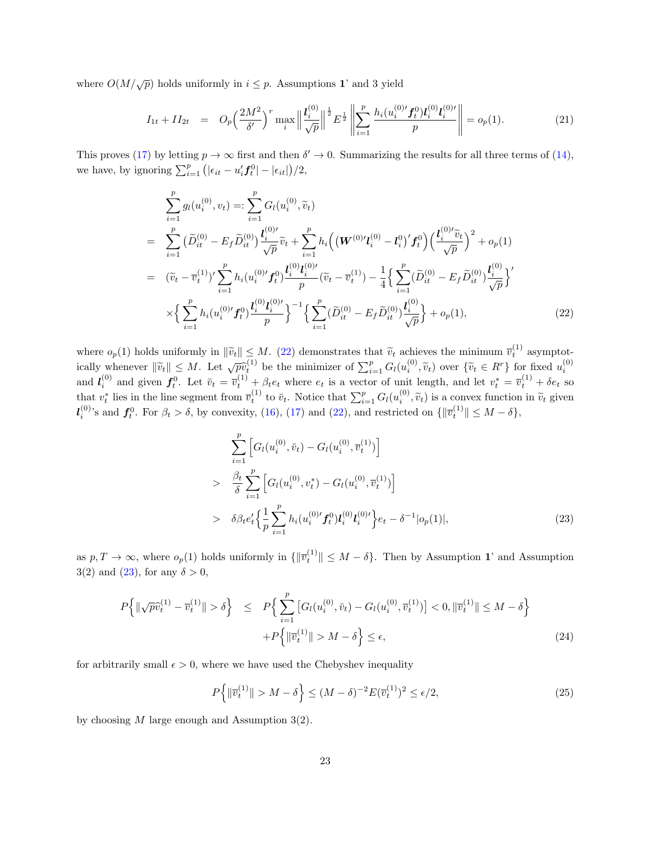where  $O(M/\sqrt{p})$  holds uniformly in  $i \leq p$ . Assumptions 1' and 3 yield

<span id="page-22-2"></span>
$$
I_{1t} + II_{2t} = O_p\left(\frac{2M^2}{\delta'}\right)^r \max_i \left\| \frac{l_i^{(0)}}{\sqrt{p}} \right\|^{1/2} E^{\frac{1}{2}} \left\| \sum_{i=1}^p \frac{h_i(u_i^{(0)} f_t^0) l_i^{(0)} l_i^{(0)}}{p} \right\| = o_p(1). \tag{21}
$$

This proves [\(17\)](#page-21-0) by letting  $p \to \infty$  first and then  $\delta' \to 0$ . Summarizing the results for all three terms of [\(14\)](#page-20-1), we have, by ignoring  $\sum_{i=1}^{p} (|\epsilon_{it} - u'_{i} \mathbf{f}_{t}^{0}| - |\epsilon_{it}|)/2$ ,

<span id="page-22-0"></span>
$$
\sum_{i=1}^{p} g_l(u_i^{(0)}, v_t) =: \sum_{i=1}^{p} G_l(u_i^{(0)}, \tilde{v}_t)
$$
\n
$$
= \sum_{i=1}^{p} \left( \tilde{D}_{it}^{(0)} - E_f \tilde{D}_{it}^{(0)} \right) \frac{l_i^{(0)\prime}}{\sqrt{p}} \tilde{v}_t + \sum_{i=1}^{p} h_i \left( \left( \mathbf{W}^{(0)\prime} l_i^{(0)} - l_i^{0} \right)' f_t^0 \right) \left( \frac{l_i^{(0)\prime} \tilde{v}_t}{\sqrt{p}} \right)^2 + o_p(1)
$$
\n
$$
= (\tilde{v}_t - \bar{v}_t^{(1)})' \sum_{i=1}^{p} h_i(u_i^{(0)\prime} f_t^0) \frac{l_i^{(0)} l_i^{(0)\prime}}{p} (\tilde{v}_t - \bar{v}_t^{(1)}) - \frac{1}{4} \left\{ \sum_{i=1}^{p} (\tilde{D}_{it}^{(0)} - E_f \tilde{D}_{it}^{(0)}) \frac{l_i^{(0)}}{\sqrt{p}} \right\}'
$$
\n
$$
\times \left\{ \sum_{i=1}^{p} h_i(u_i^{(0)\prime} f_t^0) \frac{l_i^{(0)} l_i^{(0)\prime}}{p} \right\}^{-1} \left\{ \sum_{i=1}^{p} (\tilde{D}_{it}^{(0)} - E_f \tilde{D}_{it}^{(0)}) \frac{l_i^{(0)}}{\sqrt{p}} \right\} + o_p(1), \tag{22}
$$

where  $o_p(1)$  holds uniformly in  $\|\tilde{v}_t\| \leq M$ . [\(22\)](#page-22-0) demonstrates that  $\tilde{v}_t$  achieves the minimum  $\overline{v}_t^{(1)}$  asymptotically whenever  $\|\widetilde{v}_t\| \leq M$ . Let  $\sqrt{p} \widetilde{v}_t^{(1)}$  be the minimizer of  $\sum_{i=1}^p G_l(u_i^{(0)}, \widetilde{v}_t)$  over  $\{\widetilde{v}_t \in R^r\}$  for fixed  $u_i^{(0)}$ and  $l_i^{(0)}$  and given  $f_t^0$ . Let  $\breve{v}_t = \overline{v}_t^{(1)} + \beta_t e_t$  where  $e_t$  is a vector of unit length, and let  $v_t^* = \overline{v}_t^{(1)} + \delta e_t$  so that  $v_t^*$  lies in the line segment from  $\overline{v}_t^{(1)}$  to  $\breve{v}_t$ . Notice that  $\sum_{i=1}^p G_l(u_i^{(0)}, \widetilde{v}_t)$  is a convex function in  $\widetilde{v}_t$  given  $\mathbf{v}_t^{(0)}$ .  $\mathbf{I}_{i}^{(0)}$ 's and  $\mathbf{f}_{t}^{0}$ . For  $\beta_{t} > \delta$ , by convexity, [\(16\)](#page-20-2), [\(17\)](#page-21-0) and [\(22\)](#page-22-0), and restricted on  $\{\|\overline{v}_{t}^{(1)}\| \leq M - \delta\}$ ,

<span id="page-22-1"></span>
$$
\sum_{i=1}^{p} \left[ G_l(u_i^{(0)}, \check{v}_t) - G_l(u_i^{(0)}, \overline{v}_t^{(1)}) \right]
$$
\n
$$
> \frac{\beta_t}{\delta} \sum_{i=1}^{p} \left[ G_l(u_i^{(0)}, v_t^*) - G_l(u_i^{(0)}, \overline{v}_t^{(1)}) \right]
$$
\n
$$
> \delta \beta_t e_t' \left\{ \frac{1}{p} \sum_{i=1}^{p} h_i(u_i^{(0)'} f_t^0) l_i^{(0)} l_i^{(0)'} \right\} e_t - \delta^{-1} |o_p(1)|,
$$
\n(23)

as  $p, T \to \infty$ , where  $o_p(1)$  holds uniformly in  $\{\|\overline{v}_t^{(1)}\| \leq M - \delta\}$ . Then by Assumption 1' and Assumption 3(2) and [\(23\)](#page-22-1), for any  $\delta > 0$ ,

<span id="page-22-3"></span>
$$
P\left\{\|\sqrt{p}\hat{v}_{t}^{(1)} - \overline{v}_{t}^{(1)}\| > \delta\right\} \le P\left\{\sum_{i=1}^{p} \left[G_{l}(u_{i}^{(0)}, \breve{v}_{t}) - G_{l}(u_{i}^{(0)}, \overline{v}_{t}^{(1)})\right] < 0, \|\overline{v}_{t}^{(1)}\| \le M - \delta\right\}
$$
  
 
$$
+P\left\{\|\overline{v}_{t}^{(1)}\| > M - \delta\right\} \le \epsilon,
$$
 (24)

for arbitrarily small  $\epsilon > 0$ , where we have used the Chebyshev inequality

$$
P\left\{\|\overline{v}_t^{(1)}\| > M - \delta\right\} \le (M - \delta)^{-2} E(\overline{v}_t^{(1)})^2 \le \epsilon/2,
$$
\n(25)

by choosing  $M$  large enough and Assumption 3(2).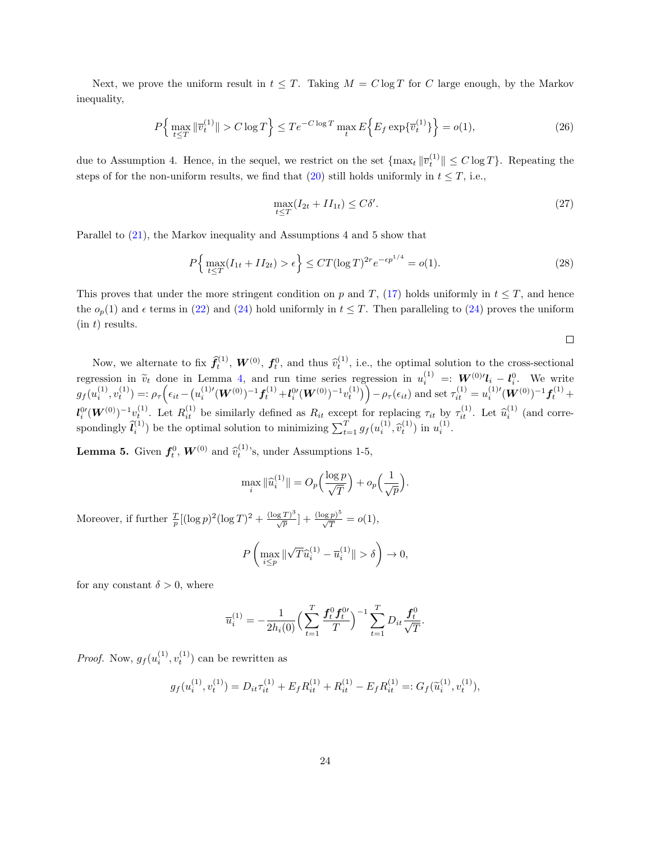Next, we prove the uniform result in  $t \leq T$ . Taking  $M = C \log T$  for C large enough, by the Markov inequality,

$$
P\left\{\max_{t\leq T} \|\overline{v}_t^{(1)}\| > C\log T\right\} \leq T e^{-C\log T} \max_t E\left\{E_f \exp\{\overline{v}_t^{(1)}\}\right\} = o(1),\tag{26}
$$

due to Assumption 4. Hence, in the sequel, we restrict on the set  $\{\max_t \|\overline{v}_t^{(1)}\| \leq C \log T\}$ . Repeating the steps of for the non-uniform results, we find that [\(20\)](#page-21-2) still holds uniformly in  $t \leq T$ , i.e.,

$$
\max_{t \le T} (I_{2t} + II_{1t}) \le C\delta'.\tag{27}
$$

Parallel to [\(21\)](#page-22-2), the Markov inequality and Assumptions 4 and 5 show that

$$
P\Big\{\max_{t\leq T}(I_{1t} + II_{2t}) > \epsilon\Big\} \leq CT(\log T)^{2r}e^{-\epsilon p^{1/4}} = o(1). \tag{28}
$$

This proves that under the more stringent condition on p and T, [\(17\)](#page-21-0) holds uniformly in  $t \leq T$ , and hence the  $o_p(1)$  and  $\epsilon$  terms in [\(22\)](#page-22-0) and [\(24\)](#page-22-3) hold uniformly in  $t \leq T$ . Then paralleling to (24) proves the uniform  $(in t)$  results.

$$
\Box
$$

Now, we alternate to fix  $\hat{f}_t^{(1)}$ ,  $W^{(0)}$ ,  $f_t^{0}$ , and thus  $\hat{v}_t^{(1)}$ , i.e., the optimal solution to the cross-sectional regression in  $\widetilde{v}_t$  done in Lemma [4,](#page-19-1) and run time series regression in  $u_i^{(1)} =: \mathbf{W}^{(0)} \prime \mathbf{l}_i - \mathbf{l}_i^0$ . We write  $g_f(u_i^{(1)}, v_t^{(1)}) =: \rho_\tau \Big( \epsilon_{it} - (u_i^{(1)'}(\boldsymbol{W}^{(0)})^{-1} \boldsymbol{f}_t^{(1)} + l_i^{0'}(\boldsymbol{W}^{(0)})^{-1} v_t^{(1)}) \Big) - \rho_\tau(\epsilon_{it}) \text{ and set } \tau_{it}^{(1)} = u_i^{(1)'}(\boldsymbol{W}^{(0)})^{-1} \boldsymbol{f}_t^{(1)} + \epsilon_{it}^{(1)} \boldsymbol{f}_t^{(1)} + \epsilon_{it}^{(1)} \boldsymbol{f}_t^{(1)} + \epsilon_{it}^{(1)} \boldsymbol{f}_t^{(1)} + \epsilon_{it}^{(1)} \$  $l_i^{0}(\boldsymbol{W}^{(0)})^{-1}v_i^{(1)}$ . Let  $R_{it}^{(1)}$  be similarly defined as  $R_{it}$  except for replacing  $\tau_{it}$  by  $\tau_{it}^{(1)}$ . Let  $\widehat{u}_i^{(1)}$  (and correspondingly  $\hat{l}_i^{(1)}$  be the optimal solution to minimizing  $\sum_{t=1}^T g_f(u_i^{(1)}, \hat{v}_t^{(1)})$  in  $u_i^{(1)}$ .

<span id="page-23-0"></span>**Lemma 5.** Given  $f_t^0$ ,  $W^{(0)}$  and  $\hat{v}_t^{(1)}$ 's, under Assumptions 1-5,

$$
\max_{i} \|\widehat{u}_i^{(1)}\| = O_p\left(\frac{\log p}{\sqrt{T}}\right) + o_p\left(\frac{1}{\sqrt{p}}\right).
$$

Moreover, if further  $\frac{T}{p}[(\log p)^2(\log T)^2 + \frac{(\log T)^3}{\sqrt{p}}] + \frac{(\log p)^5}{\sqrt{T}} = o(1)$ ,

$$
P\left(\max_{i\leq p} \|\sqrt{T}\widehat{u}_i^{(1)} - \overline{u}_i^{(1)}\| > \delta\right) \to 0,
$$

for any constant  $\delta > 0$ , where

$$
\overline{u}_i^{(1)} = -\frac{1}{2h_i(0)} \left( \sum_{t=1}^T \frac{f_t^0 f_t^{0t}}{T} \right)^{-1} \sum_{t=1}^T D_{it} \frac{f_t^0}{\sqrt{T}}.
$$

*Proof.* Now,  $g_f(u_i^{(1)}, v_t^{(1)})$  can be rewritten as

$$
g_f(u_i^{(1)}, v_t^{(1)}) = D_{it}\tau_{it}^{(1)} + E_f R_{it}^{(1)} + R_{it}^{(1)} - E_f R_{it}^{(1)} =: G_f(\tilde{u}_i^{(1)}, v_t^{(1)}),
$$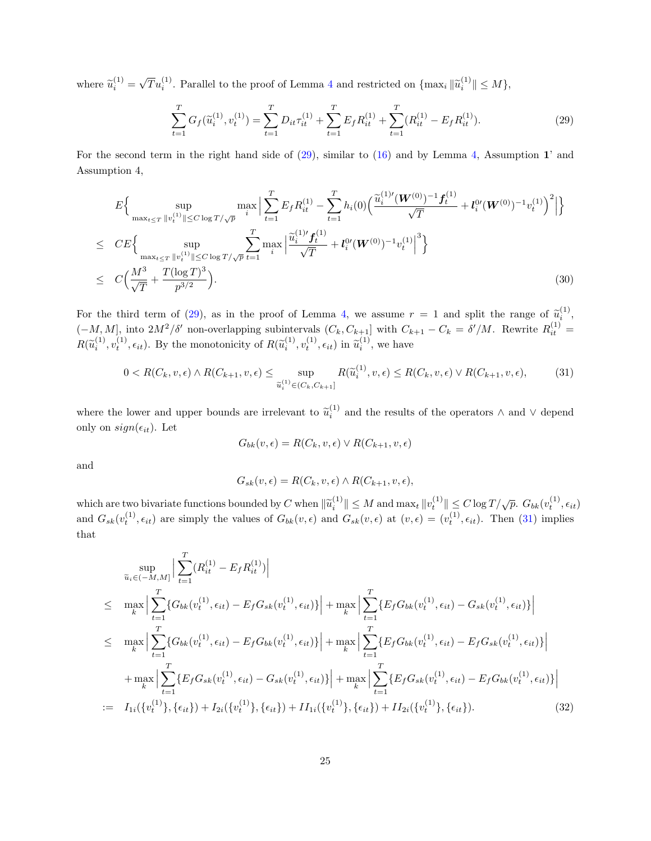where  $\widetilde{u}_i^{(1)} =$  $\sqrt{T}u_i^{(1)}$ . Parallel to the proof of Lemma [4](#page-19-1) and restricted on  $\{\max_i \|\tilde{u}_i^{(1)}\| \le M\}$ ,

<span id="page-24-0"></span>
$$
\sum_{t=1}^{T} G_f(\tilde{u}_i^{(1)}, v_t^{(1)}) = \sum_{t=1}^{T} D_{it} \tau_{it}^{(1)} + \sum_{t=1}^{T} E_f R_{it}^{(1)} + \sum_{t=1}^{T} (R_{it}^{(1)} - E_f R_{it}^{(1)}).
$$
\n(29)

For the second term in the right hand side of [\(29\)](#page-24-0), similar to [\(16\)](#page-20-2) and by Lemma [4,](#page-19-1) Assumption 1' and Assumption 4,

<span id="page-24-2"></span>
$$
E\Big\{\sup_{\max_{t\leq T} \|v_t^{(1)}\| \leq C \log T/\sqrt{p}} \max_i \Big| \sum_{t=1}^T E_f R_{it}^{(1)} - \sum_{t=1}^T h_i(0) \Big( \frac{\widetilde{u}_i^{(1)'} (\boldsymbol{W}^{(0)})^{-1} \boldsymbol{f}_t^{(1)}}{\sqrt{T}} + \boldsymbol{l}_i^{0'} (\boldsymbol{W}^{(0)})^{-1} v_t^{(1)} \Big)^2 \Big| \Big\}
$$
  
\n
$$
\leq C E\Big\{\sup_{\max_{t\leq T} \|v_t^{(1)}\| \leq C \log T/\sqrt{p}} \sum_{t=1}^T \max_i \Big| \frac{\widetilde{u}_i^{(1)'} \boldsymbol{f}_t^{(1)}}{\sqrt{T}} + \boldsymbol{l}_i^{0'} (\boldsymbol{W}^{(0)})^{-1} v_t^{(1)} \Big|^3 \Big\}
$$
  
\n
$$
\leq C \Big( \frac{M^3}{\sqrt{T}} + \frac{T(\log T)^3}{p^{3/2}} \Big). \tag{30}
$$

For the third term of [\(29\)](#page-24-0), as in the proof of Lemma [4,](#page-19-1) we assume  $r = 1$  and split the range of  $\tilde{u}_i^{(1)}$ ,  $(-M, M]$ , into  $2M^2/\delta'$  non-overlapping subintervals  $(C_k, C_{k+1}]$  with  $C_{k+1} - C_k = \delta'/M$ . Rewrite  $R_{it}^{(1)}$  $R(\tilde{u}_i^{(1)}, v_t^{(1)}, \epsilon_{it})$ . By the monotonicity of  $R(\tilde{u}_i^{(1)}, v_t^{(1)}, \epsilon_{it})$  in  $\tilde{u}_i^{(1)}$ , we have

<span id="page-24-1"></span>
$$
0 < R(C_k, v, \epsilon) \land R(C_{k+1}, v, \epsilon) \le \sup_{\tilde{u}_i^{(1)} \in (C_k, C_{k+1}]} R(\tilde{u}_i^{(1)}, v, \epsilon) \le R(C_k, v, \epsilon) \lor R(C_{k+1}, v, \epsilon),\tag{31}
$$

where the lower and upper bounds are irrelevant to  $\tilde{u}_i^{(1)}$  and the results of the operators  $\wedge$  and  $\vee$  depend only on  $sign(\epsilon_{it})$ . Let

$$
G_{bk}(v,\epsilon) = R(C_k, v, \epsilon) \lor R(C_{k+1}, v, \epsilon)
$$

and

$$
G_{sk}(v,\epsilon) = R(C_k, v, \epsilon) \wedge R(C_{k+1}, v, \epsilon),
$$

which are two bivariate functions bounded by C when  $\|\tilde{u}_i^{(1)}\| \leq M$  and  $\max_t \|v_t^{(1)}\| \leq C \log T / \sqrt{p}$ .  $G_{bk}(v_t^{(1)}, \epsilon_{it})$ and  $G_{sk}(v_t^{(1)}, \epsilon_{it})$  are simply the values of  $G_{bk}(v, \epsilon)$  and  $G_{sk}(v, \epsilon)$  at  $(v, \epsilon) = (v_t^{(1)}, \epsilon_{it})$ . Then [\(31\)](#page-24-1) implies that

$$
\sup_{\tilde{u}_{i}\in(-M,M]} \Big| \sum_{t=1}^{T} (R_{it}^{(1)} - E_{f}R_{it}^{(1)}) \Big|
$$
\n
$$
\leq \max_{k} \Big| \sum_{t=1}^{T} \{G_{bk}(v_{t}^{(1)}, \epsilon_{it}) - E_{f}G_{sk}(v_{t}^{(1)}, \epsilon_{it})\} \Big| + \max_{k} \Big| \sum_{t=1}^{T} \{E_{f}G_{bk}(v_{t}^{(1)}, \epsilon_{it}) - G_{sk}(v_{t}^{(1)}, \epsilon_{it})\} \Big|
$$
\n
$$
\leq \max_{k} \Big| \sum_{t=1}^{T} \{G_{bk}(v_{t}^{(1)}, \epsilon_{it}) - E_{f}G_{bk}(v_{t}^{(1)}, \epsilon_{it})\} \Big| + \max_{k} \Big| \sum_{t=1}^{T} \{E_{f}G_{bk}(v_{t}^{(1)}, \epsilon_{it}) - E_{f}G_{sk}(v_{t}^{(1)}, \epsilon_{it})\} \Big|
$$
\n
$$
+ \max_{k} \Big| \sum_{t=1}^{T} \{E_{f}G_{sk}(v_{t}^{(1)}, \epsilon_{it}) - G_{sk}(v_{t}^{(1)}, \epsilon_{it})\} \Big| + \max_{k} \Big| \sum_{t=1}^{T} \{E_{f}G_{sk}(v_{t}^{(1)}, \epsilon_{it}) - E_{f}G_{bk}(v_{t}^{(1)}, \epsilon_{it})\} \Big|
$$
\n
$$
:= I_{1i}(\{v_{t}^{(1)}\}, \{\epsilon_{it}\}) + I_{2i}(\{v_{t}^{(1)}\}, \{\epsilon_{it}\}) + II_{1i}(\{v_{t}^{(1)}\}, \{\epsilon_{it}\}) + II_{2i}(\{v_{t}^{(1)}\}, \{\epsilon_{it}\}). \tag{32}
$$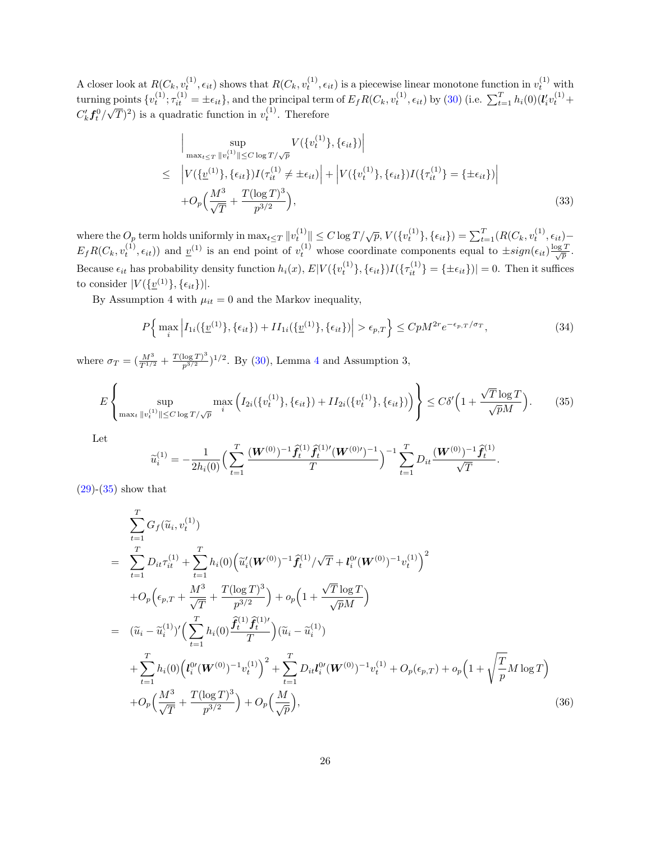A closer look at  $R(C_k, v_t^{(1)}, \epsilon_{it})$  shows that  $R(C_k, v_t^{(1)}, \epsilon_{it})$  is a piecewise linear monotone function in  $v_t^{(1)}$  with turning points  $\{v_t^{(1)}; \tau_{it}^{(1)} = \pm \epsilon_{it}\}\$ , and the principal term of  $E_f R(C_k, v_t^{(1)}, \epsilon_{it})$  by [\(30\)](#page-24-2) (i.e.  $\sum_{t=1}^T h_i(0)(\mathbf{l}_i' v_t^{(1)} + \epsilon_{it})$  $C_k' \boldsymbol{f}_t^0/$ √  $(\overline{T})^2$ ) is a quadratic function in  $v_t^{(1)}$ . Therefore

$$
\left| \sup_{\max_{t \leq T} \|v_t^{(1)}\| \leq C \log T / \sqrt{p}} V(\{v_t^{(1)}\}, \{\epsilon_{it}\}) \right|
$$
\n
$$
\leq \left| V(\{v_t^{(1)}\}, \{\epsilon_{it}\}) I(\tau_{it}^{(1)} \neq \pm \epsilon_{it}) \right| + \left| V(\{v_t^{(1)}\}, \{\epsilon_{it}\}) I(\{\tau_{it}^{(1)}\} = \{\pm \epsilon_{it}\}) \right|
$$
\n
$$
+ O_p \left( \frac{M^3}{\sqrt{T}} + \frac{T(\log T)^3}{p^{3/2}} \right),
$$
\n(33)

where the  $O_p$  term holds uniformly in  $\max_{t \leq T} ||v_t^{(1)}|| \leq C \log T / \sqrt{p}$ ,  $V(\{v_t^{(1)}\}, \{\epsilon_{it}\}) = \sum_{t=1}^T (R(C_k, v_t^{(1)}, \epsilon_{it}) E_f R(C_k, v_t^{(1)}, \epsilon_{it})$  and  $\underline{v}^{(1)}$  is an end point of  $v_t^{(1)}$  whose coordinate components equal to  $\pm sign(\epsilon_{it})\frac{\log T}{\sqrt{p}}$ . Because  $\epsilon_{it}$  has probability density function  $h_i(x)$ ,  $E|V(\lbrace v_t^{(1)} \rbrace, \lbrace \epsilon_{it} \rbrace)I(\lbrace \tau_{it}^{(1)} \rbrace = \lbrace \pm \epsilon_{it} \rbrace)| = 0$ . Then it suffices to consider  $|V(\{\underline{v}^{(1)}\}, {\{\epsilon_{it}\}})|.$ 

By Assumption 4 with  $\mu_{it} = 0$  and the Markov inequality,

<span id="page-25-2"></span>
$$
P\Big\{\max_{i}\Big|I_{1i}(\{\underline{v}^{(1)}\},\{\epsilon_{it}\})+II_{1i}(\{\underline{v}^{(1)}\},\{\epsilon_{it}\})\Big|>\epsilon_{p,T}\Big\}\leq CpM^{2r}e^{-\epsilon_{p,T}/\sigma_T},\tag{34}
$$

where  $\sigma_T = (\frac{M^3}{T^{1/2}} + \frac{T(\log T)^3}{p^{3/2}})^{1/2}$ . By [\(30\)](#page-24-2), Lemma [4](#page-19-1) and Assumption 3,

<span id="page-25-0"></span>
$$
E\left\{\sup_{\max_{t}||v_{t}^{(1)}||\leq C\log T/\sqrt{p}}\max_{i}\left(I_{2i}(\{v_{t}^{(1)}\},\{\epsilon_{it}\})+II_{2i}(\{v_{t}^{(1)}\},\{\epsilon_{it}\})\right)\right\}\leq C\delta'\left(1+\frac{\sqrt{T}\log T}{\sqrt{p}M}\right). \tag{35}
$$

Let

$$
\widetilde{u}_i^{(1)} = -\frac{1}{2h_i(0)} \Big( \sum_{t=1}^T \frac{(\boldsymbol{W}^{(0)})^{-1} \widehat{f}_t^{(1)} \widehat{f}_t^{(1)\prime} (\boldsymbol{W}^{(0)\prime})^{-1}}{T} \Big)^{-1} \sum_{t=1}^T D_{it} \frac{(\boldsymbol{W}^{(0)})^{-1} \widehat{f}_t^{(1)}}{\sqrt{T}}.
$$

 $(29)-(35)$  $(29)-(35)$  $(29)-(35)$  show that

<span id="page-25-1"></span>
$$
\sum_{t=1}^{T} G_f(\tilde{u}_i, v_t^{(1)})
$$
\n
$$
= \sum_{t=1}^{T} D_{it} \tau_{it}^{(1)} + \sum_{t=1}^{T} h_i(0) \Big( \tilde{u}_i'(\boldsymbol{W}^{(0)})^{-1} \hat{f}_t^{(1)} / \sqrt{T} + l_i^{0} (\boldsymbol{W}^{(0)})^{-1} v_t^{(1)} \Big)^2
$$
\n
$$
+ O_p \Big( \epsilon_{p,T} + \frac{M^3}{\sqrt{T}} + \frac{T(\log T)^3}{p^{3/2}} \Big) + o_p \Big( 1 + \frac{\sqrt{T} \log T}{\sqrt{p} M} \Big)
$$
\n
$$
= (\tilde{u}_i - \tilde{u}_i^{(1)})' \Big( \sum_{t=1}^{T} h_i(0) \frac{\hat{f}_t^{(1)} \hat{f}_t^{(1)}}{T} \Big) (\tilde{u}_i - \tilde{u}_i^{(1)})
$$
\n
$$
+ \sum_{t=1}^{T} h_i(0) \Big( l_i^{0} (\boldsymbol{W}^{(0)})^{-1} v_t^{(1)} \Big)^2 + \sum_{t=1}^{T} D_{it} l_i^{0} (\boldsymbol{W}^{(0)})^{-1} v_t^{(1)} + O_p(\epsilon_{p,T}) + o_p \Big( 1 + \sqrt{\frac{T}{p}} M \log T \Big)
$$
\n
$$
+ O_p \Big( \frac{M^3}{\sqrt{T}} + \frac{T(\log T)^3}{p^{3/2}} \Big) + O_p \Big( \frac{M}{\sqrt{p}} \Big), \tag{36}
$$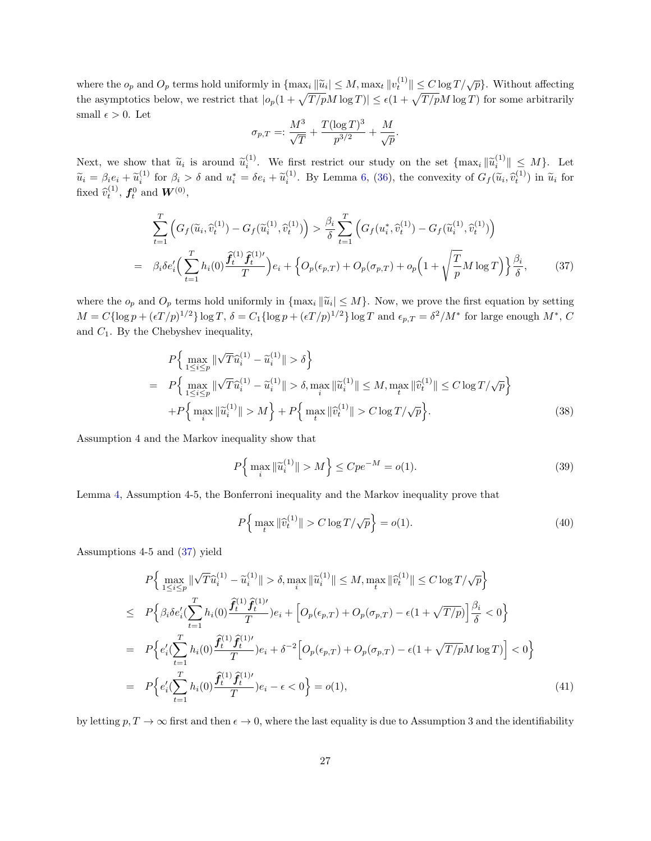where the  $o_p$  and  $O_p$  terms hold uniformly in  $\{\max_i ||\widetilde{u}_i|| \leq M, \max_t ||v_t^{(1)}|| \leq C \log T/\sqrt{p}\}\)$ . Without affecting the asymptotics below, we restrict that  $|o_p(1+\sqrt{T/pM} \log T)| \leq \epsilon(1+\sqrt{T/pM} \log T)$  for some arbitrarily small  $\epsilon > 0$ . Let

$$
\sigma_{p,T} =: \frac{M^3}{\sqrt{T}} + \frac{T(\log T)^3}{p^{3/2}} + \frac{M}{\sqrt{p}}.
$$

Next, we show that  $\widetilde{u}_i$  is around  $\widetilde{u}_i^{(1)}$ . We first restrict our study on the set  $\{\max_i ||\widetilde{u}_i^{(1)}|| \leq M\}$ . Let  $\widetilde{u}_i = \beta_i e_i + \widetilde{u}_i^{(1)}$  for  $\beta_i > \delta$  and  $u_i^* = \delta e_i + \widetilde{u}_i^{(1)}$ . By Lemma [6,](#page-28-0) [\(36\)](#page-25-1), the convexity of  $G_f(\widetilde{u}_i, \widehat{v}_t^{(1)})$  in  $\widetilde{u}_i$  for fixed  $\widehat{v}_t^{(1)}$ ,  $f_t^0$  and  $W^{(0)}$ ,

<span id="page-26-0"></span>
$$
\sum_{t=1}^{T} \left( G_f(\tilde{u}_i, \hat{v}_t^{(1)}) - G_f(\tilde{u}_i^{(1)}, \hat{v}_t^{(1)}) \right) > \frac{\beta_i}{\delta} \sum_{t=1}^{T} \left( G_f(u_i^*, \hat{v}_t^{(1)}) - G_f(\tilde{u}_i^{(1)}, \hat{v}_t^{(1)}) \right)
$$
\n
$$
= \beta_i \delta e_i' \Big( \sum_{t=1}^{T} h_i(0) \frac{\hat{f}_t^{(1)} \hat{f}_t^{(1)\prime}}{T} \Big) e_i + \Big\{ O_p(\epsilon_{p,T}) + O_p(\sigma_{p,T}) + o_p \Big( 1 + \sqrt{\frac{T}{p}} M \log T \Big) \Big\} \frac{\beta_i}{\delta}, \tag{37}
$$

where the  $o_p$  and  $O_p$  terms hold uniformly in  $\{\max_i ||\widetilde{u}_i| \leq M\}$ . Now, we prove the first equation by setting  $M = C{\log p + (\epsilon T/p)^{1/2}}\log T$ ,  $\delta = C_1{\log p + (\epsilon T/p)^{1/2}}\log T$  and  $\epsilon_{p,T} = \delta^2/M^*$  for large enough  $M^*$ , C and  $C_1$ . By the Chebyshev inequality,

<span id="page-26-1"></span>
$$
P\Big\{\max_{1 \le i \le p} \|\sqrt{T}\hat{u}_i^{(1)} - \tilde{u}_i^{(1)}\| > \delta\Big\}
$$
  
= 
$$
P\Big\{\max_{1 \le i \le p} \|\sqrt{T}\hat{u}_i^{(1)} - \tilde{u}_i^{(1)}\| > \delta, \max_i \|\tilde{u}_i^{(1)}\| \le M, \max_t \|\hat{v}_t^{(1)}\| \le C \log T/\sqrt{p}\Big\}
$$
  
+
$$
P\Big\{\max_i \|\tilde{u}_i^{(1)}\| > M\Big\} + P\Big\{\max_t \|\hat{v}_t^{(1)}\| > C \log T/\sqrt{p}\Big\}. \tag{38}
$$

Assumption 4 and the Markov inequality show that

$$
P\Big\{\max_{i} \|\tilde{u}_i^{(1)}\| > M\Big\} \le Cpe^{-M} = o(1). \tag{39}
$$

Lemma [4,](#page-19-1) Assumption 4-5, the Bonferroni inequality and the Markov inequality prove that

$$
P\left\{\max_{t} \|\widehat{v}_t^{(1)}\| > C\log T/\sqrt{p}\right\} = o(1). \tag{40}
$$

Assumptions 4-5 and [\(37\)](#page-26-0) yield

<span id="page-26-2"></span>
$$
P\Big\{\max_{1\leq i\leq p} \|\sqrt{T}\hat{u}_i^{(1)} - \tilde{u}_i^{(1)}\| > \delta, \max_i \|\tilde{u}_i^{(1)}\| \leq M, \max_t \|\hat{v}_t^{(1)}\| \leq C \log T/\sqrt{p}\Big\}
$$
  
\n
$$
\leq P\Big\{\beta_i \delta e_i' (\sum_{t=1}^T h_i(0) \frac{\hat{f}_t^{(1)} \hat{f}_t^{(1)}}{T}) e_i + \Big[O_p(\epsilon_{p,T}) + O_p(\sigma_{p,T}) - \epsilon (1 + \sqrt{T/p})\Big] \frac{\beta_i}{\delta} < 0\Big\}
$$
  
\n
$$
= P\Big\{e_i' (\sum_{t=1}^T h_i(0) \frac{\hat{f}_t^{(1)} \hat{f}_t^{(1)}}{T}) e_i + \delta^{-2} \Big[O_p(\epsilon_{p,T}) + O_p(\sigma_{p,T}) - \epsilon (1 + \sqrt{T/p}M \log T)\Big] < 0\Big\}
$$
  
\n
$$
= P\Big\{e_i' (\sum_{t=1}^T h_i(0) \frac{\hat{f}_t^{(1)} \hat{f}_t^{(1)}}{T}) e_i - \epsilon < 0\Big\} = o(1), \tag{41}
$$

by letting  $p, T \to \infty$  first and then  $\epsilon \to 0$ , where the last equality is due to Assumption 3 and the identifiability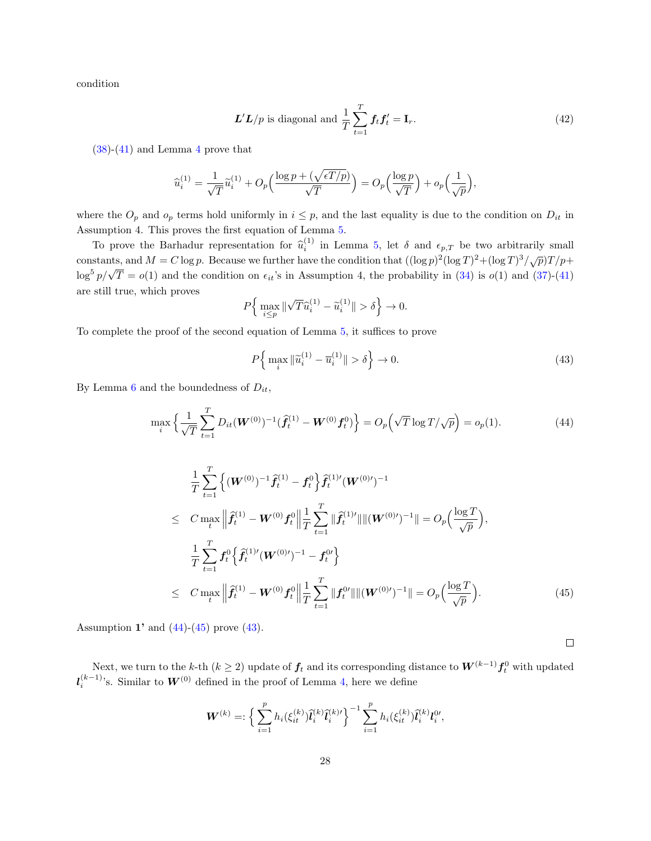condition

<span id="page-27-3"></span>
$$
\mathbf{L}'\mathbf{L}/p \text{ is diagonal and } \frac{1}{T}\sum_{t=1}^{T} \mathbf{f}_t \mathbf{f}_t' = \mathbf{I}_r. \tag{42}
$$

 $(38)-(41)$  $(38)-(41)$  $(38)-(41)$  and Lemma [4](#page-19-1) prove that

$$
\widehat{u}_i^{(1)} = \frac{1}{\sqrt{T}} \widetilde{u}_i^{(1)} + O_p\left(\frac{\log p + (\sqrt{\epsilon T/p})}{\sqrt{T}}\right) = O_p\left(\frac{\log p}{\sqrt{T}}\right) + o_p\left(\frac{1}{\sqrt{p}}\right),
$$

where the  $O_p$  and  $o_p$  terms hold uniformly in  $i \leq p$ , and the last equality is due to the condition on  $D_{it}$  in Assumption 4. This proves the first equation of Lemma [5.](#page-23-0)

To prove the Barhadur representation for  $\hat{u}_i^{(1)}$  in Lemma [5,](#page-23-0) let  $\delta$  and  $\epsilon_{p,T}$  be two arbitrarily small constants, and  $M = C \log p$ . Because we further have the condition that  $((\log p)^2(\log T)^2 + (\log T)^3/\sqrt{p})T/p +$ log<sup>5</sup>  $p/\sqrt{T} = o(1)$  and the condition on  $\epsilon_{it}$ 's in Assumption 4, the probability in [\(34\)](#page-25-2) is  $o(1)$  and [\(37\)](#page-26-0)-[\(41\)](#page-26-2) are still true, which proves

$$
P\Big\{\max_{i\leq p}\|\sqrt{T}\widehat{u}_i^{(1)}-\widetilde{u}_i^{(1)}\|>\delta\Big\}\rightarrow 0.
$$

To complete the proof of the second equation of Lemma [5,](#page-23-0) it suffices to prove

<span id="page-27-2"></span>
$$
P\left\{\max_{i}\|\widetilde{u}_i^{(1)} - \overline{u}_i^{(1)}\| > \delta\right\} \to 0. \tag{43}
$$

By Lemma [6](#page-28-0) and the boundedness of  $D_{it}$ ,

<span id="page-27-0"></span>
$$
\max_{i} \left\{ \frac{1}{\sqrt{T}} \sum_{t=1}^{T} D_{it} (\boldsymbol{W}^{(0)})^{-1} (\boldsymbol{\hat{f}}_{t}^{(1)} - \boldsymbol{W}^{(0)} \boldsymbol{f}_{t}^{0}) \right\} = O_{p} \left( \sqrt{T} \log T / \sqrt{p} \right) = o_{p}(1). \tag{44}
$$

<span id="page-27-1"></span>
$$
\frac{1}{T} \sum_{t=1}^{T} \left\{ (W^{(0)})^{-1} \hat{f}_t^{(1)} - f_t^0 \right\} \hat{f}_t^{(1)'} (W^{(0)'})^{-1}
$$
\n
$$
\leq C \max_t \left\| \hat{f}_t^{(1)} - W^{(0)} f_t^0 \right\| \frac{1}{T} \sum_{t=1}^{T} \|\hat{f}_t^{(1)'}\| \| (W^{(0)'})^{-1} \| = O_p \left( \frac{\log T}{\sqrt{p}} \right),
$$
\n
$$
\frac{1}{T} \sum_{t=1}^{T} f_t^0 \left\{ \hat{f}_t^{(1)'} (W^{(0)'})^{-1} - f_t^{0'} \right\}
$$
\n
$$
\leq C \max_t \left\| \hat{f}_t^{(1)} - W^{(0)} f_t^0 \right\| \frac{1}{T} \sum_{t=1}^{T} \left\| f_t^{0'} \right\| \| (W^{(0)'})^{-1} \| = O_p \left( \frac{\log T}{\sqrt{p}} \right).
$$
\n(45)

Assumption 1' and  $(44)-(45)$  $(44)-(45)$  $(44)-(45)$  prove  $(43)$ .

 $\Box$ 

Next, we turn to the k-th  $(k \ge 2)$  update of  $f_t$  and its corresponding distance to  $\bm{W}^{(k-1)} \bm{f}_t^0$  with updated  $\mathcal{U}_i^{(k-1)}$ 's. Similar to  $W^{(0)}$  defined in the proof of Lemma [4,](#page-19-1) here we define

$$
\mathbf{W}^{(k)} = \left\{ \sum_{i=1}^{p} h_i(\xi_{it}^{(k)}) \hat{l}_i^{(k)} \hat{l}_i^{(k)'} \right\}^{-1} \sum_{i=1}^{p} h_i(\xi_{it}^{(k)}) \hat{l}_i^{(k)} l_i^{0'},
$$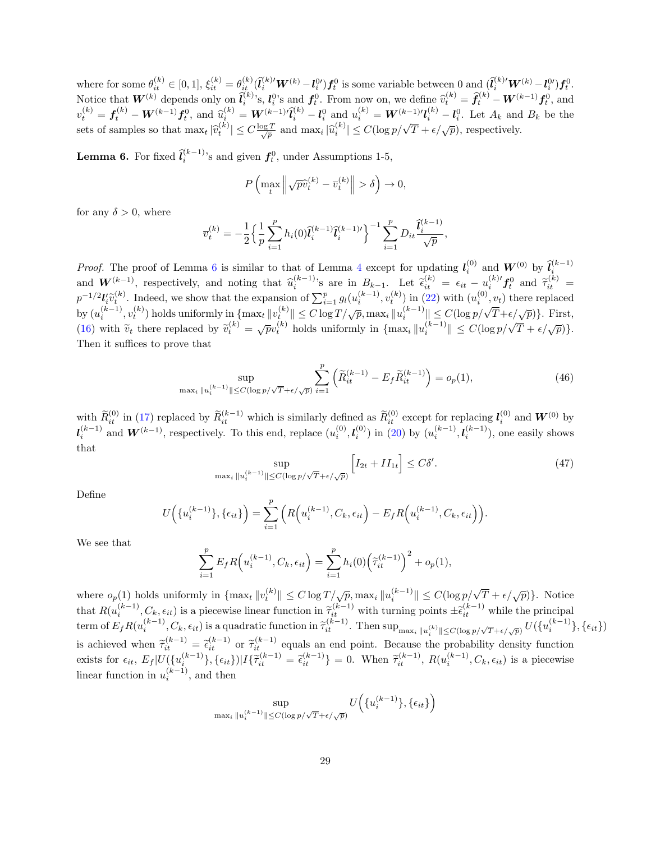where for some  $\theta_{it}^{(k)} \in [0,1], \xi_{it}^{(k)} = \theta_{it}^{(k)} (\tilde{l}_i^{(k)'} \boldsymbol{W}^{(k)} - l_i^{0}) \boldsymbol{f}_t^0$  is some variable between 0 and  $(\tilde{l}_i^{(k)'} \boldsymbol{W}^{(k)} - l_i^{0}) \boldsymbol{f}_t^0$ . Notice that  $W^{(k)}$  depends only on  $\hat{l}_i^{(k)}$ 's,  $l_i^{0}$ 's and  $f_t^{0}$ . From now on, we define  $\hat{v}_t^{(k)} = \hat{f}_t^{(k)} - W^{(k-1)}f_t^{0}$ , and  $\hat{l}_t^{(k)} = \epsilon_k^{(k)} - W^{(k-1)}f_t^{0}$ , and  $\epsilon_k^{(k)} = \epsilon_k^{(k)} - W^{(k-1)}f_t^{0}$  $v_t^{(k)} = \mathbf{f}_t^{(k)} - \mathbf{W}^{(k-1)}\mathbf{f}_t^0$ , and  $\widehat{u}_i^{(k)} = \mathbf{W}^{(k-1)}\widehat{l}_i^{(k)} - \mathbf{l}_i^0$  and  $u_i^{(k)} = \mathbf{W}^{(k-1)}\mathbf{l}_i^{(k)} - \mathbf{l}_i^0$ . Let  $A_k$  and  $B_k$  be the  $\sum_{i=1}^{n} \sum_{i=1}^{n} \mathbf{W}^{(k)}(t) = \mathbf{W}^{(k)}[i] \leq C \frac{\log T}{\sqrt{p}}$  and  $\max_i |\hat{u}_i^{(k)}| \leq C (\log p/\sqrt{T} + \epsilon/\sqrt{p})$ , respectively.

<span id="page-28-0"></span>**Lemma 6.** For fixed  $\hat{l}_i^{(k-1)}$ 's and given  $f_t^0$ , under Assumptions 1-5,

$$
P\left(\max_t \left\|\sqrt{p}\hat{v}_t^{(k)} - \overline{v}_t^{(k)}\right\| > \delta\right) \to 0,
$$

for any  $\delta > 0$ , where

$$
\overline{v}_t^{(k)} = -\frac{1}{2} \Big\{ \frac{1}{p} \sum_{i=1}^p h_i(0) \tilde{l}_i^{(k-1)} \tilde{l}_i^{(k-1)\prime} \Big\}^{-1} \sum_{i=1}^p D_{it} \frac{\tilde{l}_i^{(k-1)}}{\sqrt{p}},
$$

*Proof.* The proof of Lemma [6](#page-28-0) is similar to that of Lemma [4](#page-19-1) except for updating  $l_i^{(0)}$  and  $W^{(0)}$  by  $\hat{l}_i^{(k-1)}$ if  $W^{(k-1)}$ , respectively, and noting that  $\hat{u}_i^{(k-1)}$ 's are in  $B_{k-1}$ . Let  $\hat{\epsilon}_{it}^{(k)} = \epsilon_{it} - u_i^{(k)'} f_v^0$  and  $\hat{\tau}_{it}^{(k)} = -1/2V^{\sim(k)}$ . Let  $\hat{\tau}_{it}^{(k)} = \epsilon_{it} - u_i^{(k)'} f_v^0$  and  $\hat{\tau}_{it}^{(k)} = -1/2V^{\sim(k)}$ .  $p^{-1/2}V_i\widetilde{v}_t^{(k)}$ . Indeed, we show that the expansion of  $\sum_{i=1}^p g_l(u_i^{(k-1)}, v_i^{(k)})$  in [\(22\)](#page-22-0) with  $(u_i^{(0)}, v_t)$  there replaced by  $(u_i^{(k-1)}, v_i^{(k)})$  holds uniformly in  $\{\max_t ||v_t^{(k)}|| \leq C \log T/\sqrt{p}$ ,  $\max_i ||u_i^{(k-1)}|| \leq C (\log p/\sqrt{T}+\epsilon/\sqrt{p})\}$ . First, by  $(u_i, v_t)$  holds uniformly in  $\{\max_t ||u_t|| \leq C \log P / \sqrt{p}, \max_t ||u_t|| \leq C (\log P / \sqrt{1 + c/\sqrt{p}})\}$ . Thus,<br>[\(16\)](#page-20-2) with  $\tilde{v}_t$  there replaced by  $\tilde{v}_t^{(k)} = \sqrt{p}v_t^{(k)}$  holds uniformly in  $\{\max_i ||u_i^{(k-1)}|| \leq C(\log p / \sqrt{T} + \epsilon/\sqrt{p})\}$ . Then it suffices to prove that

<span id="page-28-1"></span>
$$
\sup_{\max_{i} \|u_{i}^{(k-1)}\| \le C(\log p/\sqrt{T} + \epsilon/\sqrt{p})} \sum_{i=1}^{p} \left( \widetilde{R}_{it}^{(k-1)} - E_{f} \widetilde{R}_{it}^{(k-1)} \right) = o_{p}(1), \tag{46}
$$

with  $\widetilde{R}_{it}^{(0)}$  in [\(17\)](#page-21-0) replaced by  $\widetilde{R}_{it}^{(k-1)}$  which is similarly defined as  $\widetilde{R}_{it}^{(0)}$  except for replacing  $l_i^{(0)}$  and  $\mathbf{W}^{(0)}$  by  $\mathbf{I}_{i}^{(k-1)}$  and  $\mathbf{W}^{(k-1)}$ , respectively. To this end, replace  $(u_i^{(0)}, l_i^{(0)})$  in [\(20\)](#page-21-2) by  $(u_i^{(k-1)}, l_i^{(k-1)})$ , one easily shows that

$$
\sup_{\max_i \|u_i^{(k-1)}\| \le C(\log p/\sqrt{T} + \epsilon/\sqrt{p})} \left[I_{2t} + II_{1t}\right] \le C\delta'.\tag{47}
$$

Define

$$
U(\{u_i^{(k-1)}\}, {\epsilon_{it}}) = \sum_{i=1}^p \Big( R\Big(u_i^{(k-1)}, C_k, {\epsilon_{it}}\Big) - E_f R\Big(u_i^{(k-1)}, C_k, {\epsilon_{it}}\Big)\Big).
$$

We see that

$$
\sum_{i=1}^{p} E_f R\Big(u_i^{(k-1)}, C_k, \epsilon_{it}\Big) = \sum_{i=1}^{p} h_i(0) \Big(\widetilde{\tau}_{it}^{(k-1)}\Big)^2 + o_p(1),
$$

where  $o_p(1)$  holds uniformly in  $\{\max_t \|v_t^{(k)}\| \leq C \log T/\sqrt{p}, \max_i \|u_i^{(k-1)}\| \leq C (\log p/\sqrt{T} + \epsilon/\sqrt{p})\}$ . Notice that  $R(u_i^{(k-1)}, C_k, \epsilon_{it})$  is a piecewise linear function in  $\tilde{\tau}_{it}^{(k-1)}$  with turning points  $\pm \tilde{\epsilon}_{it}^{(k-1)}$  while the principal term of  $E_f R(u_i^{(k-1)}, C_k, \epsilon_{it})$  is a quadratic function in  $\widetilde{\tau}_{it}^{(k-1)}$ . Then  $\sup_{\max_i \|u_i^{(k)}\| \le C(\log p/\sqrt{T}+\epsilon/\sqrt{p})} U(\{u_i^{(k-1)}\}, \{\epsilon_{it}\})$ is achieved when  $\tilde{\tau}_{it}^{(k-1)} = \tilde{\epsilon}_{it}^{(k-1)}$  or  $\tilde{\tau}_{it}^{(k-1)}$  equals an end point. Because the probability density function exists for  $\epsilon_{it}$ ,  $E_f |U(\{u_i^{(k-1)}\}, {\{\epsilon_{it}\}})|I\{\tilde{\tau}_{it}^{(k-1)} = \tilde{\epsilon}_{it}^{(k-1)}\} = 0$ . When  $\tilde{\tau}_{it}^{(k-1)}$ ,  $R(u_i^{(k-1)}, C_k, \epsilon_{it})$  is a piecewise linear function in  $u_i^{(k-1)}$ , and then

$$
\sup_{\max_i \|u_i^{(k-1)}\| \le C(\log p/\sqrt{T}+\epsilon/\sqrt{p})} U\Big(\{u_i^{(k-1)}\}, \{\epsilon_{it}\}\Big)
$$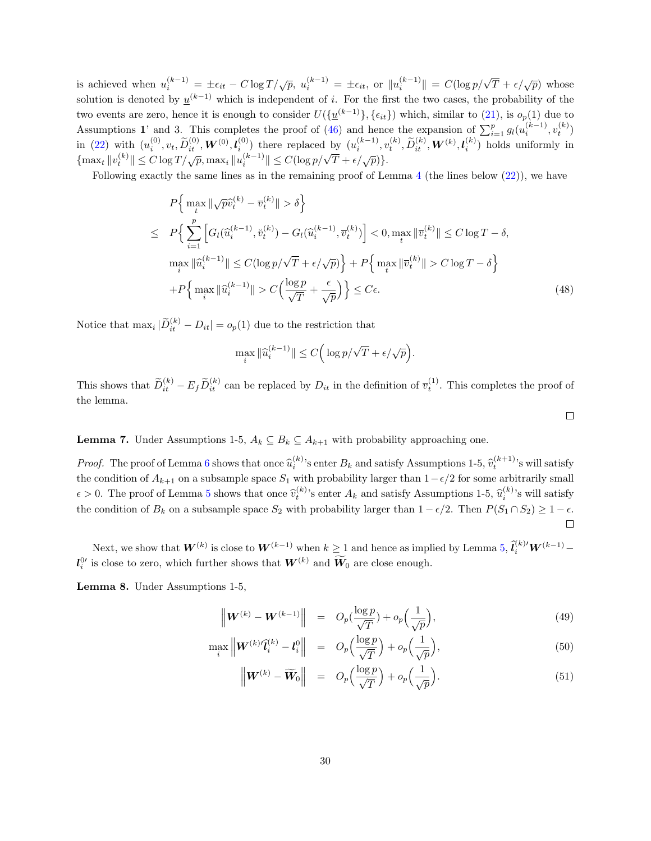is achieved when  $u_i^{(k-1)} = \pm \epsilon_{it} - C \log T / \sqrt{p}$ ,  $u_i^{(k-1)} = \pm \epsilon_{it}$ , or  $||u_i^{(k-1)}|| = C(\log p / \sqrt{T} + \epsilon / \sqrt{p})$  whose solution is denoted by  $\underline{u}^{(k-1)}$  which is independent of i. For the first the two cases, the probability of the two events are zero, hence it is enough to consider  $U(\{\underline{u}^{(k-1)}\}, {\{\epsilon_{it}\}})$  which, similar to [\(21\)](#page-22-2), is  $o_p(1)$  due to Assumptions 1' and 3. This completes the proof of [\(46\)](#page-28-1) and hence the expansion of  $\sum_{i=1}^{p} g_l(u_i^{(k-1)}, v_t^{(k)})$ in [\(22\)](#page-22-0) with  $(u_i^{(0)}, v_t, \tilde{D}_{it}^{(0)}, \boldsymbol{W}^{(0)}, \boldsymbol{l}_{i}^{(0)})$  there replaced by  $(u_i^{(k-1)}, v_t^{(k)}, \tilde{D}_{it}^{(k)}, \boldsymbol{W}^{(k)}, \boldsymbol{l}_{i}^{(k)})$  holds uniformly in  ${\max_t \|v_t^{(k)}\| \le C \log T / \sqrt{p}}, \max_i \|u_i^{(k-1)}\| \le C(\log p / \sqrt{T} + \epsilon / \sqrt{p})\}.$ 

Following exactly the same lines as in the remaining proof of Lemma [4](#page-19-1) (the lines below [\(22\)](#page-22-0)), we have

$$
P\Big\{\max_{t} \|\sqrt{p}\hat{v}_{t}^{(k)} - \overline{v}_{t}^{(k)}\| > \delta\Big\}
$$
  
\n
$$
\leq P\Big\{\sum_{i=1}^{p} \Big[G_{l}(\hat{u}_{i}^{(k-1)}, \check{v}_{t}^{(k)}) - G_{l}(\hat{u}_{i}^{(k-1)}, \overline{v}_{t}^{(k)})\Big] < 0, \max_{t} \|\overline{v}_{t}^{(k)}\| \leq C \log T - \delta,
$$
  
\n
$$
\max_{i} \|\hat{u}_{i}^{(k-1)}\| \leq C(\log p/\sqrt{T} + \epsilon/\sqrt{p})\Big\} + P\Big\{\max_{t} \|\overline{v}_{t}^{(k)}\| > C \log T - \delta\Big\}
$$
  
\n
$$
+ P\Big\{\max_{i} \|\hat{u}_{i}^{(k-1)}\| > C\Big(\frac{\log p}{\sqrt{T}} + \frac{\epsilon}{\sqrt{p}}\Big)\Big\} \leq C\epsilon.
$$
 (48)

Notice that  $\max_i |\tilde{D}_{it}^{(k)} - D_{it}| = o_p(1)$  due to the restriction that

$$
\max_i \|\widehat u_i^{(k-1)}\| \le C \Big( \log p / \sqrt{T} + \epsilon / \sqrt{p} \Big).
$$

This shows that  $\widetilde{D}_{it}^{(k)} - E_f \widetilde{D}_{it}^{(k)}$  can be replaced by  $D_{it}$  in the definition of  $\overline{v}_t^{(1)}$ . This completes the proof of the lemma.

 $\Box$ 

<span id="page-29-0"></span>**Lemma 7.** Under Assumptions 1-5,  $A_k \subseteq B_k \subseteq A_{k+1}$  with probability approaching one.

*Proof.* The proof of Lemma [6](#page-28-0) shows that once  $\hat{u}_i^{(k)}$ 's enter  $B_k$  and satisfy Assumptions 1-5,  $\hat{v}_t^{(k+1)}$ 's will satisfy the condition of  $A_{k+1}$  on a subsample space  $S_1$  with probability larger than  $1-\epsilon/2$  for some arbitrarily small  $\epsilon > 0$ . The proof of Lemma [5](#page-23-0) shows that once  $\hat{v}_t^{(k)}$ 's enter  $A_k$  and satisfy Assumptions 1-5,  $\hat{u}_t^{(k)}$ 's will satisfy the condition of  $B_k$  on a subsample space  $S_2$  with probability larger than  $1 - \epsilon/2$ . Then  $P(S_1 \cap S_2) \geq 1 - \epsilon$ .  $\Box$ 

Next, we show that  $W^{(k)}$  is close to  $W^{(k-1)}$  when  $k \geq 1$  and hence as implied by Lemma [5,](#page-23-0)  $\hat{l}_i^{(k)\prime} W^{(k-1)}$  –  $\mathcal{U}_i^{0}$  is close to zero, which further shows that  $\mathcal{W}^{(k)}$  and  $\mathcal{W}_0$  are close enough.

<span id="page-29-2"></span>Lemma 8. Under Assumptions 1-5,

<span id="page-29-1"></span>
$$
\left\| \boldsymbol{W}^{(k)} - \boldsymbol{W}^{(k-1)} \right\| = O_p\left(\frac{\log p}{\sqrt{T}}\right) + o_p\left(\frac{1}{\sqrt{p}}\right),\tag{49}
$$

$$
\max_{i} \left\| \mathbf{W}^{(k)} \hat{\mathbf{l}}_{i}^{(k)} - \mathbf{l}_{i}^{0} \right\| = O_{p}\left(\frac{\log p}{\sqrt{T}}\right) + o_{p}\left(\frac{1}{\sqrt{p}}\right),\tag{50}
$$

$$
\left\| \boldsymbol{W}^{(k)} - \widetilde{\boldsymbol{W}}_0 \right\| = O_p\left(\frac{\log p}{\sqrt{T}}\right) + o_p\left(\frac{1}{\sqrt{p}}\right).
$$
\n(51)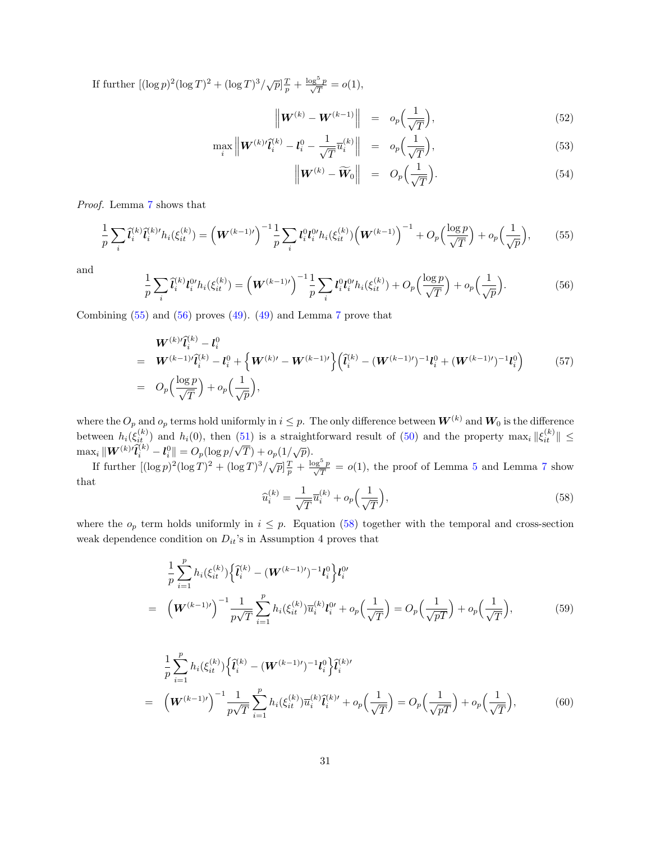If further  $[(\log p)^2(\log T)^2 + (\log T)^3/\sqrt{p}] \frac{T}{p} + \frac{\log^5 p}{\sqrt{T}} = o(1)$ ,

<span id="page-30-4"></span>
$$
\left\| \boldsymbol{W}^{(k)} - \boldsymbol{W}^{(k-1)} \right\| = o_p\Big(\frac{1}{\sqrt{T}}\Big), \tag{52}
$$

$$
\max_{i} \left\| \mathbf{W}^{(k)} \hat{\mathbf{l}}_i^{(k)} - \mathbf{l}_i^0 - \frac{1}{\sqrt{T}} \overline{u}_i^{(k)} \right\| = o_p\Big(\frac{1}{\sqrt{T}}\Big),\tag{53}
$$

$$
\left\| \boldsymbol{W}^{(k)} - \widetilde{\boldsymbol{W}}_0 \right\| = O_p\Big(\frac{1}{\sqrt{T}}\Big). \tag{54}
$$

Proof. Lemma [7](#page-29-0) shows that

=

<span id="page-30-0"></span>
$$
\frac{1}{p}\sum_{i}\hat{\mathbf{l}}_{i}^{(k)}\hat{\mathbf{l}}_{i}^{(k)}h_{i}(\xi_{it}^{(k)}) = \left(\mathbf{W}^{(k-1)\prime}\right)^{-1}\frac{1}{p}\sum_{i}\mathbf{l}_{i}^{0}\mathbf{l}_{i}^{0\prime}h_{i}(\xi_{it}^{(k)})\left(\mathbf{W}^{(k-1)}\right)^{-1} + O_{p}\left(\frac{\log p}{\sqrt{T}}\right) + o_{p}\left(\frac{1}{\sqrt{p}}\right),\tag{55}
$$

and

<span id="page-30-1"></span>
$$
\frac{1}{p}\sum_{i}\hat{l}_{i}^{(k)}l_{i}^{0\prime}h_{i}(\xi_{it}^{(k)}) = \left(\boldsymbol{W}^{(k-1)\prime}\right)^{-1}\frac{1}{p}\sum_{i}l_{i}^{0}l_{i}^{0\prime}h_{i}(\xi_{it}^{(k)}) + O_{p}\left(\frac{\log p}{\sqrt{T}}\right) + o_{p}\left(\frac{1}{\sqrt{p}}\right).
$$
\n(56)

Combining  $(55)$  and  $(56)$  proves  $(49)$ .  $(49)$  and Lemma [7](#page-29-0) prove that

<span id="page-30-5"></span>
$$
\begin{split}\n&\boldsymbol{W}^{(k)}\tilde{\boldsymbol{l}}_{i}^{(k)} - \boldsymbol{l}_{i}^{0} \\
&= \boldsymbol{W}^{(k-1)}\tilde{\boldsymbol{l}}_{i}^{(k)} - \boldsymbol{l}_{i}^{0} + \left\{\boldsymbol{W}^{(k)\prime} - \boldsymbol{W}^{(k-1)\prime}\right\} \left(\tilde{\boldsymbol{l}}_{i}^{(k)} - (\boldsymbol{W}^{(k-1)\prime})^{-1}\boldsymbol{l}_{i}^{0} + (\boldsymbol{W}^{(k-1)\prime})^{-1}\boldsymbol{l}_{i}^{0}\right) \\
&= O_{p}\left(\frac{\log p}{\sqrt{T}}\right) + o_{p}\left(\frac{1}{\sqrt{p}}\right),\n\end{split} \tag{57}
$$

where the  $O_p$  and  $o_p$  terms hold uniformly in  $i \leq p$ . The only difference between  $\bm{W}^{(k)}$  and  $\bm{W}_0$  is the difference between  $h_i(\xi_{it}^{(k)})$  and  $h_i(0)$ , then [\(51\)](#page-29-1) is a straightforward result of [\(50\)](#page-29-1) and the property  $\max_i \|\xi_{it}^{(k)}\| \leq$ max<sub>i</sub>  $\|W^{(k)'}\tilde{l}_i^{(k)} - l_i^0\| = O_p(\log p/\sqrt{T}) + o_p(1/\sqrt{p}).$ 

If further  $[(\log p)^2(\log T)^2 + (\log T)^3/\sqrt{p}] \frac{T}{p} + \frac{\log^5 p}{\sqrt{T}} = o(1)$  $[(\log p)^2(\log T)^2 + (\log T)^3/\sqrt{p}] \frac{T}{p} + \frac{\log^5 p}{\sqrt{T}} = o(1)$  $[(\log p)^2(\log T)^2 + (\log T)^3/\sqrt{p}] \frac{T}{p} + \frac{\log^5 p}{\sqrt{T}} = o(1)$ , the proof of Lemma 5 and Lemma [7](#page-29-0) show that

<span id="page-30-2"></span>
$$
\widehat{u}_i^{(k)} = \frac{1}{\sqrt{T}} \overline{u}_i^{(k)} + o_p\left(\frac{1}{\sqrt{T}}\right),\tag{58}
$$

where the  $o_p$  term holds uniformly in  $i \leq p$ . Equation [\(58\)](#page-30-2) together with the temporal and cross-section weak dependence condition on  $D_{it}$ 's in Assumption 4 proves that

<span id="page-30-3"></span>
$$
\frac{1}{p} \sum_{i=1}^{p} h_i(\xi_{it}^{(k)}) \left\{ \hat{l}_i^{(k)} - (\boldsymbol{W}^{(k-1) \prime})^{-1} l_i^0 \right\} l_i^{0 \prime} \n= (\boldsymbol{W}^{(k-1) \prime})^{-1} \frac{1}{p\sqrt{T}} \sum_{i=1}^{p} h_i(\xi_{it}^{(k)}) \overline{u}_i^{(k)} l_i^{0 \prime} + o_p\left(\frac{1}{\sqrt{T}}\right) = O_p\left(\frac{1}{\sqrt{pT}}\right) + o_p\left(\frac{1}{\sqrt{T}}\right),
$$
\n(59)

$$
\frac{1}{p} \sum_{i=1}^{p} h_i(\xi_{it}^{(k)}) \left\{ \tilde{l}_i^{(k)} - (\boldsymbol{W}^{(k-1)'})^{-1} \boldsymbol{l}_i^0 \right\} \tilde{l}_i^{(k)'} \n= \left( \boldsymbol{W}^{(k-1)'} \right)^{-1} \frac{1}{p\sqrt{T}} \sum_{i=1}^{p} h_i(\xi_{it}^{(k)}) \overline{u}_i^{(k)} \tilde{l}_i^{(k)'} + o_p\left(\frac{1}{\sqrt{T}}\right) = O_p\left(\frac{1}{\sqrt{pT}}\right) + o_p\left(\frac{1}{\sqrt{T}}\right),
$$
\n(60)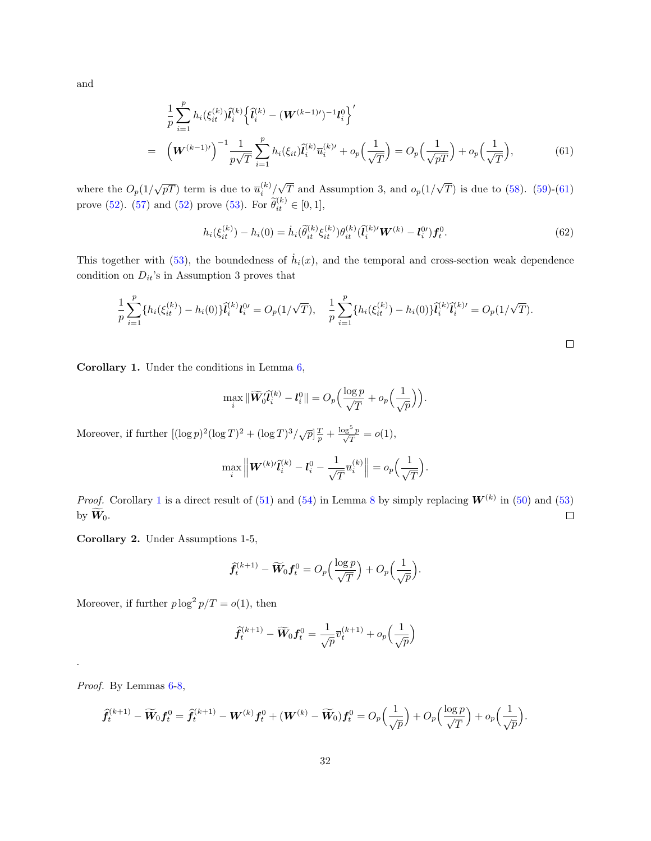and

<span id="page-31-0"></span>
$$
\frac{1}{p} \sum_{i=1}^{p} h_i(\xi_{it}^{(k)}) \tilde{l}_i^{(k)} \left\{ \tilde{l}_i^{(k)} - (\mathbf{W}^{(k-1) \prime})^{-1} l_i^0 \right\}'
$$
\n
$$
= \left( \mathbf{W}^{(k-1) \prime} \right)^{-1} \frac{1}{p\sqrt{T}} \sum_{i=1}^{p} h_i(\xi_{it}) \tilde{l}_i^{(k)} \overline{u}_i^{(k) \prime} + o_p\left(\frac{1}{\sqrt{T}}\right) = O_p\left(\frac{1}{\sqrt{pT}}\right) + o_p\left(\frac{1}{\sqrt{T}}\right), \tag{61}
$$

where the  $O_p(1/\sqrt{pT})$  term is due to  $\overline{u}_i^{(k)}/$ √ T and Assumption 3, and  $o_p(1)$ √ T) is due to  $(58)$ .  $(59)-(61)$  $(59)-(61)$  $(59)-(61)$ prove [\(52\)](#page-30-4). [\(57\)](#page-30-5) and (52) prove [\(53\)](#page-30-4). For  $\tilde{\theta}_{it}^{(k)} \in [0,1],$ 

$$
h_i(\xi_{it}^{(k)}) - h_i(0) = \dot{h}_i(\widetilde{\theta}_{it}^{(k)} \xi_{it}^{(k)}) \theta_{it}^{(k)} (\widetilde{\mathbf{l}}_i^{(k)'} \mathbf{W}^{(k)} - \mathbf{l}_i^{0'}) \mathbf{f}_t^0.
$$
 (62)

This together with [\(53\)](#page-30-4), the boundedness of  $\dot{h}_i(x)$ , and the temporal and cross-section weak dependence condition on  $D_{it}$ 's in Assumption 3 proves that

$$
\frac{1}{p} \sum_{i=1}^p \{h_i(\xi_{it}^{(k)}) - h_i(0)\}\tilde{l}_i^{(k)}l_i^{0} = O_p(1/\sqrt{T}), \quad \frac{1}{p} \sum_{i=1}^p \{h_i(\xi_{it}^{(k)}) - h_i(0)\}\tilde{l}_i^{(k)}\tilde{l}_i^{(k)'} = O_p(1/\sqrt{T}).
$$

<span id="page-31-1"></span>Corollary 1. Under the conditions in Lemma [6,](#page-28-0)

$$
\max_i \|\widetilde{\boldsymbol{W}}_0'\hat{\boldsymbol{l}}_i^{(k)} - \boldsymbol{l}_i^0\| = O_p\Big(\frac{\log p}{\sqrt{T}} + o_p\Big(\frac{1}{\sqrt{p}}\Big)\Big).
$$

Moreover, if further  $[(\log p)^2(\log T)^2 + (\log T)^3/\sqrt{p}]\frac{T}{p} + \frac{\log^5 p}{\sqrt{T}} = o(1)$ ,

$$
\max_{i} \left\| \mathbf{W}^{(k)} \hat{\mathbf{l}}_i^{(k)} - \mathbf{l}_i^0 - \frac{1}{\sqrt{T}} \overline{u}_i^{(k)} \right\| = o_p\left(\frac{1}{\sqrt{T}}\right).
$$

*Proof.* Corollary [1](#page-31-1) is a direct result of [\(51\)](#page-29-1) and [\(54\)](#page-30-4) in Lemma [8](#page-29-2) by simply replacing  $W^{(k)}$  in [\(50\)](#page-29-1) and [\(53\)](#page-30-4)  $\Box$ by  $W_0$ .

Corollary 2. Under Assumptions 1-5,

$$
\widehat{f}_t^{(k+1)} - \widetilde{W}_0 f_t^0 = O_p\left(\frac{\log p}{\sqrt{T}}\right) + O_p\left(\frac{1}{\sqrt{p}}\right).
$$

Moreover, if further  $p \log^2 p/T = o(1)$ , then

$$
\widehat{\pmb{f}}_t^{(k+1)} - \widetilde{\pmb{W}}_0 \pmb{f}_t^0 = \frac{1}{\sqrt{p}} \overline{v}_t^{(k+1)} + o_p\Big(\frac{1}{\sqrt{p}}\Big)
$$

Proof. By Lemmas  $6-8$  $6-8$ ,

.

$$
\widehat{\boldsymbol{f}}_t^{(k+1)} - \widetilde{\boldsymbol{W}}_0 \boldsymbol{f}_t^0 = \widehat{\boldsymbol{f}}_t^{(k+1)} - \boldsymbol{W}^{(k)} \boldsymbol{f}_t^0 + (\boldsymbol{W}^{(k)} - \widetilde{\boldsymbol{W}}_0) \boldsymbol{f}_t^0 = O_p\left(\frac{1}{\sqrt{p}}\right) + O_p\left(\frac{\log p}{\sqrt{T}}\right) + o_p\left(\frac{1}{\sqrt{p}}\right).
$$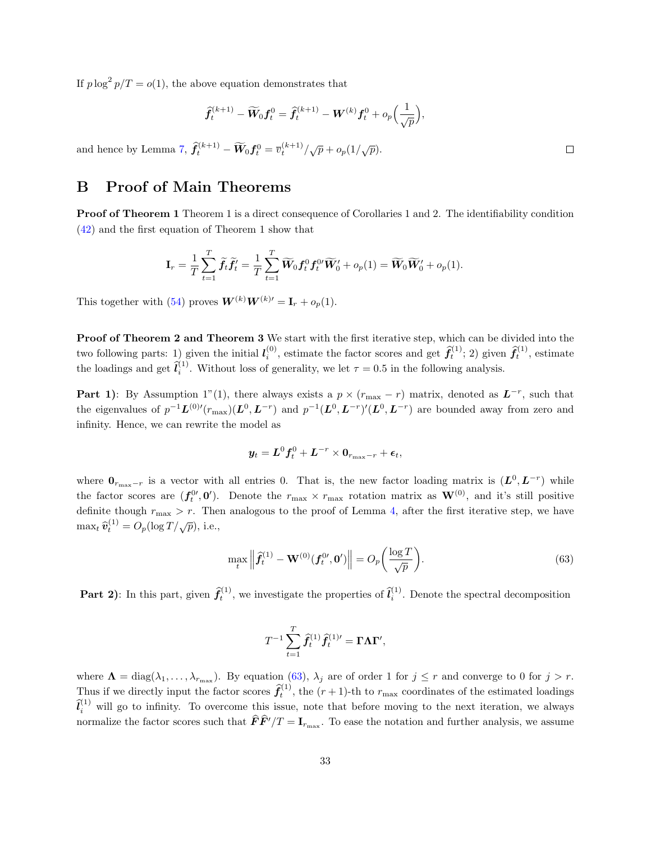If  $p \log^2 p/T = o(1)$ , the above equation demonstrates that

$$
\begin{aligned} \widehat{\pmb{f}}_t^{(k+1)} - \widetilde{\pmb{W}}_0 \pmb{f}_t^0 = \widehat{\pmb{f}}_t^{(k+1)} - \pmb{W}^{(k)} \pmb{f}_t^0 + o_p \Big( \frac{1}{\sqrt{p}} \Big), \\[1.5ex] \widehat{\pmb{f}}_t^{(k+1)} - \widetilde{\pmb{W}}_0 \pmb{f}_t^0 = \overline{v}_t^{(k+1)} / \sqrt{p} + o_p(1/\sqrt{p}). \end{aligned}
$$

and hence by Lemma [7,](#page-29-0)  $\hat{f}_t^{(k+1)} - \widetilde{W}_0 f_t^0 = \overline{v}_t^{(k+1)}/\sqrt{p} + o_p(1/\sqrt{p}).$ 

### <span id="page-32-0"></span>B Proof of Main Theorems

Proof of Theorem 1 Theorem 1 is a direct consequence of Corollaries 1 and 2. The identifiability condition [\(42\)](#page-27-3) and the first equation of Theorem 1 show that

$$
\mathbf{I}_r = \frac{1}{T} \sum_{t=1}^T \widetilde{f}_t \widetilde{f}_t' = \frac{1}{T} \sum_{t=1}^T \widetilde{W}_0 f_t^0 f_t^{0\prime} \widetilde{W}_0' + o_p(1) = \widetilde{W}_0 \widetilde{W}_0' + o_p(1).
$$

This together with [\(54\)](#page-30-4) proves  $W^{(k)}W^{(k)} = I_r + o_p(1)$ .

Proof of Theorem 2 and Theorem 3 We start with the first iterative step, which can be divided into the two following parts: 1) given the initial  $l_i^{(0)}$ , estimate the factor scores and get  $\hat{f}_t^{(1)}$ ; 2) given  $\hat{f}_t^{(1)}$ , estimate the loadings and get  $\hat{l}_i^{(1)}$ . Without loss of generality, we let  $\tau = 0.5$  in the following analysis.

**Part 1)**: By Assumption 1"(1), there always exists a  $p \times (r_{\text{max}} - r)$  matrix, denoted as  $L^{-r}$ , such that the eigenvalues of  $p^{-1}L^{(0)}(r_{\text{max}})(L^0, L^{-r})$  and  $p^{-1}(L^0, L^{-r})'(L^0, L^{-r})$  are bounded away from zero and infinity. Hence, we can rewrite the model as

$$
\boldsymbol{y}_t = \boldsymbol{L}^0\boldsymbol{f}_t^0 + \boldsymbol{L}^{-r} \times \boldsymbol{0}_{r_{\max}-r} + \boldsymbol{\epsilon}_t,
$$

where  $0_{r_{\text{max}}-r}$  is a vector with all entries 0. That is, the new factor loading matrix is  $(L^0, L^{-r})$  while the factor scores are  $(f_t^0, 0')$ . Denote the  $r_{\text{max}} \times r_{\text{max}}$  rotation matrix as  $\mathbf{W}^{(0)}$ , and it's still positive definite though  $r_{\text{max}} > r$ . Then analogous to the proof of Lemma [4,](#page-19-1) after the first iterative step, we have  $\max_t \widehat{\bm{v}}_t^{(1)} = O_p(\log T/\sqrt{p}),$  i.e.,

<span id="page-32-1"></span>
$$
\max_{t} \left\| \widehat{\boldsymbol{f}}_{t}^{(1)} - \mathbf{W}^{(0)}(\boldsymbol{f}_{t}^{0\prime}, \mathbf{0}^{\prime}) \right\| = O_{p}\left(\frac{\log T}{\sqrt{p}}\right).
$$
\n(63)

**Part 2)**: In this part, given  $\hat{f}_t^{(1)}$ , we investigate the properties of  $\hat{l}_i^{(1)}$ . Denote the spectral decomposition

$$
T^{-1}\sum_{t=1}^T\widehat{f}_t^{(1)}\widehat{f}_t^{(1)\prime}=\Gamma\Lambda\Gamma',
$$

where  $\Lambda = \text{diag}(\lambda_1, \ldots, \lambda_{r_{\text{max}}})$ . By equation [\(63\)](#page-32-1),  $\lambda_j$  are of order 1 for  $j \leq r$  and converge to 0 for  $j > r$ . Thus if we directly input the factor scores  $\hat{f}_t^{(1)}$ , the  $(r+1)$ -th to  $r_{\text{max}}$  coordinates of the estimated loadings  $\hat{l}_i^{(1)}$  will go to infinity. To overcome this issue, note that before moving to the next iteration, we always normalize the factor scores such that  $\hat{F}\hat{F}'/T = I_{r_{\text{max}}}$ . To ease the notation and further analysis, we assume